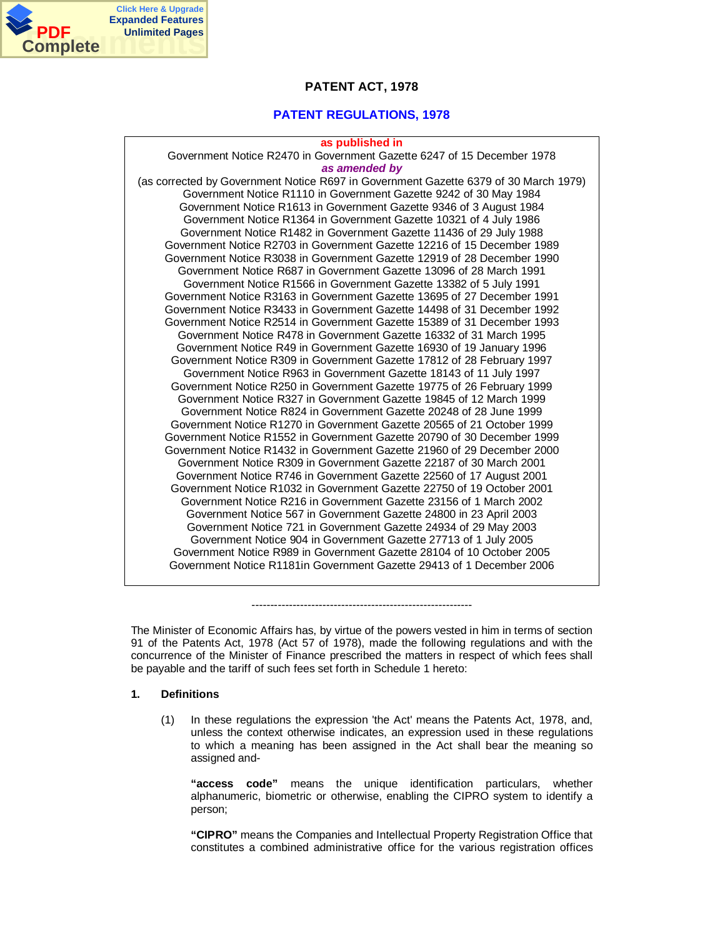

## **PATENT ACT, 1978**

## **PATENT REGULATIONS, 1978**

#### **as published in**

Government Notice R2470 in Government Gazette 6247 of 15 December 1978 *as amended by* (as corrected by Government Notice R697 in Government Gazette 6379 of 30 March 1979) Government Notice R1110 in Government Gazette 9242 of 30 May 1984 Government Notice R1613 in Government Gazette 9346 of 3 August 1984 Government Notice R1364 in Government Gazette 10321 of 4 July 1986 Government Notice R1482 in Government Gazette 11436 of 29 July 1988 Government Notice R2703 in Government Gazette 12216 of 15 December 1989 Government Notice R3038 in Government Gazette 12919 of 28 December 1990 Government Notice R687 in Government Gazette 13096 of 28 March 1991 Government Notice R1566 in Government Gazette 13382 of 5 July 1991 Government Notice R3163 in Government Gazette 13695 of 27 December 1991 Government Notice R3433 in Government Gazette 14498 of 31 December 1992 Government Notice R2514 in Government Gazette 15389 of 31 December 1993 Government Notice R478 in Government Gazette 16332 of 31 March 1995 Government Notice R49 in Government Gazette 16930 of 19 January 1996 Government Notice R309 in Government Gazette 17812 of 28 February 1997 Government Notice R963 in Government Gazette 18143 of 11 July 1997 Government Notice R250 in Government Gazette 19775 of 26 February 1999 Government Notice R327 in Government Gazette 19845 of 12 March 1999 Government Notice R824 in Government Gazette 20248 of 28 June 1999 Government Notice R1270 in Government Gazette 20565 of 21 October 1999 Government Notice R1552 in Government Gazette 20790 of 30 December 1999 Government Notice R1432 in Government Gazette 21960 of 29 December 2000 Government Notice R309 in Government Gazette 22187 of 30 March 2001 Government Notice R746 in Government Gazette 22560 of 17 August 2001 Government Notice R1032 in Government Gazette 22750 of 19 October 2001 Government Notice R216 in Government Gazette 23156 of 1 March 2002 Government Notice 567 in Government Gazette 24800 in 23 April 2003 Government Notice 721 in Government Gazette 24934 of 29 May 2003 Government Notice 904 in Government Gazette 27713 of 1 July 2005 Government Notice R989 in Government Gazette 28104 of 10 October 2005 Government Notice R1181in Government Gazette 29413 of 1 December 2006

The Minister of Economic Affairs has, by virtue of the powers vested in him in terms of section 91 of the Patents Act, 1978 (Act 57 of 1978), made the following regulations and with the concurrence of the Minister of Finance prescribed the matters in respect of which fees shall be payable and the tariff of such fees set forth in Schedule 1 hereto:

-----------------------------------------------------------

## **1. Definitions**

(1) In these regulations the expression 'the Act' means the Patents Act, 1978, and, unless the context otherwise indicates, an expression used in these regulations to which a meaning has been assigned in the Act shall bear the meaning so assigned and-

**"access code"** means the unique identification particulars, whether alphanumeric, biometric or otherwise, enabling the CIPRO system to identify a person;

**"CIPRO"** means the Companies and Intellectual Property Registration Office that constitutes a combined administrative office for the various registration offices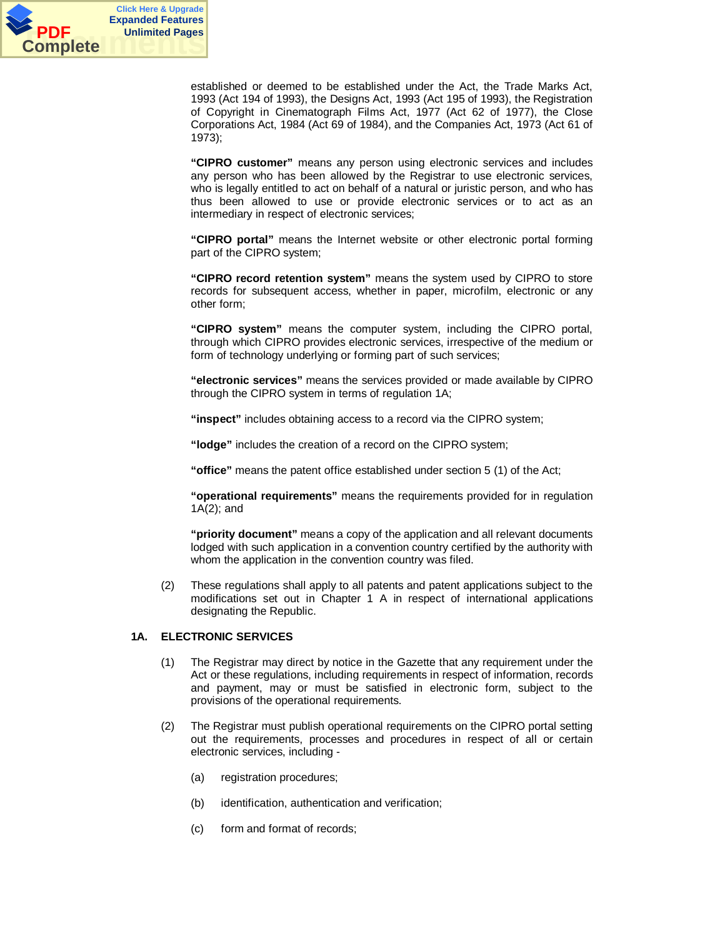

established or deemed to be established under the Act, the Trade Marks Act, 1993 (Act 194 of 1993), the Designs Act, 1993 (Act 195 of 1993), the Registration of Copyright in Cinematograph Films Act, 1977 (Act 62 of 1977), the Close Corporations Act, 1984 (Act 69 of 1984), and the Companies Act, 1973 (Act 61 of 1973);

**"CIPRO customer"** means any person using electronic services and includes any person who has been allowed by the Registrar to use electronic services, who is legally entitled to act on behalf of a natural or juristic person, and who has thus been allowed to use or provide electronic services or to act as an intermediary in respect of electronic services;

**"CIPRO portal"** means the Internet website or other electronic portal forming part of the CIPRO system;

**"CIPRO record retention system"** means the system used by CIPRO to store records for subsequent access, whether in paper, microfilm, electronic or any other form;

**"CIPRO system"** means the computer system, including the CIPRO portal, through which CIPRO provides electronic services, irrespective of the medium or form of technology underlying or forming part of such services;

**"electronic services"** means the services provided or made available by CIPRO through the CIPRO system in terms of regulation 1A;

**"inspect"** includes obtaining access to a record via the CIPRO system;

**"lodge"** includes the creation of a record on the CIPRO system;

**"office"** means the patent office established under section 5 (1) of the Act;

**"operational requirements"** means the requirements provided for in regulation 1A(2); and

**"priority document"** means a copy of the application and all relevant documents lodged with such application in a convention country certified by the authority with whom the application in the convention country was filed.

(2) These regulations shall apply to all patents and patent applications subject to the modifications set out in Chapter 1 A in respect of international applications designating the Republic.

#### **1A. ELECTRONIC SERVICES**

- (1) The Registrar may direct by notice in the Gazette that any requirement under the Act or these regulations, including requirements in respect of information, records and payment, may or must be satisfied in electronic form, subject to the provisions of the operational requirements.
- (2) The Registrar must publish operational requirements on the CIPRO portal setting out the requirements, processes and procedures in respect of all or certain electronic services, including -
	- (a) registration procedures;
	- (b) identification, authentication and verification;
	- (c) form and format of records;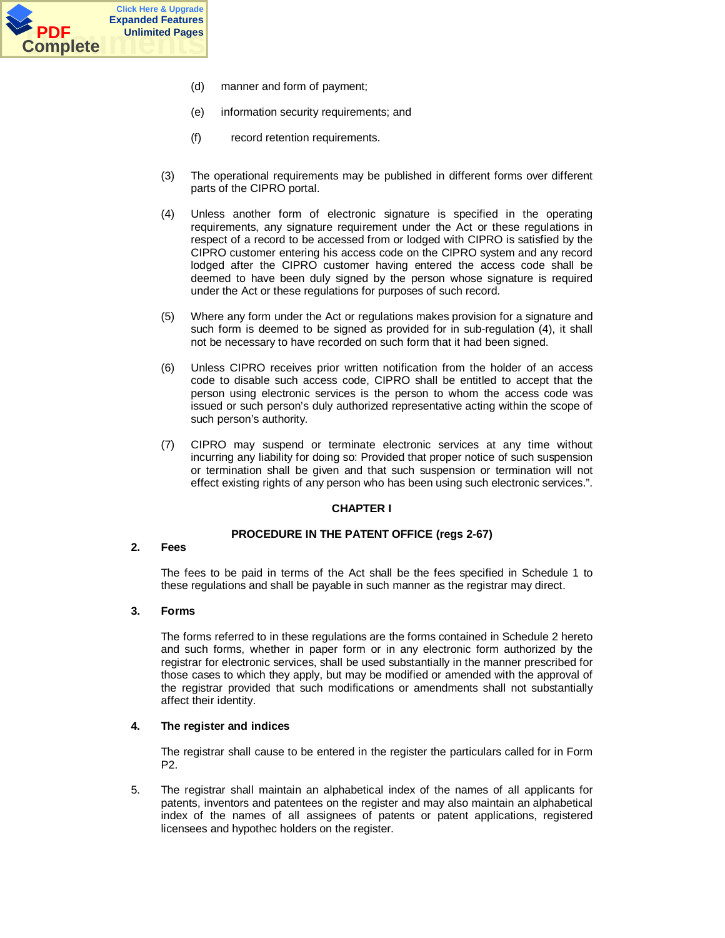

- (d) manner and form of payment;
- (e) information security requirements; and
- (f) record retention requirements.
- (3) The operational requirements may be published in different forms over different parts of the CIPRO portal.
- (4) Unless another form of electronic signature is specified in the operating requirements, any signature requirement under the Act or these regulations in respect of a record to be accessed from or lodged with CIPRO is satisfied by the CIPRO customer entering his access code on the CIPRO system and any record lodged after the CIPRO customer having entered the access code shall be deemed to have been duly signed by the person whose signature is required under the Act or these regulations for purposes of such record.
- (5) Where any form under the Act or regulations makes provision for a signature and such form is deemed to be signed as provided for in sub-regulation (4), it shall not be necessary to have recorded on such form that it had been signed.
- (6) Unless CIPRO receives prior written notification from the holder of an access code to disable such access code, CIPRO shall be entitled to accept that the person using electronic services is the person to whom the access code was issued or such person's duly authorized representative acting within the scope of such person's authority.
- (7) CIPRO may suspend or terminate electronic services at any time without incurring any liability for doing so: Provided that proper notice of such suspension or termination shall be given and that such suspension or termination will not effect existing rights of any person who has been using such electronic services.".

## **CHAPTER I**

## **PROCEDURE IN THE PATENT OFFICE (regs 2-67)**

## **2. Fees**

The fees to be paid in terms of the Act shall be the fees specified in Schedule 1 to these regulations and shall be payable in such manner as the registrar may direct.

## **3. Forms**

The forms referred to in these regulations are the forms contained in Schedule 2 hereto and such forms, whether in paper form or in any electronic form authorized by the registrar for electronic services, shall be used substantially in the manner prescribed for those cases to which they apply, but may be modified or amended with the approval of the registrar provided that such modifications or amendments shall not substantially affect their identity.

## **4. The register and indices**

The registrar shall cause to be entered in the register the particulars called for in Form P2.

5. The registrar shall maintain an alphabetical index of the names of all applicants for patents, inventors and patentees on the register and may also maintain an alphabetical index of the names of all assignees of patents or patent applications, registered licensees and hypothec holders on the register.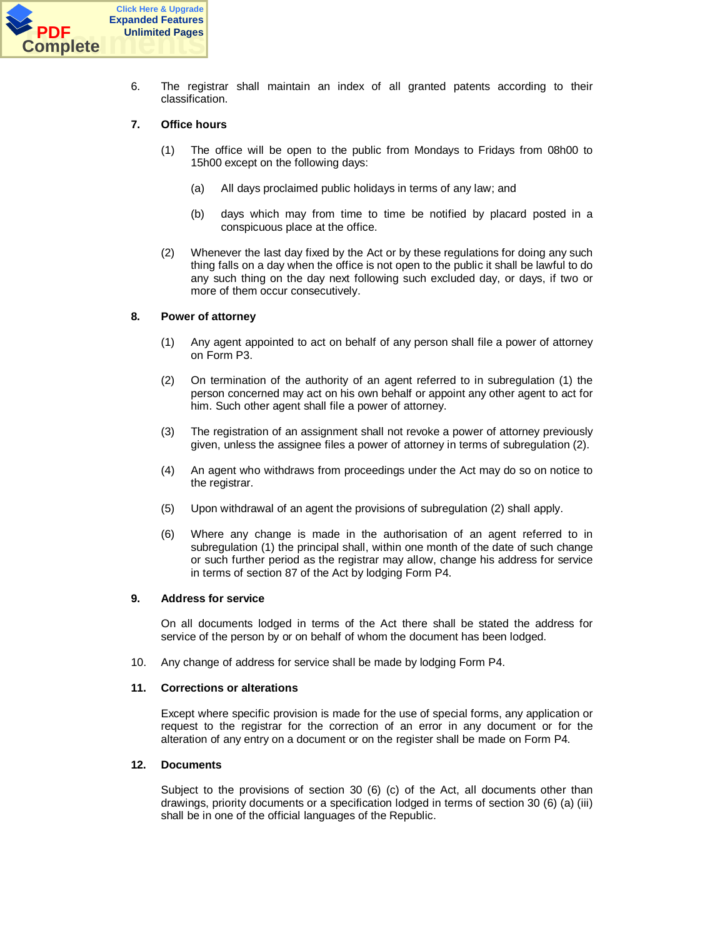

6. The registrar shall maintain an index of all granted patents according to their classification.

## **7. Office hours**

- (1) The office will be open to the public from Mondays to Fridays from 08h00 to 15h00 except on the following days:
	- (a) All days proclaimed public holidays in terms of any law; and
	- (b) days which may from time to time be notified by placard posted in a conspicuous place at the office.
- (2) Whenever the last day fixed by the Act or by these regulations for doing any such thing falls on a day when the office is not open to the public it shall be lawful to do any such thing on the day next following such excluded day, or days, if two or more of them occur consecutively.

## **8. Power of attorney**

- (1) Any agent appointed to act on behalf of any person shall file a power of attorney on Form P3.
- (2) On termination of the authority of an agent referred to in subregulation (1) the person concerned may act on his own behalf or appoint any other agent to act for him. Such other agent shall file a power of attorney.
- (3) The registration of an assignment shall not revoke a power of attorney previously given, unless the assignee files a power of attorney in terms of subregulation (2).
- (4) An agent who withdraws from proceedings under the Act may do so on notice to the registrar.
- (5) Upon withdrawal of an agent the provisions of subregulation (2) shall apply.
- (6) Where any change is made in the authorisation of an agent referred to in subregulation (1) the principal shall, within one month of the date of such change or such further period as the registrar may allow, change his address for service in terms of section 87 of the Act by lodging Form P4.

## **9. Address for service**

On all documents lodged in terms of the Act there shall be stated the address for service of the person by or on behalf of whom the document has been lodged.

10. Any change of address for service shall be made by lodging Form P4.

## **11. Corrections or alterations**

Except where specific provision is made for the use of special forms, any application or request to the registrar for the correction of an error in any document or for the alteration of any entry on a document or on the register shall be made on Form P4.

## **12. Documents**

Subject to the provisions of section 30 (6) (c) of the Act, all documents other than drawings, priority documents or a specification lodged in terms of section 30 (6) (a) (iii) shall be in one of the official languages of the Republic.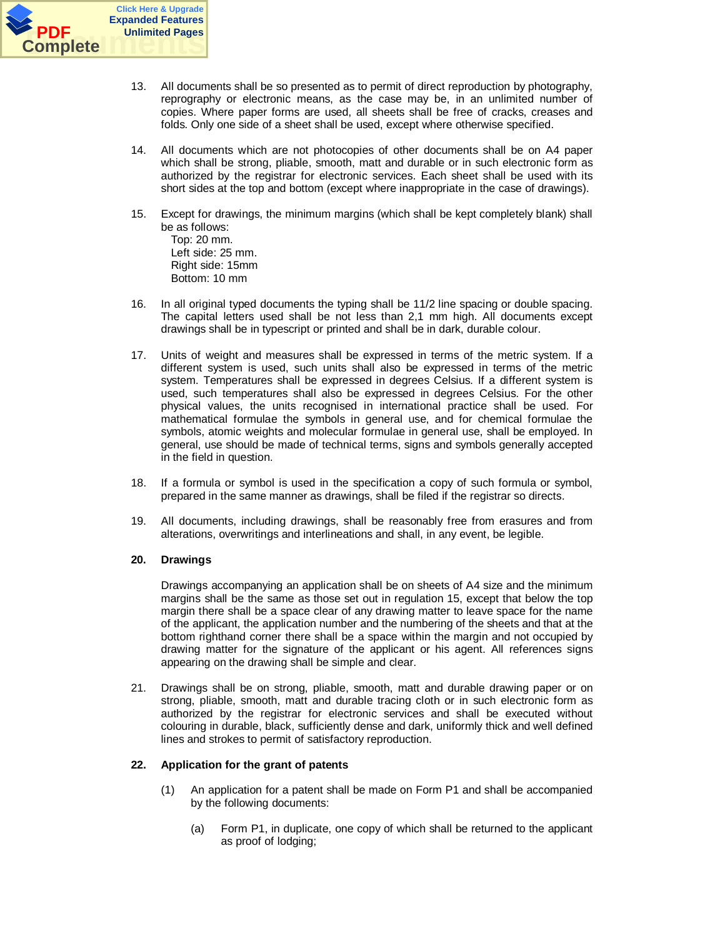

- 13. All documents shall be so presented as to permit of direct reproduction by photography, reprography or electronic means, as the case may be, in an unlimited number of copies. Where paper forms are used, all sheets shall be free of cracks, creases and folds. Only one side of a sheet shall be used, except where otherwise specified.
- 14. All documents which are not photocopies of other documents shall be on A4 paper which shall be strong, pliable, smooth, matt and durable or in such electronic form as authorized by the registrar for electronic services. Each sheet shall be used with its short sides at the top and bottom (except where inappropriate in the case of drawings).
- 15. Except for drawings, the minimum margins (which shall be kept completely blank) shall be as follows: Top: 20 mm. Left side: 25 mm. Right side: 15mm Bottom: 10 mm
- 16. In all original typed documents the typing shall be 11/2 line spacing or double spacing. The capital letters used shall be not less than 2,1 mm high. All documents except drawings shall be in typescript or printed and shall be in dark, durable colour.
- 17. Units of weight and measures shall be expressed in terms of the metric system. If a different system is used, such units shall also be expressed in terms of the metric system. Temperatures shall be expressed in degrees Celsius. If a different system is used, such temperatures shall also be expressed in degrees Celsius. For the other physical values, the units recognised in international practice shall be used. For mathematical formulae the symbols in general use, and for chemical formulae the symbols, atomic weights and molecular formulae in general use, shall be employed. In general, use should be made of technical terms, signs and symbols generally accepted in the field in question.
- 18. If a formula or symbol is used in the specification a copy of such formula or symbol, prepared in the same manner as drawings, shall be filed if the registrar so directs.
- 19. All documents, including drawings, shall be reasonably free from erasures and from alterations, overwritings and interlineations and shall, in any event, be legible.

## **20. Drawings**

Drawings accompanying an application shall be on sheets of A4 size and the minimum margins shall be the same as those set out in regulation 15, except that below the top margin there shall be a space clear of any drawing matter to leave space for the name of the applicant, the application number and the numbering of the sheets and that at the bottom righthand corner there shall be a space within the margin and not occupied by drawing matter for the signature of the applicant or his agent. All references signs appearing on the drawing shall be simple and clear.

21. Drawings shall be on strong, pliable, smooth, matt and durable drawing paper or on strong, pliable, smooth, matt and durable tracing cloth or in such electronic form as authorized by the registrar for electronic services and shall be executed without colouring in durable, black, sufficiently dense and dark, uniformly thick and well defined lines and strokes to permit of satisfactory reproduction.

## **22. Application for the grant of patents**

- (1) An application for a patent shall be made on Form P1 and shall be accompanied by the following documents:
	- (a) Form P1, in duplicate, one copy of which shall be returned to the applicant as proof of lodging;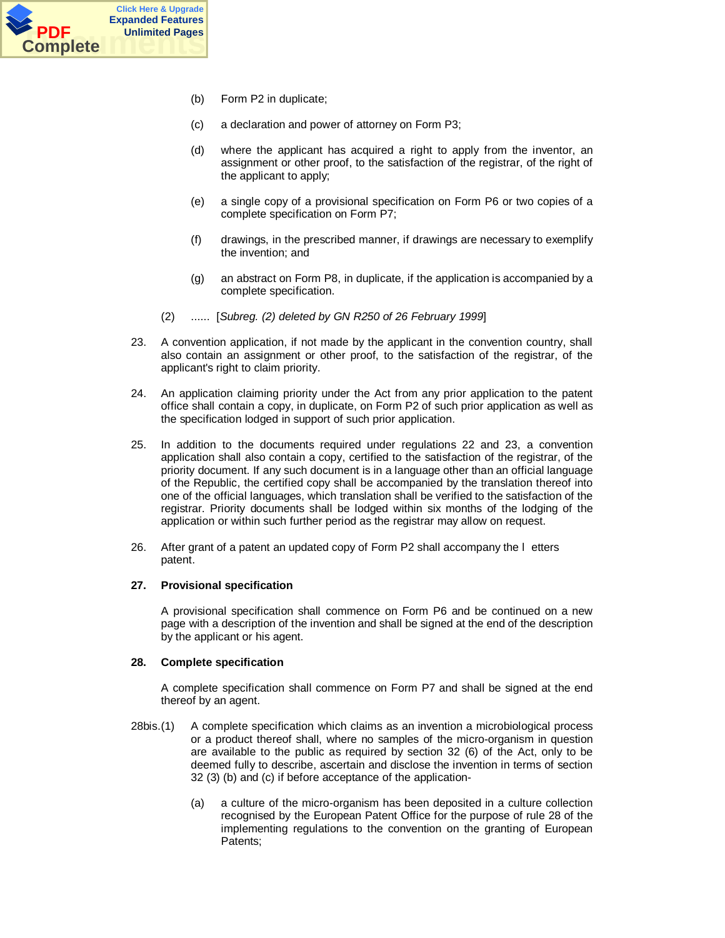

- (b) Form P2 in duplicate;
- (c) a declaration and power of attorney on Form P3;
- (d) where the applicant has acquired a right to apply from the inventor, an assignment or other proof, to the satisfaction of the registrar, of the right of the applicant to apply;
- (e) a single copy of a provisional specification on Form P6 or two copies of a complete specification on Form P7;
- (f) drawings, in the prescribed manner, if drawings are necessary to exemplify the invention; and
- (g) an abstract on Form P8, in duplicate, if the application is accompanied by a complete specification.
- (2) ...... [*Subreg. (2) deleted by GN R250 of 26 February 1999*]
- 23. A convention application, if not made by the applicant in the convention country, shall also contain an assignment or other proof, to the satisfaction of the registrar, of the applicant's right to claim priority.
- 24. An application claiming priority under the Act from any prior application to the patent office shall contain a copy, in duplicate, on Form P2 of such prior application as well as the specification lodged in support of such prior application.
- 25. In addition to the documents required under regulations 22 and 23, a convention application shall also contain a copy, certified to the satisfaction of the registrar, of the priority document. If any such document is in a language other than an official language of the Republic, the certified copy shall be accompanied by the translation thereof into one of the official languages, which translation shall be verified to the satisfaction of the registrar. Priority documents shall be lodged within six months of the lodging of the application or within such further period as the registrar may allow on request.
- 26. After grant of a patent an updated copy of Form P2 shall accompany the l etters patent.

## **27. Provisional specification**

A provisional specification shall commence on Form P6 and be continued on a new page with a description of the invention and shall be signed at the end of the description by the applicant or his agent.

## **28. Complete specification**

A complete specification shall commence on Form P7 and shall be signed at the end thereof by an agent.

- 28bis. (1) A complete specification which claims as an invention a microbiological process or a product thereof shall, where no samples of the micro-organism in question are available to the public as required by section 32 (6) of the Act, only to be deemed fully to describe, ascertain and disclose the invention in terms of section 32 (3) (b) and (c) if before acceptance of the application-
	- (a) a culture of the micro-organism has been deposited in a culture collection recognised by the European Patent Office for the purpose of rule 28 of the implementing regulations to the convention on the granting of European Patents;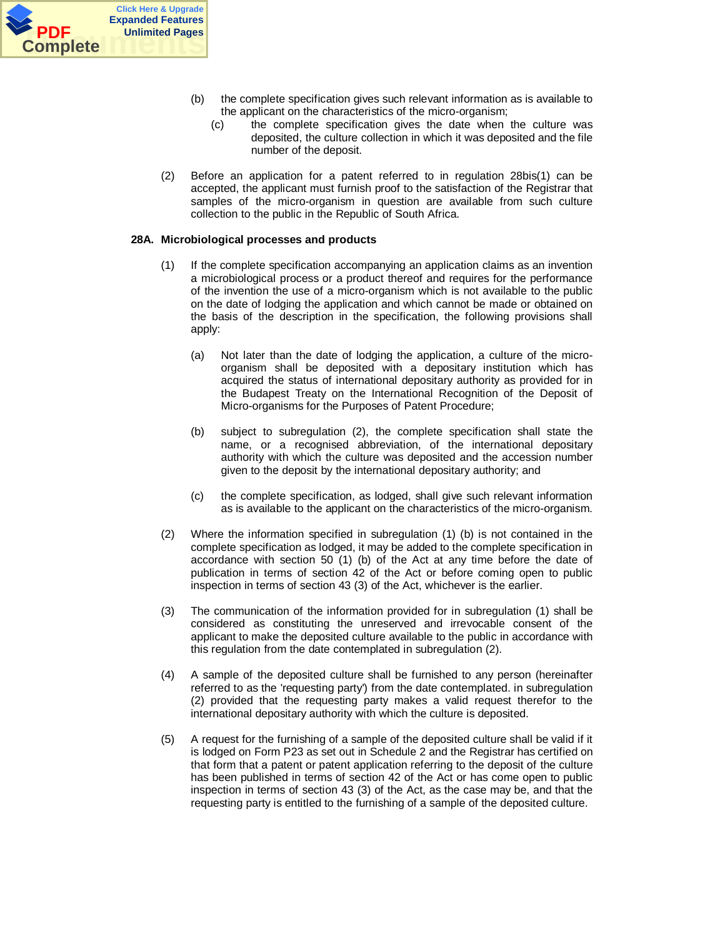

- (b) the complete specification gives such relevant information as is available to the applicant on the characteristics of the micro-organism;
	- (c) the complete specification gives the date when the culture was deposited, the culture collection in which it was deposited and the file number of the deposit.
- (2) Before an application for a patent referred to in regulation 28bis(1) can be accepted, the applicant must furnish proof to the satisfaction of the Registrar that samples of the micro-organism in question are available from such culture collection to the public in the Republic of South Africa.

## **28A. Microbiological processes and products**

- (1) If the complete specification accompanying an application claims as an invention a microbiological process or a product thereof and requires for the performance of the invention the use of a micro-organism which is not available to the public on the date of lodging the application and which cannot be made or obtained on the basis of the description in the specification, the following provisions shall apply:
	- (a) Not later than the date of lodging the application, a culture of the microorganism shall be deposited with a depositary institution which has acquired the status of international depositary authority as provided for in the Budapest Treaty on the International Recognition of the Deposit of Micro-organisms for the Purposes of Patent Procedure;
	- (b) subject to subregulation (2), the complete specification shall state the name, or a recognised abbreviation, of the international depositary authority with which the culture was deposited and the accession number given to the deposit by the international depositary authority; and
	- (c) the complete specification, as lodged, shall give such relevant information as is available to the applicant on the characteristics of the micro-organism.
- (2) Where the information specified in subregulation (1) (b) is not contained in the complete specification as lodged, it may be added to the complete specification in accordance with section 50 (1) (b) of the Act at any time before the date of publication in terms of section 42 of the Act or before coming open to public inspection in terms of section 43 (3) of the Act, whichever is the earlier.
- (3) The communication of the information provided for in subregulation (1) shall be considered as constituting the unreserved and irrevocable consent of the applicant to make the deposited culture available to the public in accordance with this regulation from the date contemplated in subregulation (2).
- (4) A sample of the deposited culture shall be furnished to any person (hereinafter referred to as the 'requesting party') from the date contemplated. in subregulation (2) provided that the requesting party makes a valid request therefor to the international depositary authority with which the culture is deposited.
- (5) A request for the furnishing of a sample of the deposited culture shall be valid if it is lodged on Form P23 as set out in Schedule 2 and the Registrar has certified on that form that a patent or patent application referring to the deposit of the culture has been published in terms of section 42 of the Act or has come open to public inspection in terms of section 43 (3) of the Act, as the case may be, and that the requesting party is entitled to the furnishing of a sample of the deposited culture.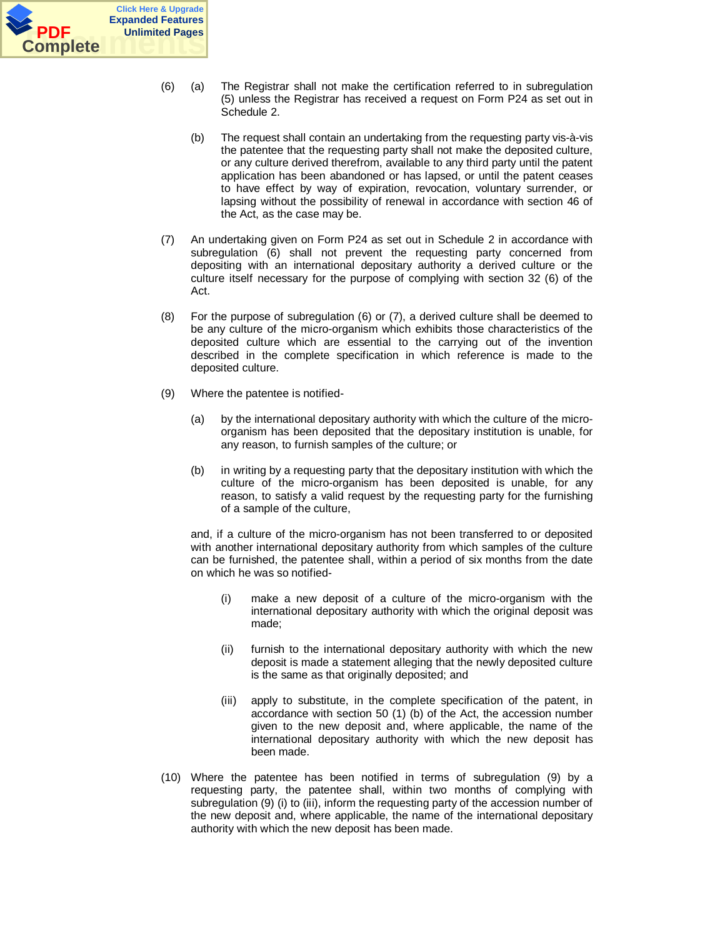

- (6) (a) The Registrar shall not make the certification referred to in subregulation (5) unless the Registrar has received a request on Form P24 as set out in Schedule 2.
	- (b) The request shall contain an undertaking from the requesting party vis-à-vis the patentee that the requesting party shall not make the deposited culture, or any culture derived therefrom, available to any third party until the patent application has been abandoned or has lapsed, or until the patent ceases to have effect by way of expiration, revocation, voluntary surrender, or lapsing without the possibility of renewal in accordance with section 46 of the Act, as the case may be.
- (7) An undertaking given on Form P24 as set out in Schedule 2 in accordance with subregulation (6) shall not prevent the requesting party concerned from depositing with an international depositary authority a derived culture or the culture itself necessary for the purpose of complying with section 32 (6) of the Act.
- (8) For the purpose of subregulation (6) or (7), a derived culture shall be deemed to be any culture of the micro-organism which exhibits those characteristics of the deposited culture which are essential to the carrying out of the invention described in the complete specification in which reference is made to the deposited culture.
- (9) Where the patentee is notified-
	- (a) by the international depositary authority with which the culture of the microorganism has been deposited that the depositary institution is unable, for any reason, to furnish samples of the culture; or
	- (b) in writing by a requesting party that the depositary institution with which the culture of the micro-organism has been deposited is unable, for any reason, to satisfy a valid request by the requesting party for the furnishing of a sample of the culture,

and, if a culture of the micro-organism has not been transferred to or deposited with another international depositary authority from which samples of the culture can be furnished, the patentee shall, within a period of six months from the date on which he was so notified-

- (i) make a new deposit of a culture of the micro-organism with the international depositary authority with which the original deposit was made;
- (ii) furnish to the international depositary authority with which the new deposit is made a statement alleging that the newly deposited culture is the same as that originally deposited; and
- (iii) apply to substitute, in the complete specification of the patent, in accordance with section 50 (1) (b) of the Act, the accession number given to the new deposit and, where applicable, the name of the international depositary authority with which the new deposit has been made.
- (10) Where the patentee has been notified in terms of subregulation (9) by a requesting party, the patentee shall, within two months of complying with subregulation (9) (i) to (iii), inform the requesting party of the accession number of the new deposit and, where applicable, the name of the international depositary authority with which the new deposit has been made.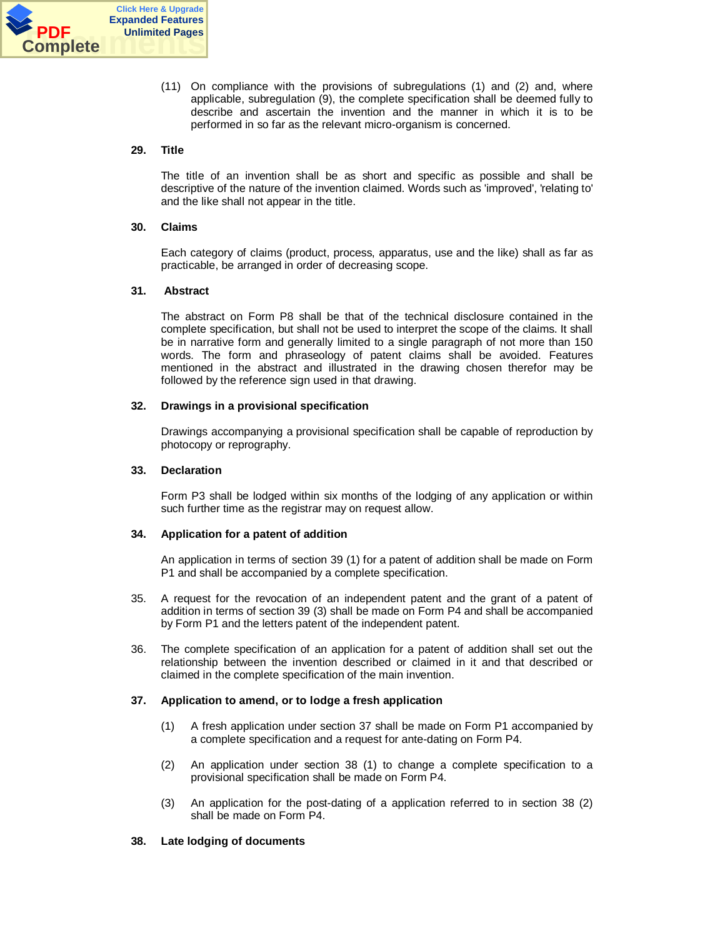

(11) On compliance with the provisions of subregulations (1) and (2) and, where applicable, subregulation (9), the complete specification shall be deemed fully to describe and ascertain the invention and the manner in which it is to be performed in so far as the relevant micro-organism is concerned.

## **29. Title**

The title of an invention shall be as short and specific as possible and shall be descriptive of the nature of the invention claimed. Words such as 'improved', 'relating to' and the like shall not appear in the title.

## **30. Claims**

Each category of claims (product, process, apparatus, use and the like) shall as far as practicable, be arranged in order of decreasing scope.

## **31. Abstract**

The abstract on Form P8 shall be that of the technical disclosure contained in the complete specification, but shall not be used to interpret the scope of the claims. It shall be in narrative form and generally limited to a single paragraph of not more than 150 words. The form and phraseology of patent claims shall be avoided. Features mentioned in the abstract and illustrated in the drawing chosen therefor may be followed by the reference sign used in that drawing.

## **32. Drawings in a provisional specification**

Drawings accompanying a provisional specification shall be capable of reproduction by photocopy or reprography.

## **33. Declaration**

Form P3 shall be lodged within six months of the lodging of any application or within such further time as the registrar may on request allow.

## **34. Application for a patent of addition**

An application in terms of section 39 (1) for a patent of addition shall be made on Form P1 and shall be accompanied by a complete specification.

- 35. A request for the revocation of an independent patent and the grant of a patent of addition in terms of section 39 (3) shall be made on Form P4 and shall be accompanied by Form P1 and the letters patent of the independent patent.
- 36. The complete specification of an application for a patent of addition shall set out the relationship between the invention described or claimed in it and that described or claimed in the complete specification of the main invention.

## **37. Application to amend, or to lodge a fresh application**

- (1) A fresh application under section 37 shall be made on Form P1 accompanied by a complete specification and a request for ante-dating on Form P4.
- (2) An application under section 38 (1) to change a complete specification to a provisional specification shall be made on Form P4.
- (3) An application for the post-dating of a application referred to in section 38 (2) shall be made on Form P4.

## **38. Late lodging of documents**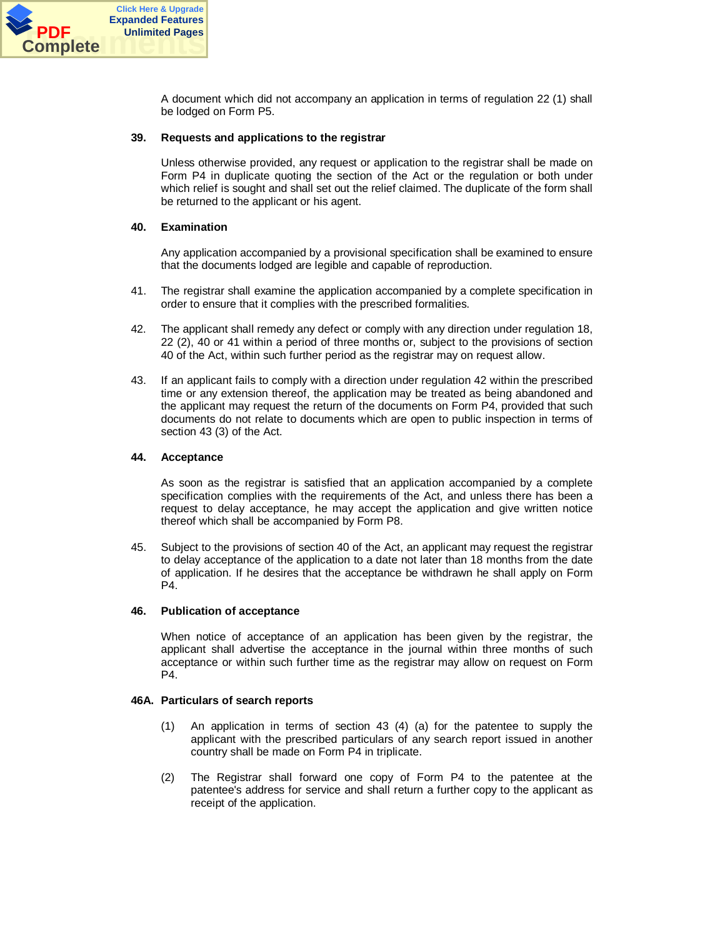

A document which did not accompany an application in terms of regulation 22 (1) shall be lodged on Form P5.

#### **39. Requests and applications to the registrar**

Unless otherwise provided, any request or application to the registrar shall be made on Form P4 in duplicate quoting the section of the Act or the regulation or both under which relief is sought and shall set out the relief claimed. The duplicate of the form shall be returned to the applicant or his agent.

#### **40. Examination**

Any application accompanied by a provisional specification shall be examined to ensure that the documents lodged are legible and capable of reproduction.

- 41. The registrar shall examine the application accompanied by a complete specification in order to ensure that it complies with the prescribed formalities.
- 42. The applicant shall remedy any defect or comply with any direction under regulation 18, 22 (2), 40 or 41 within a period of three months or, subject to the provisions of section 40 of the Act, within such further period as the registrar may on request allow.
- 43. If an applicant fails to comply with a direction under regulation 42 within the prescribed time or any extension thereof, the application may be treated as being abandoned and the applicant may request the return of the documents on Form P4, provided that such documents do not relate to documents which are open to public inspection in terms of section 43 (3) of the Act.

#### **44. Acceptance**

As soon as the registrar is satisfied that an application accompanied by a complete specification complies with the requirements of the Act, and unless there has been a request to delay acceptance, he may accept the application and give written notice thereof which shall be accompanied by Form P8.

45. Subject to the provisions of section 40 of the Act, an applicant may request the registrar to delay acceptance of the application to a date not later than 18 months from the date of application. If he desires that the acceptance be withdrawn he shall apply on Form P4.

#### **46. Publication of acceptance**

When notice of acceptance of an application has been given by the registrar, the applicant shall advertise the acceptance in the journal within three months of such acceptance or within such further time as the registrar may allow on request on Form P4.

## **46A. Particulars of search reports**

- (1) An application in terms of section 43 (4) (a) for the patentee to supply the applicant with the prescribed particulars of any search report issued in another country shall be made on Form P4 in triplicate.
- (2) The Registrar shall forward one copy of Form P4 to the patentee at the patentee's address for service and shall return a further copy to the applicant as receipt of the application.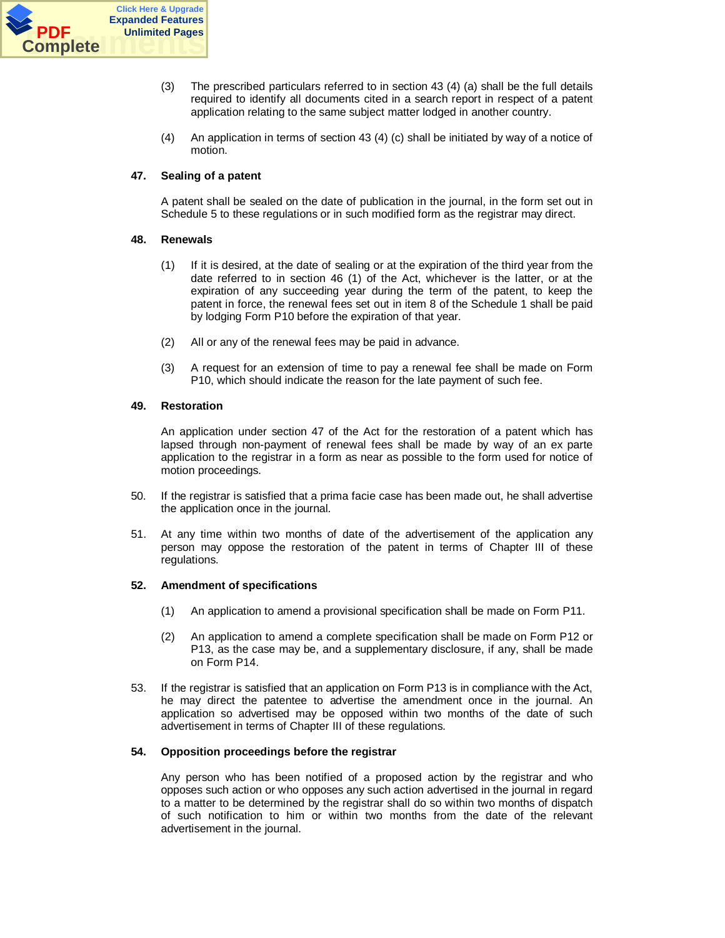

- (3) The prescribed particulars referred to in section 43 (4) (a) shall be the full details required to identify all documents cited in a search report in respect of a patent application relating to the same subject matter lodged in another country.
- (4) An application in terms of section 43 (4) (c) shall be initiated by way of a notice of motion.

## **47. Sealing of a patent**

A patent shall be sealed on the date of publication in the journal, in the form set out in Schedule 5 to these regulations or in such modified form as the registrar may direct.

## **48. Renewals**

- (1) If it is desired, at the date of sealing or at the expiration of the third year from the date referred to in section 46 (1) of the Act, whichever is the latter, or at the expiration of any succeeding year during the term of the patent, to keep the patent in force, the renewal fees set out in item 8 of the Schedule 1 shall be paid by lodging Form P10 before the expiration of that year.
- (2) All or any of the renewal fees may be paid in advance.
- (3) A request for an extension of time to pay a renewal fee shall be made on Form P10, which should indicate the reason for the late payment of such fee.

## **49. Restoration**

An application under section 47 of the Act for the restoration of a patent which has lapsed through non-payment of renewal fees shall be made by way of an ex parte application to the registrar in a form as near as possible to the form used for notice of motion proceedings.

- 50. If the registrar is satisfied that a prima facie case has been made out, he shall advertise the application once in the journal.
- 51. At any time within two months of date of the advertisement of the application any person may oppose the restoration of the patent in terms of Chapter III of these regulations.

## **52. Amendment of specifications**

- (1) An application to amend a provisional specification shall be made on Form P11.
- (2) An application to amend a complete specification shall be made on Form P12 or P13, as the case may be, and a supplementary disclosure, if any, shall be made on Form P14.
- 53. If the registrar is satisfied that an application on Form P13 is in compliance with the Act, he may direct the patentee to advertise the amendment once in the journal. An application so advertised may be opposed within two months of the date of such advertisement in terms of Chapter III of these regulations.

## **54. Opposition proceedings before the registrar**

Any person who has been notified of a proposed action by the registrar and who opposes such action or who opposes any such action advertised in the journal in regard to a matter to be determined by the registrar shall do so within two months of dispatch of such notification to him or within two months from the date of the relevant advertisement in the journal.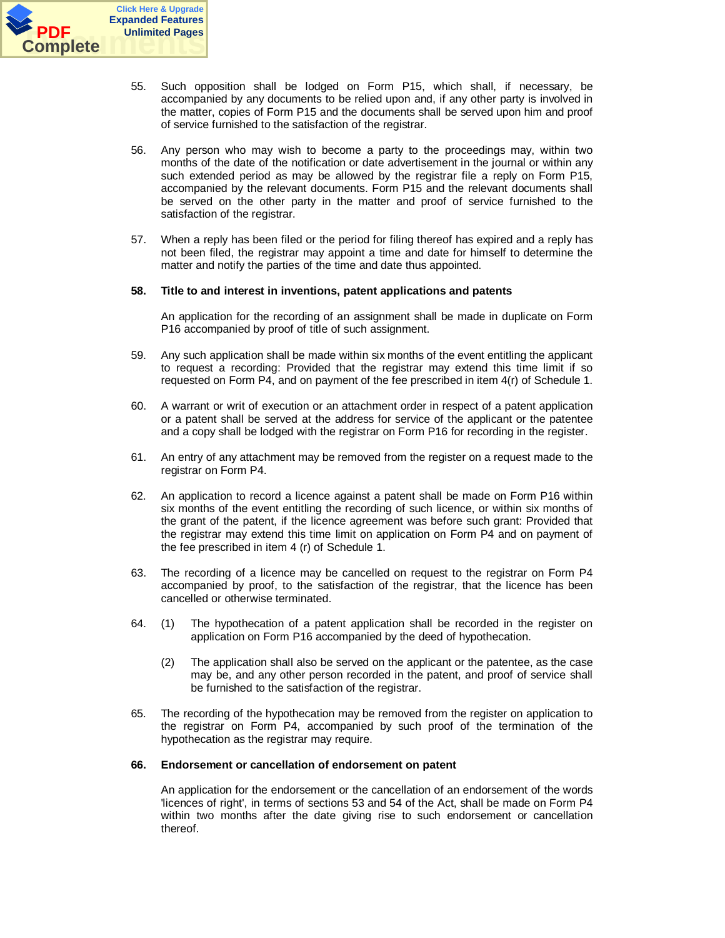

- 55. Such opposition shall be lodged on Form P15, which shall, if necessary, be accompanied by any documents to be relied upon and, if any other party is involved in the matter, copies of Form P15 and the documents shall be served upon him and proof of service furnished to the satisfaction of the registrar.
- 56. Any person who may wish to become a party to the proceedings may, within two months of the date of the notification or date advertisement in the journal or within any such extended period as may be allowed by the registrar file a reply on Form P15, accompanied by the relevant documents. Form P15 and the relevant documents shall be served on the other party in the matter and proof of service furnished to the satisfaction of the registrar.
- 57. When a reply has been filed or the period for filing thereof has expired and a reply has not been filed, the registrar may appoint a time and date for himself to determine the matter and notify the parties of the time and date thus appointed.

## **58. Title to and interest in inventions, patent applications and patents**

An application for the recording of an assignment shall be made in duplicate on Form P16 accompanied by proof of title of such assignment.

- 59. Any such application shall be made within six months of the event entitling the applicant to request a recording: Provided that the registrar may extend this time limit if so requested on Form P4, and on payment of the fee prescribed in item 4(r) of Schedule 1.
- 60. A warrant or writ of execution or an attachment order in respect of a patent application or a patent shall be served at the address for service of the applicant or the patentee and a copy shall be lodged with the registrar on Form P16 for recording in the register.
- 61. An entry of any attachment may be removed from the register on a request made to the registrar on Form P4.
- 62. An application to record a licence against a patent shall be made on Form P16 within six months of the event entitling the recording of such licence, or within six months of the grant of the patent, if the licence agreement was before such grant: Provided that the registrar may extend this time limit on application on Form P4 and on payment of the fee prescribed in item 4 (r) of Schedule 1.
- 63. The recording of a licence may be cancelled on request to the registrar on Form P4 accompanied by proof, to the satisfaction of the registrar, that the licence has been cancelled or otherwise terminated.
- 64. (1) The hypothecation of a patent application shall be recorded in the register on application on Form P16 accompanied by the deed of hypothecation.
	- (2) The application shall also be served on the applicant or the patentee, as the case may be, and any other person recorded in the patent, and proof of service shall be furnished to the satisfaction of the registrar.
- 65. The recording of the hypothecation may be removed from the register on application to the registrar on Form P4, accompanied by such proof of the termination of the hypothecation as the registrar may require.

#### **66. Endorsement or cancellation of endorsement on patent**

An application for the endorsement or the cancellation of an endorsement of the words 'licences of right', in terms of sections 53 and 54 of the Act, shall be made on Form P4 within two months after the date giving rise to such endorsement or cancellation thereof.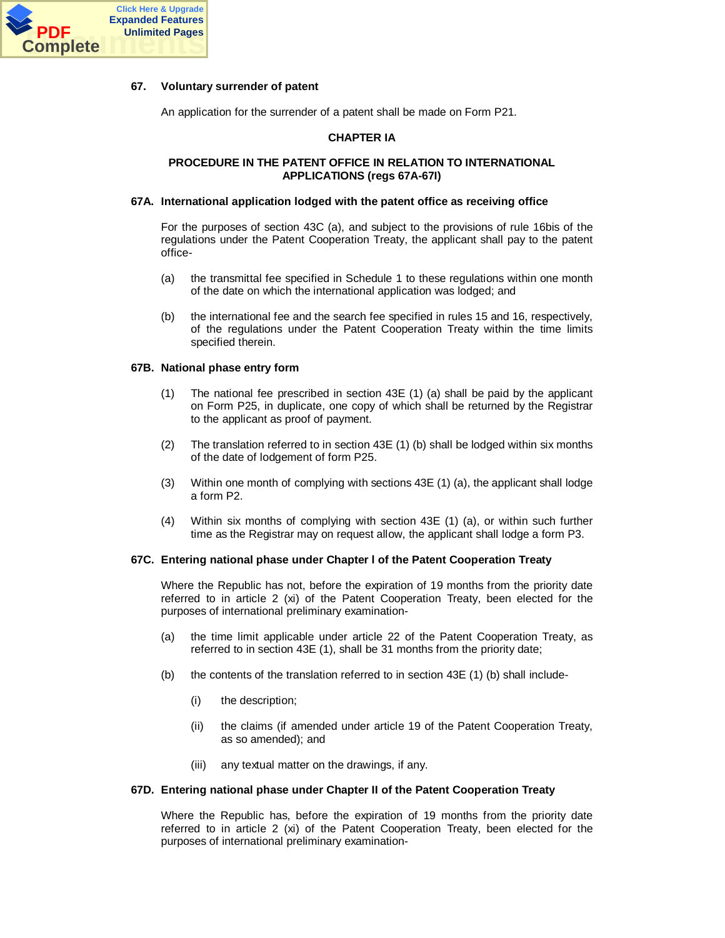

## **67. Voluntary surrender of patent**

An application for the surrender of a patent shall be made on Form P21.

## **CHAPTER IA**

#### **PROCEDURE IN THE PATENT OFFICE IN RELATION TO INTERNATIONAL APPLICATIONS (regs 67A-67I)**

#### **67A. International application lodged with the patent office as receiving office**

For the purposes of section 43C (a), and subject to the provisions of rule 16bis of the regulations under the Patent Cooperation Treaty, the applicant shall pay to the patent office-

- (a) the transmittal fee specified in Schedule 1 to these regulations within one month of the date on which the international application was lodged; and
- (b) the international fee and the search fee specified in rules 15 and 16, respectively, of the regulations under the Patent Cooperation Treaty within the time limits specified therein.

#### **67B. National phase entry form**

- (1) The national fee prescribed in section 43E (1) (a) shall be paid by the applicant on Form P25, in duplicate, one copy of which shall be returned by the Registrar to the applicant as proof of payment.
- (2) The translation referred to in section 43E (1) (b) shall be lodged within six months of the date of lodgement of form P25.
- (3) Within one month of complying with sections 43E (1) (a), the applicant shall lodge a form P2.
- (4) Within six months of complying with section 43E (1) (a), or within such further time as the Registrar may on request allow, the applicant shall lodge a form P3.

## **67C. Entering national phase under Chapter l of the Patent Cooperation Treaty**

Where the Republic has not, before the expiration of 19 months from the priority date referred to in article 2 (xi) of the Patent Cooperation Treaty, been elected for the purposes of international preliminary examination-

- (a) the time limit applicable under article 22 of the Patent Cooperation Treaty, as referred to in section 43E (1), shall be 31 months from the priority date;
- (b) the contents of the translation referred to in section  $43E(1)$  (b) shall include-
	- (i) the description;
	- (ii) the claims (if amended under article 19 of the Patent Cooperation Treaty, as so amended); and
	- (iii) any textual matter on the drawings, if any.

#### **67D. Entering national phase under Chapter II of the Patent Cooperation Treaty**

Where the Republic has, before the expiration of 19 months from the priority date referred to in article 2 (xi) of the Patent Cooperation Treaty, been elected for the purposes of international preliminary examination-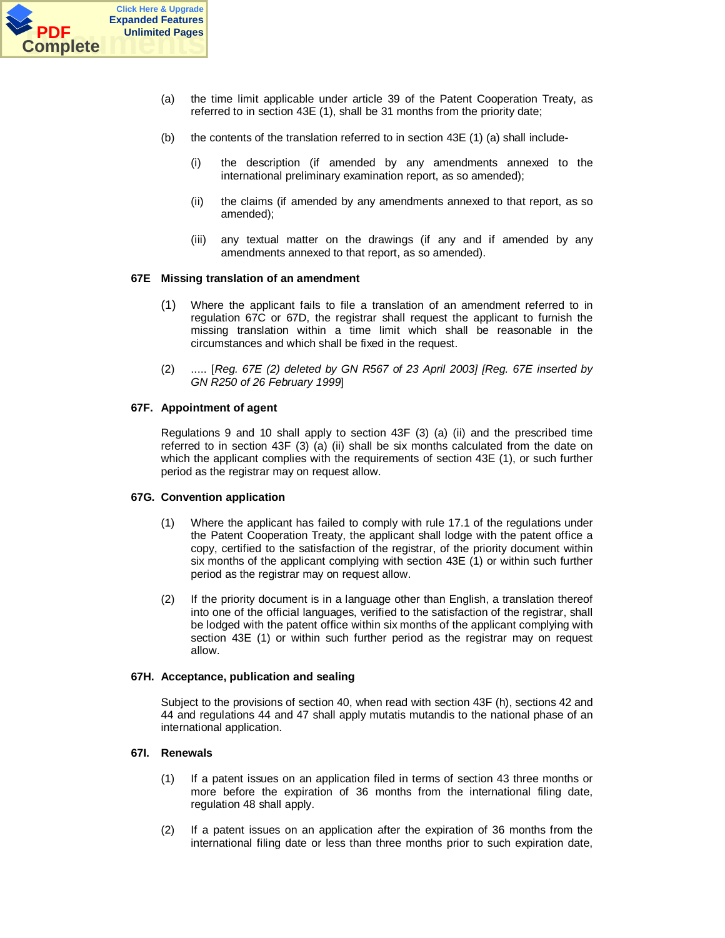

- (a) the time limit applicable under article 39 of the Patent Cooperation Treaty, as referred to in section 43E (1), shall be 31 months from the priority date;
- (b) the contents of the translation referred to in section  $43E(1)$  (a) shall include-
	- (i) the description (if amended by any amendments annexed to the international preliminary examination report, as so amended);
	- (ii) the claims (if amended by any amendments annexed to that report, as so amended);
	- (iii) any textual matter on the drawings (if any and if amended by any amendments annexed to that report, as so amended).

## **67E Missing translation of an amendment**

- (1) Where the applicant fails to file a translation of an amendment referred to in regulation 67C or 67D, the registrar shall request the applicant to furnish the missing translation within a time limit which shall be reasonable in the circumstances and which shall be fixed in the request.
- (2) ..... [*Reg. 67E (2) deleted by GN R567 of 23 April 2003] [Reg. 67E inserted by GN R250 of 26 February 1999*]

#### **67F. Appointment of agent**

Regulations 9 and 10 shall apply to section  $43F(3)$  (a) (ii) and the prescribed time referred to in section 43F (3) (a) (ii) shall be six months calculated from the date on which the applicant complies with the requirements of section 43E (1), or such further period as the registrar may on request allow.

## **67G. Convention application**

- (1) Where the applicant has failed to comply with rule 17.1 of the regulations under the Patent Cooperation Treaty, the applicant shall lodge with the patent office a copy, certified to the satisfaction of the registrar, of the priority document within six months of the applicant complying with section 43E (1) or within such further period as the registrar may on request allow.
- (2) If the priority document is in a language other than English, a translation thereof into one of the official languages, verified to the satisfaction of the registrar, shall be lodged with the patent office within six months of the applicant complying with section 43E (1) or within such further period as the registrar may on request allow.

#### **67H. Acceptance, publication and sealing**

Subject to the provisions of section 40, when read with section 43F (h), sections 42 and 44 and regulations 44 and 47 shall apply mutatis mutandis to the national phase of an international application.

#### **67I. Renewals**

- (1) If a patent issues on an application filed in terms of section 43 three months or more before the expiration of 36 months from the international filing date, regulation 48 shall apply.
- (2) If a patent issues on an application after the expiration of 36 months from the international filing date or less than three months prior to such expiration date,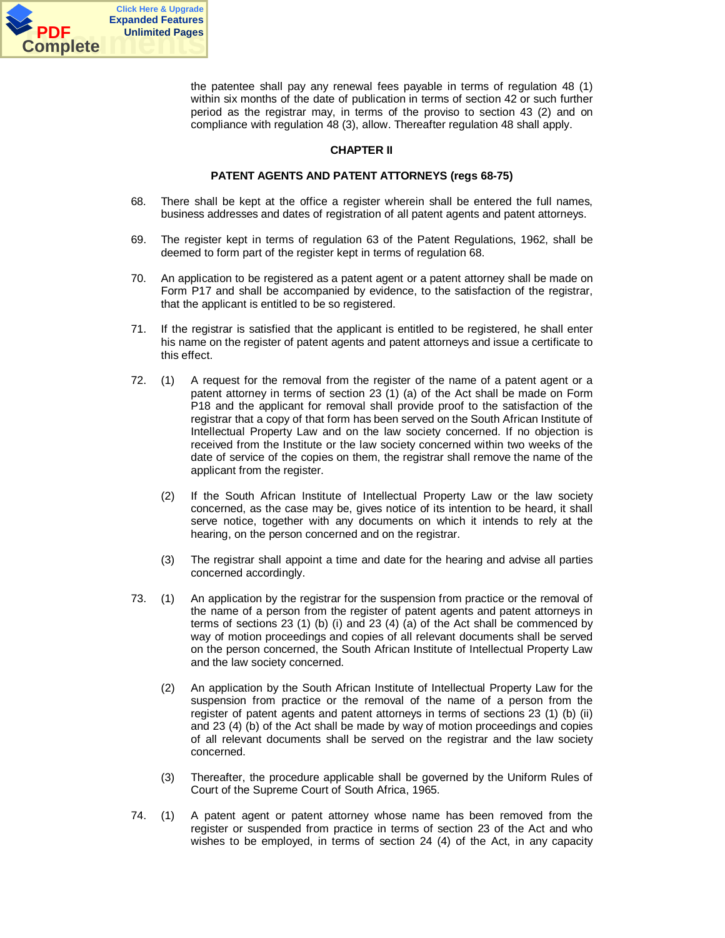

the patentee shall pay any renewal fees payable in terms of regulation 48 (1) within six months of the date of publication in terms of section 42 or such further period as the registrar may, in terms of the proviso to section 43 (2) and on compliance with regulation 48 (3), allow. Thereafter regulation 48 shall apply.

## **CHAPTER II**

## **PATENT AGENTS AND PATENT ATTORNEYS (regs 68-75)**

- 68. There shall be kept at the office a register wherein shall be entered the full names, business addresses and dates of registration of all patent agents and patent attorneys.
- 69. The register kept in terms of regulation 63 of the Patent Regulations, 1962, shall be deemed to form part of the register kept in terms of regulation 68.
- 70. An application to be registered as a patent agent or a patent attorney shall be made on Form P17 and shall be accompanied by evidence, to the satisfaction of the registrar, that the applicant is entitled to be so registered.
- 71. If the registrar is satisfied that the applicant is entitled to be registered, he shall enter his name on the register of patent agents and patent attorneys and issue a certificate to this effect.
- 72. (1) A request for the removal from the register of the name of a patent agent or a patent attorney in terms of section 23 (1) (a) of the Act shall be made on Form P18 and the applicant for removal shall provide proof to the satisfaction of the registrar that a copy of that form has been served on the South African Institute of Intellectual Property Law and on the law society concerned. If no objection is received from the Institute or the law society concerned within two weeks of the date of service of the copies on them, the registrar shall remove the name of the applicant from the register.
	- (2) If the South African Institute of Intellectual Property Law or the law society concerned, as the case may be, gives notice of its intention to be heard, it shall serve notice, together with any documents on which it intends to rely at the hearing, on the person concerned and on the registrar.
	- (3) The registrar shall appoint a time and date for the hearing and advise all parties concerned accordingly.
- 73. (1) An application by the registrar for the suspension from practice or the removal of the name of a person from the register of patent agents and patent attorneys in terms of sections 23 (1) (b) (i) and 23 (4) (a) of the Act shall be commenced by way of motion proceedings and copies of all relevant documents shall be served on the person concerned, the South African Institute of Intellectual Property Law and the law society concerned.
	- (2) An application by the South African Institute of Intellectual Property Law for the suspension from practice or the removal of the name of a person from the register of patent agents and patent attorneys in terms of sections 23 (1) (b) (ii) and 23 (4) (b) of the Act shall be made by way of motion proceedings and copies of all relevant documents shall be served on the registrar and the law society concerned.
	- (3) Thereafter, the procedure applicable shall be governed by the Uniform Rules of Court of the Supreme Court of South Africa, 1965.
- 74. (1) A patent agent or patent attorney whose name has been removed from the register or suspended from practice in terms of section 23 of the Act and who wishes to be employed, in terms of section 24 (4) of the Act, in any capacity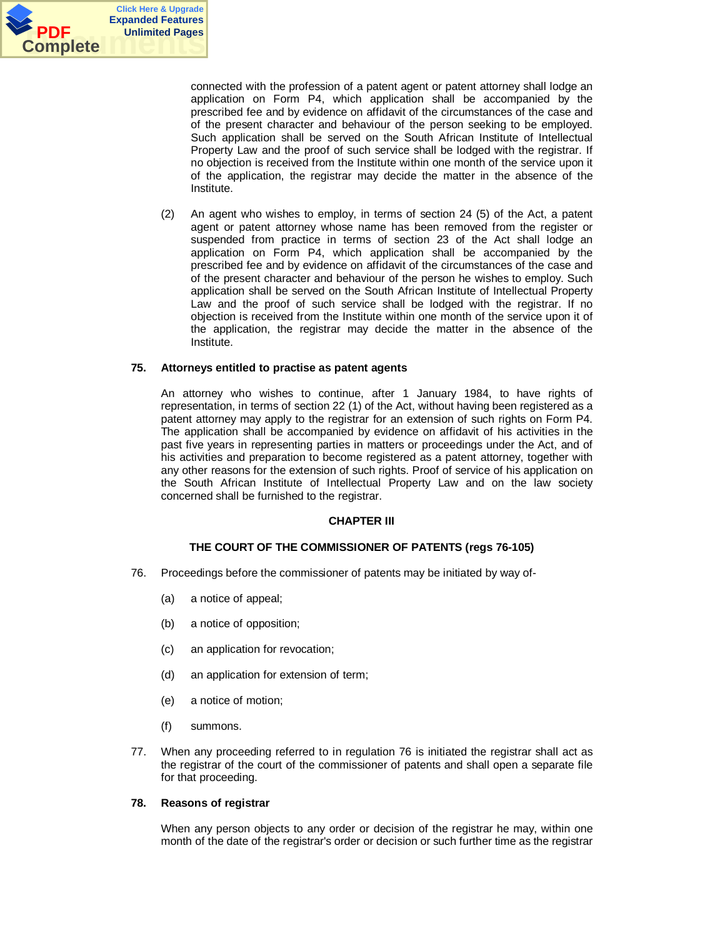

connected with the profession of a patent agent or patent attorney shall lodge an application on Form P4, which application shall be accompanied by the prescribed fee and by evidence on affidavit of the circumstances of the case and of the present character and behaviour of the person seeking to be employed. Such application shall be served on the South African Institute of Intellectual Property Law and the proof of such service shall be lodged with the registrar. If no objection is received from the Institute within one month of the service upon it of the application, the registrar may decide the matter in the absence of the Institute.

(2) An agent who wishes to employ, in terms of section 24 (5) of the Act, a patent agent or patent attorney whose name has been removed from the register or suspended from practice in terms of section 23 of the Act shall lodge an application on Form P4, which application shall be accompanied by the prescribed fee and by evidence on affidavit of the circumstances of the case and of the present character and behaviour of the person he wishes to employ. Such application shall be served on the South African Institute of Intellectual Property Law and the proof of such service shall be lodged with the registrar. If no objection is received from the Institute within one month of the service upon it of the application, the registrar may decide the matter in the absence of the Institute.

## **75. Attorneys entitled to practise as patent agents**

An attorney who wishes to continue, after 1 January 1984, to have rights of representation, in terms of section 22 (1) of the Act, without having been registered as a patent attorney may apply to the registrar for an extension of such rights on Form P4. The application shall be accompanied by evidence on affidavit of his activities in the past five years in representing parties in matters or proceedings under the Act, and of his activities and preparation to become registered as a patent attorney, together with any other reasons for the extension of such rights. Proof of service of his application on the South African Institute of Intellectual Property Law and on the law society concerned shall be furnished to the registrar.

## **CHAPTER III**

## **THE COURT OF THE COMMISSIONER OF PATENTS (regs 76-105)**

- 76. Proceedings before the commissioner of patents may be initiated by way of-
	- (a) a notice of appeal;
	- (b) a notice of opposition;
	- (c) an application for revocation;
	- (d) an application for extension of term;
	- (e) a notice of motion;
	- (f) summons.
- 77. When any proceeding referred to in regulation 76 is initiated the registrar shall act as the registrar of the court of the commissioner of patents and shall open a separate file for that proceeding.

## **78. Reasons of registrar**

When any person objects to any order or decision of the registrar he may, within one month of the date of the registrar's order or decision or such further time as the registrar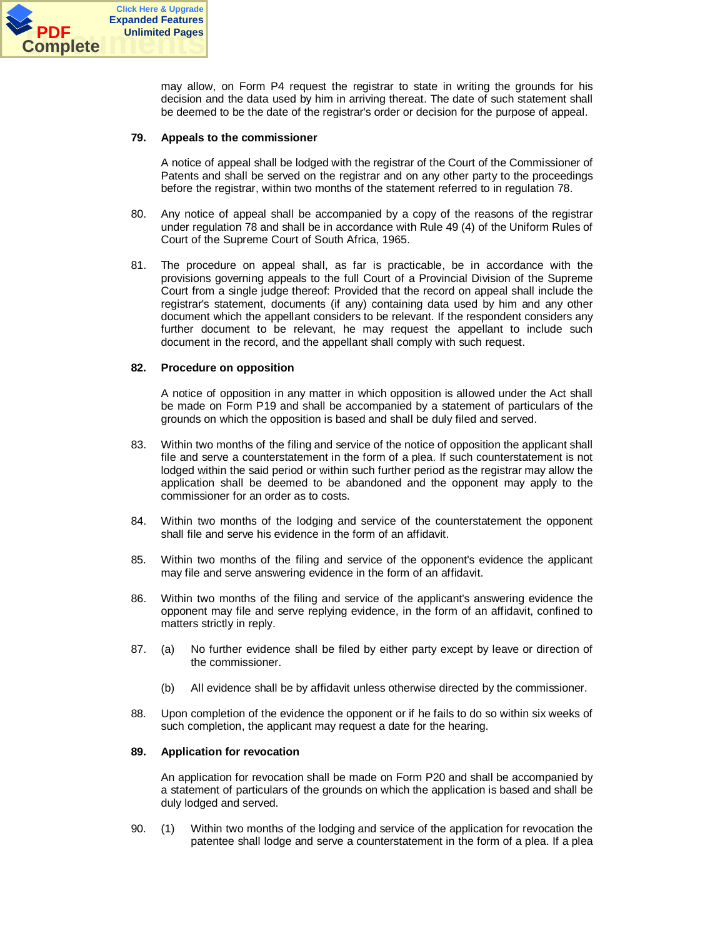

may allow, on Form P4 request the registrar to state in writing the grounds for his decision and the data used by him in arriving thereat. The date of such statement shall be deemed to be the date of the registrar's order or decision for the purpose of appeal.

## **79. Appeals to the commissioner**

A notice of appeal shall be lodged with the registrar of the Court of the Commissioner of Patents and shall be served on the registrar and on any other party to the proceedings before the registrar, within two months of the statement referred to in regulation 78.

- 80. Any notice of appeal shall be accompanied by a copy of the reasons of the registrar under regulation 78 and shall be in accordance with Rule 49 (4) of the Uniform Rules of Court of the Supreme Court of South Africa, 1965.
- 81. The procedure on appeal shall, as far is practicable, be in accordance with the provisions governing appeals to the full Court of a Provincial Division of the Supreme Court from a single judge thereof: Provided that the record on appeal shall include the registrar's statement, documents (if any) containing data used by him and any other document which the appellant considers to be relevant. If the respondent considers any further document to be relevant, he may request the appellant to include such document in the record, and the appellant shall comply with such request.

## **82. Procedure on opposition**

A notice of opposition in any matter in which opposition is allowed under the Act shall be made on Form P19 and shall be accompanied by a statement of particulars of the grounds on which the opposition is based and shall be duly filed and served.

- 83. Within two months of the filing and service of the notice of opposition the applicant shall file and serve a counterstatement in the form of a plea. If such counterstatement is not lodged within the said period or within such further period as the registrar may allow the application shall be deemed to be abandoned and the opponent may apply to the commissioner for an order as to costs.
- 84. Within two months of the lodging and service of the counterstatement the opponent shall file and serve his evidence in the form of an affidavit.
- 85. Within two months of the filing and service of the opponent's evidence the applicant may file and serve answering evidence in the form of an affidavit.
- 86. Within two months of the filing and service of the applicant's answering evidence the opponent may file and serve replying evidence, in the form of an affidavit, confined to matters strictly in reply.
- 87. (a) No further evidence shall be filed by either party except by leave or direction of the commissioner.
	- (b) All evidence shall be by affidavit unless otherwise directed by the commissioner.
- 88. Upon completion of the evidence the opponent or if he fails to do so within six weeks of such completion, the applicant may request a date for the hearing.

#### **89. Application for revocation**

An application for revocation shall be made on Form P20 and shall be accompanied by a statement of particulars of the grounds on which the application is based and shall be duly lodged and served.

90. (1) Within two months of the lodging and service of the application for revocation the patentee shall lodge and serve a counterstatement in the form of a plea. If a plea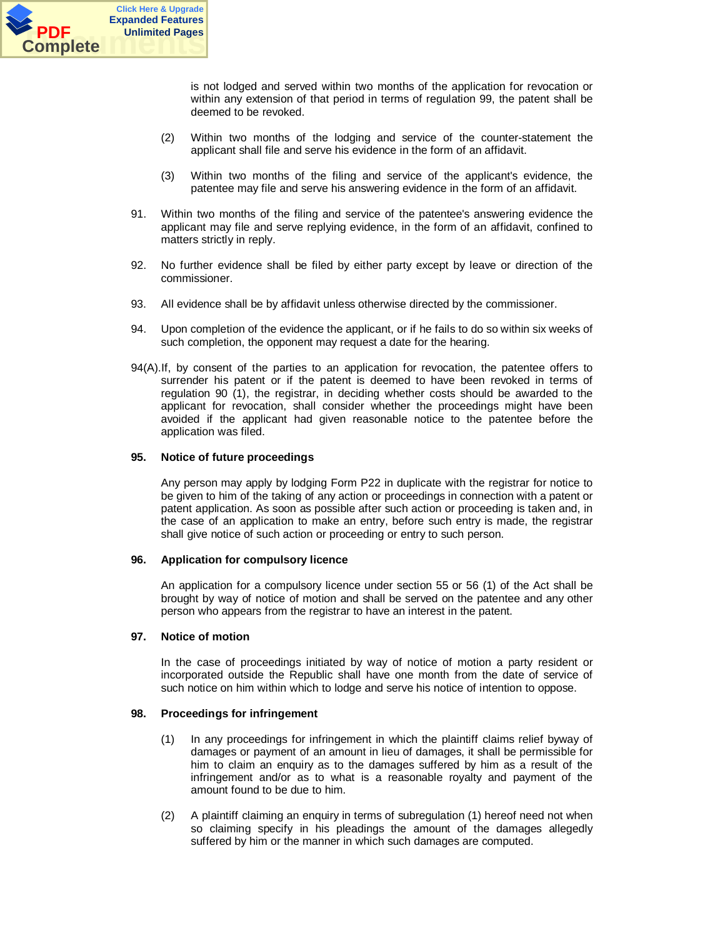

is not lodged and served within two months of the application for revocation or within any extension of that period in terms of regulation 99, the patent shall be deemed to be revoked.

- (2) Within two months of the lodging and service of the counter-statement the applicant shall file and serve his evidence in the form of an affidavit.
- (3) Within two months of the filing and service of the applicant's evidence, the patentee may file and serve his answering evidence in the form of an affidavit.
- 91. Within two months of the filing and service of the patentee's answering evidence the applicant may file and serve replying evidence, in the form of an affidavit, confined to matters strictly in reply.
- 92. No further evidence shall be filed by either party except by leave or direction of the commissioner.
- 93. All evidence shall be by affidavit unless otherwise directed by the commissioner.
- 94. Upon completion of the evidence the applicant, or if he fails to do so within six weeks of such completion, the opponent may request a date for the hearing.
- 94(A).If, by consent of the parties to an application for revocation, the patentee offers to surrender his patent or if the patent is deemed to have been revoked in terms of regulation 90 (1), the registrar, in deciding whether costs should be awarded to the applicant for revocation, shall consider whether the proceedings might have been avoided if the applicant had given reasonable notice to the patentee before the application was filed.

## **95. Notice of future proceedings**

Any person may apply by lodging Form P22 in duplicate with the registrar for notice to be given to him of the taking of any action or proceedings in connection with a patent or patent application. As soon as possible after such action or proceeding is taken and, in the case of an application to make an entry, before such entry is made, the registrar shall give notice of such action or proceeding or entry to such person.

## **96. Application for compulsory licence**

An application for a compulsory licence under section 55 or 56 (1) of the Act shall be brought by way of notice of motion and shall be served on the patentee and any other person who appears from the registrar to have an interest in the patent.

#### **97. Notice of motion**

In the case of proceedings initiated by way of notice of motion a party resident or incorporated outside the Republic shall have one month from the date of service of such notice on him within which to lodge and serve his notice of intention to oppose.

## **98. Proceedings for infringement**

- (1) In any proceedings for infringement in which the plaintiff claims relief byway of damages or payment of an amount in lieu of damages, it shall be permissible for him to claim an enquiry as to the damages suffered by him as a result of the infringement and/or as to what is a reasonable royalty and payment of the amount found to be due to him.
- (2) A plaintiff claiming an enquiry in terms of subregulation (1) hereof need not when so claiming specify in his pleadings the amount of the damages allegedly suffered by him or the manner in which such damages are computed.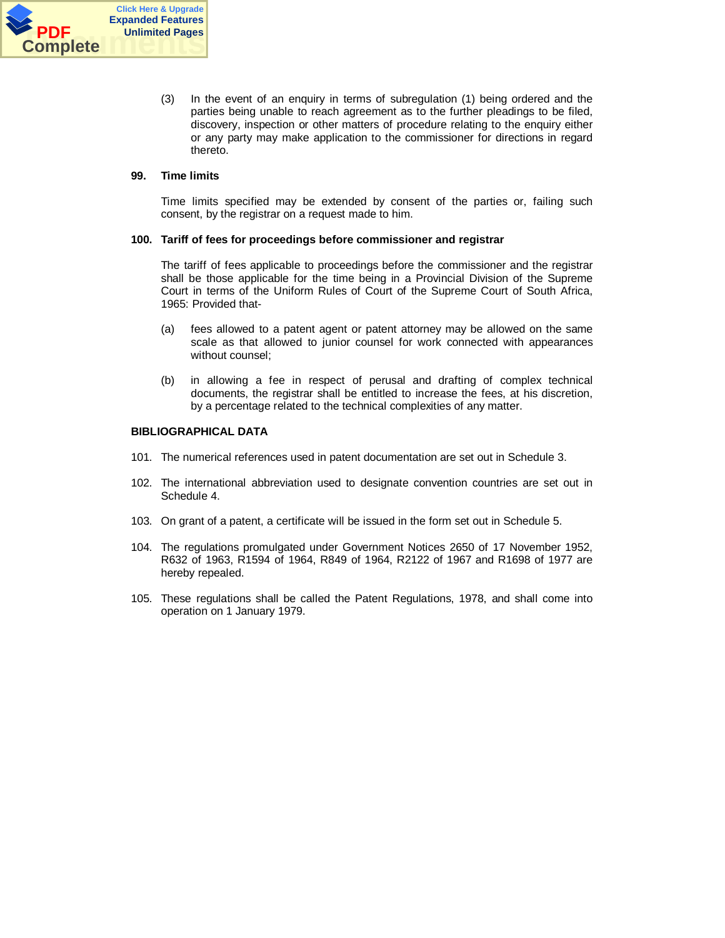

(3) In the event of an enquiry in terms of subregulation (1) being ordered and the parties being unable to reach agreement as to the further pleadings to be filed, discovery, inspection or other matters of procedure relating to the enquiry either or any party may make application to the commissioner for directions in regard thereto.

## **99. Time limits**

Time limits specified may be extended by consent of the parties or, failing such consent, by the registrar on a request made to him.

## **100. Tariff of fees for proceedings before commissioner and registrar**

The tariff of fees applicable to proceedings before the commissioner and the registrar shall be those applicable for the time being in a Provincial Division of the Supreme Court in terms of the Uniform Rules of Court of the Supreme Court of South Africa, 1965: Provided that-

- (a) fees allowed to a patent agent or patent attorney may be allowed on the same scale as that allowed to junior counsel for work connected with appearances without counsel;
- (b) in allowing a fee in respect of perusal and drafting of complex technical documents, the registrar shall be entitled to increase the fees, at his discretion, by a percentage related to the technical complexities of any matter.

## **BIBLIOGRAPHICAL DATA**

- 101. The numerical references used in patent documentation are set out in Schedule 3.
- 102. The international abbreviation used to designate convention countries are set out in Schedule 4.
- 103. On grant of a patent, a certificate will be issued in the form set out in Schedule 5.
- 104. The regulations promulgated under Government Notices 2650 of 17 November 1952, R632 of 1963, R1594 of 1964, R849 of 1964, R2122 of 1967 and R1698 of 1977 are hereby repealed.
- 105. These regulations shall be called the Patent Regulations, 1978, and shall come into operation on 1 January 1979.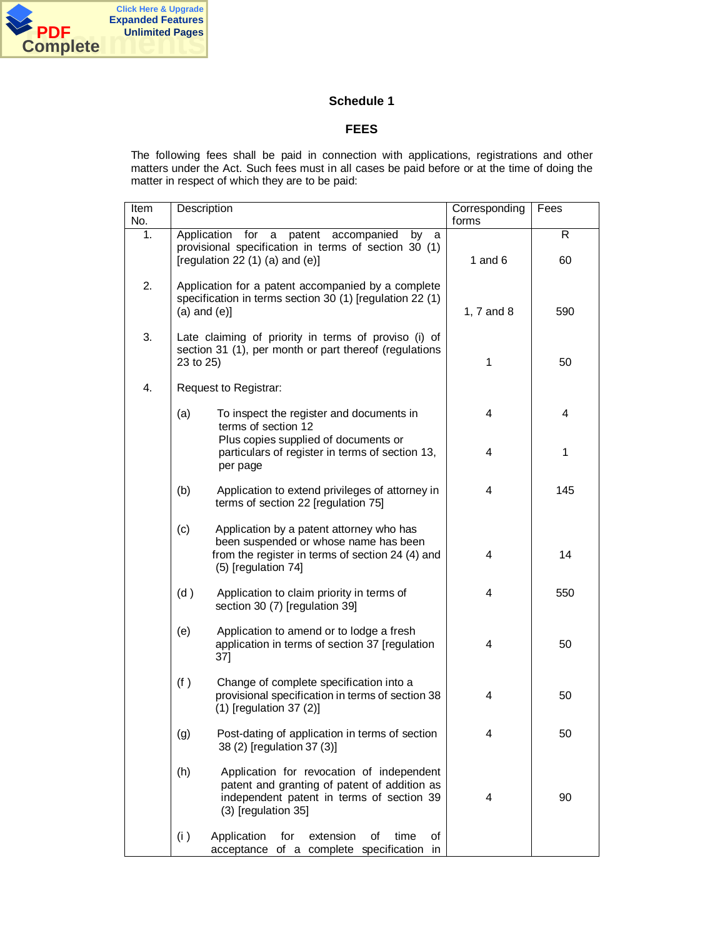

## **Schedule 1**

## **FEES**

The following fees shall be paid in connection with applications, registrations and other matters under the Act. Such fees must in all cases be paid before or at the time of doing the matter in respect of which they are to be paid:

| Item<br>No. | Description       |                                                                                                                                                               | Corresponding<br>forms | Fees    |
|-------------|-------------------|---------------------------------------------------------------------------------------------------------------------------------------------------------------|------------------------|---------|
| 1.          |                   | a patent<br>Application for<br>accompanied<br>by<br>a<br>provisional specification in terms of section 30 (1)<br>[regulation 22 $(1)$ $(a)$ and $(e)$ ]       | 1 and $6$              | R<br>60 |
| 2.          | $(a)$ and $(e)$ ] | Application for a patent accompanied by a complete<br>specification in terms section 30 (1) [regulation 22 (1)                                                | 1, 7 and 8             | 590     |
| 3.          | 23 to 25)         | Late claiming of priority in terms of proviso (i) of<br>section 31 (1), per month or part thereof (regulations                                                | 1                      | 50      |
| 4.          |                   | Request to Registrar:                                                                                                                                         |                        |         |
|             | (a)               | To inspect the register and documents in<br>terms of section 12                                                                                               | 4                      | 4       |
|             |                   | Plus copies supplied of documents or<br>particulars of register in terms of section 13,<br>per page                                                           | 4                      | 1       |
|             | (b)               | Application to extend privileges of attorney in<br>terms of section 22 [regulation 75]                                                                        | 4                      | 145     |
|             | (c)               | Application by a patent attorney who has<br>been suspended or whose name has been<br>from the register in terms of section 24 (4) and<br>(5) [regulation 74]  | 4                      | 14      |
|             | (d)               | Application to claim priority in terms of<br>section 30 (7) [regulation 39]                                                                                   | 4                      | 550     |
|             | (e)               | Application to amend or to lodge a fresh<br>application in terms of section 37 [regulation<br>37]                                                             | 4                      | 50      |
|             | (f)               | Change of complete specification into a<br>provisional specification in terms of section 38<br>$(1)$ [regulation 37 $(2)$ ]                                   | 4                      | 50      |
|             | (g)               | Post-dating of application in terms of section<br>38 (2) [regulation 37 (3)]                                                                                  | 4                      | 50      |
|             | (h)               | Application for revocation of independent<br>patent and granting of patent of addition as<br>independent patent in terms of section 39<br>(3) [regulation 35] | 4                      | 90      |
|             | (i)               | Application<br>for<br>extension<br>of<br>time<br>οf<br>of a complete specification<br>acceptance<br>in.                                                       |                        |         |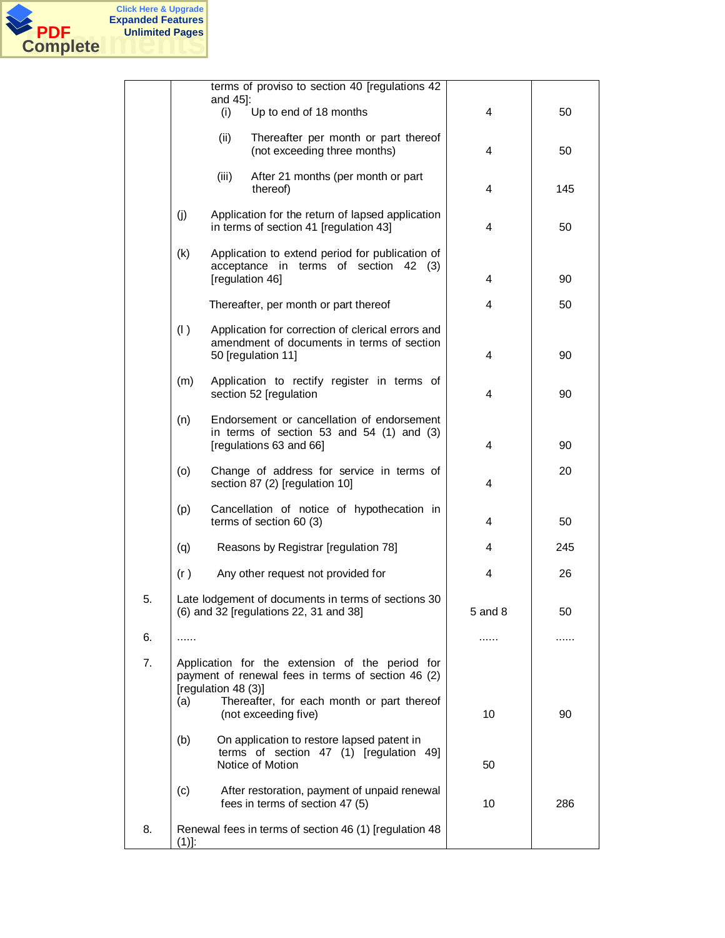

|    |      |                     | terms of proviso to section 40 [regulations 42                                                                        |         |     |
|----|------|---------------------|-----------------------------------------------------------------------------------------------------------------------|---------|-----|
|    |      | and 45]:<br>(i)     | Up to end of 18 months                                                                                                | 4       | 50  |
|    |      | (ii)                | Thereafter per month or part thereof<br>(not exceeding three months)                                                  | 4       | 50  |
|    |      | (iii)               | After 21 months (per month or part<br>thereof)                                                                        | 4       | 145 |
|    | (j)  |                     | Application for the return of lapsed application<br>in terms of section 41 [regulation 43]                            | 4       | 50  |
|    | (k)  |                     | Application to extend period for publication of<br>acceptance in terms of section 42 (3)<br>[regulation 46]           | 4       | 90  |
|    |      |                     | Thereafter, per month or part thereof                                                                                 | 4       | 50  |
|    | (1)  |                     | Application for correction of clerical errors and<br>amendment of documents in terms of section<br>50 [regulation 11] | 4       | 90  |
|    | (m)  |                     | Application to rectify register in terms of<br>section 52 [regulation                                                 | 4       | 90  |
|    | (n)  |                     | Endorsement or cancellation of endorsement<br>in terms of section 53 and $54$ (1) and (3)<br>[regulations 63 and 66]  | 4       | 90  |
|    | (o)  |                     | Change of address for service in terms of<br>section 87 (2) [regulation 10]                                           | 4       | 20  |
|    | (p)  |                     | Cancellation of notice of hypothecation in<br>terms of section 60 (3)                                                 | 4       | 50  |
|    | (q)  |                     | Reasons by Registrar [regulation 78]                                                                                  | 4       | 245 |
|    | (r)  |                     | Any other request not provided for                                                                                    | 4       | 26  |
| 5. |      |                     | Late lodgement of documents in terms of sections 30<br>(6) and 32 [regulations 22, 31 and 38]                         | 5 and 8 | 50  |
| 6. | .    |                     |                                                                                                                       | .       | .   |
| 7. |      | [regulation 48 (3)] | Application for the extension of the period for<br>payment of renewal fees in terms of section 46 (2)                 |         |     |
|    | (a)  |                     | Thereafter, for each month or part thereof<br>(not exceeding five)                                                    | 10      | 90  |
|    | (b)  |                     | On application to restore lapsed patent in<br>terms of section 47 (1) [regulation 49]<br>Notice of Motion             | 50      |     |
|    | (c)  |                     | After restoration, payment of unpaid renewal<br>fees in terms of section 47 (5)                                       | 10      | 286 |
| 8. | (1)! |                     | Renewal fees in terms of section 46 (1) [regulation 48                                                                |         |     |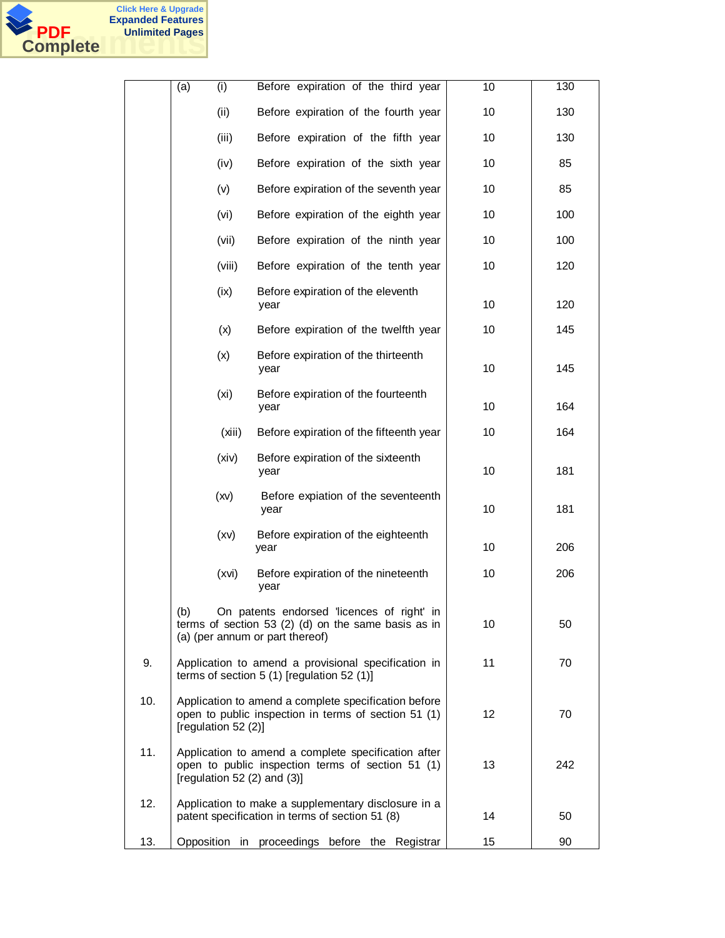

|     | (a) | (i)                 | Before expiration of the third year                                                                                                          | 10 | 130 |
|-----|-----|---------------------|----------------------------------------------------------------------------------------------------------------------------------------------|----|-----|
|     |     | (ii)                | Before expiration of the fourth year                                                                                                         | 10 | 130 |
|     |     | (iii)               | Before expiration of the fifth year                                                                                                          | 10 | 130 |
|     |     | (iv)                | Before expiration of the sixth year                                                                                                          | 10 | 85  |
|     |     | (v)                 | Before expiration of the seventh year                                                                                                        | 10 | 85  |
|     |     | (vi)                | Before expiration of the eighth year                                                                                                         | 10 | 100 |
|     |     | (vii)               | Before expiration of the ninth year                                                                                                          | 10 | 100 |
|     |     | (viii)              | Before expiration of the tenth year                                                                                                          | 10 | 120 |
|     |     | (ix)                | Before expiration of the eleventh<br>year                                                                                                    | 10 | 120 |
|     |     | (x)                 | Before expiration of the twelfth year                                                                                                        | 10 | 145 |
|     |     | (x)                 | Before expiration of the thirteenth<br>year                                                                                                  | 10 | 145 |
|     |     | (xi)                | Before expiration of the fourteenth<br>year                                                                                                  | 10 | 164 |
|     |     | (xiii)              | Before expiration of the fifteenth year                                                                                                      | 10 | 164 |
|     |     | (xiv)               | Before expiration of the sixteenth<br>year                                                                                                   | 10 | 181 |
|     |     | (xv)                | Before expiation of the seventeenth<br>year                                                                                                  | 10 | 181 |
|     |     | (xv)                | Before expiration of the eighteenth<br>year                                                                                                  | 10 | 206 |
|     |     | (xvi)               | Before expiration of the nineteenth<br>year                                                                                                  | 10 | 206 |
|     | (b) |                     | On patents endorsed 'licences of right' in<br>terms of section 53 $(2)$ $(d)$ on the same basis as in<br>(a) (per annum or part thereof)     | 10 | 50  |
| 9.  |     |                     | Application to amend a provisional specification in<br>terms of section $5(1)$ [regulation $52(1)$ ]                                         | 11 | 70  |
| 10. |     | [regulation 52 (2)] | Application to amend a complete specification before<br>open to public inspection in terms of section 51 (1)                                 | 12 | 70  |
| 11. |     |                     | Application to amend a complete specification after<br>open to public inspection terms of section 51 (1)<br>[regulation 52 $(2)$ and $(3)$ ] | 13 | 242 |
| 12. |     |                     | Application to make a supplementary disclosure in a<br>patent specification in terms of section 51 (8)                                       | 14 | 50  |
| 13. |     | Opposition in       | proceedings before the Registrar                                                                                                             | 15 | 90  |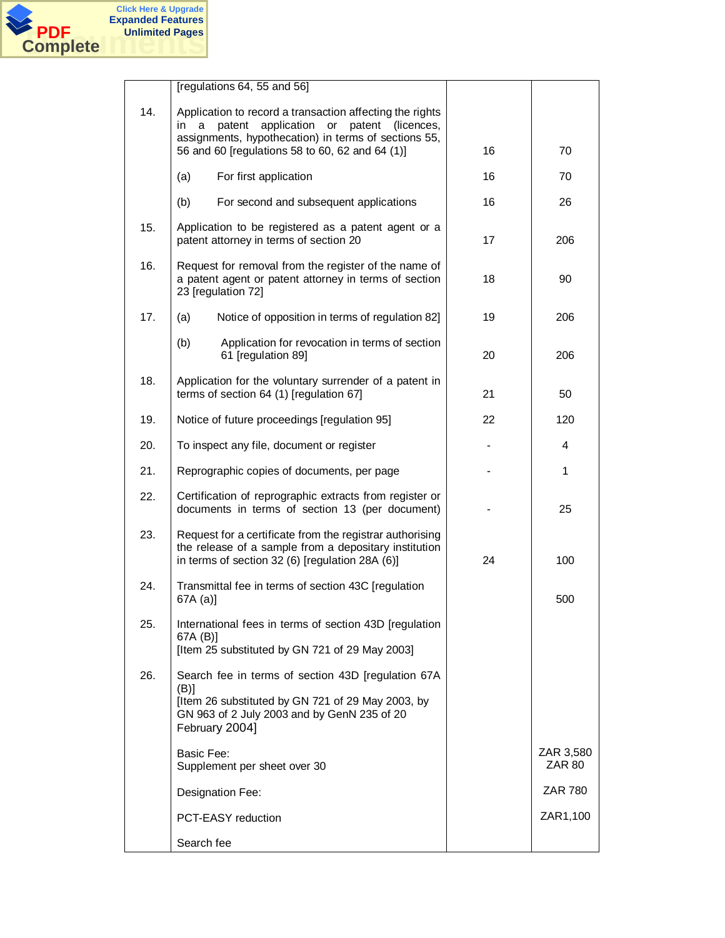

|     | [regulations 64, 55 and 56]                                                                                                                                                                                                        |    |                     |
|-----|------------------------------------------------------------------------------------------------------------------------------------------------------------------------------------------------------------------------------------|----|---------------------|
| 14. | Application to record a transaction affecting the rights<br>patent<br>application<br>or<br>patent (licences,<br>in<br>a<br>assignments, hypothecation) in terms of sections 55,<br>56 and 60 [regulations 58 to 60, 62 and 64 (1)] | 16 | 70                  |
|     | (a)<br>For first application                                                                                                                                                                                                       | 16 | 70                  |
|     | (b)<br>For second and subsequent applications                                                                                                                                                                                      | 16 | 26                  |
| 15. | Application to be registered as a patent agent or a<br>patent attorney in terms of section 20                                                                                                                                      | 17 | 206                 |
| 16. | Request for removal from the register of the name of<br>a patent agent or patent attorney in terms of section<br>23 [regulation 72]                                                                                                | 18 | 90                  |
| 17. | Notice of opposition in terms of regulation 82]<br>(a)                                                                                                                                                                             | 19 | 206                 |
|     | (b)<br>Application for revocation in terms of section<br>61 [regulation 89]                                                                                                                                                        | 20 | 206                 |
| 18. | Application for the voluntary surrender of a patent in<br>terms of section 64 (1) [regulation 67]                                                                                                                                  | 21 | 50                  |
| 19. | Notice of future proceedings [regulation 95]                                                                                                                                                                                       | 22 | 120                 |
| 20. | To inspect any file, document or register                                                                                                                                                                                          |    | 4                   |
| 21. | Reprographic copies of documents, per page                                                                                                                                                                                         |    | 1                   |
| 22. | Certification of reprographic extracts from register or<br>documents in terms of section 13 (per document)                                                                                                                         |    | 25                  |
| 23. | Request for a certificate from the registrar authorising<br>the release of a sample from a depositary institution<br>in terms of section 32 (6) [regulation 28A (6)]                                                               | 24 | 100                 |
| 24. | Transmittal fee in terms of section 43C [regulation<br>67A (a)]                                                                                                                                                                    |    | 500                 |
| 25. | International fees in terms of section 43D [regulation<br>67A (B)]<br>[Item 25 substituted by GN 721 of 29 May 2003]                                                                                                               |    |                     |
| 26. | Search fee in terms of section 43D [regulation 67A<br>$(B)$ ]                                                                                                                                                                      |    |                     |
|     | [Item 26 substituted by GN 721 of 29 May 2003, by<br>GN 963 of 2 July 2003 and by GenN 235 of 20<br>February 2004]                                                                                                                 |    |                     |
|     | <b>Basic Fee:</b><br>Supplement per sheet over 30                                                                                                                                                                                  |    | ZAR 3,580<br>ZAR 80 |
|     | Designation Fee:                                                                                                                                                                                                                   |    | <b>ZAR 780</b>      |
|     | <b>PCT-EASY</b> reduction                                                                                                                                                                                                          |    | ZAR1,100            |
|     | Search fee                                                                                                                                                                                                                         |    |                     |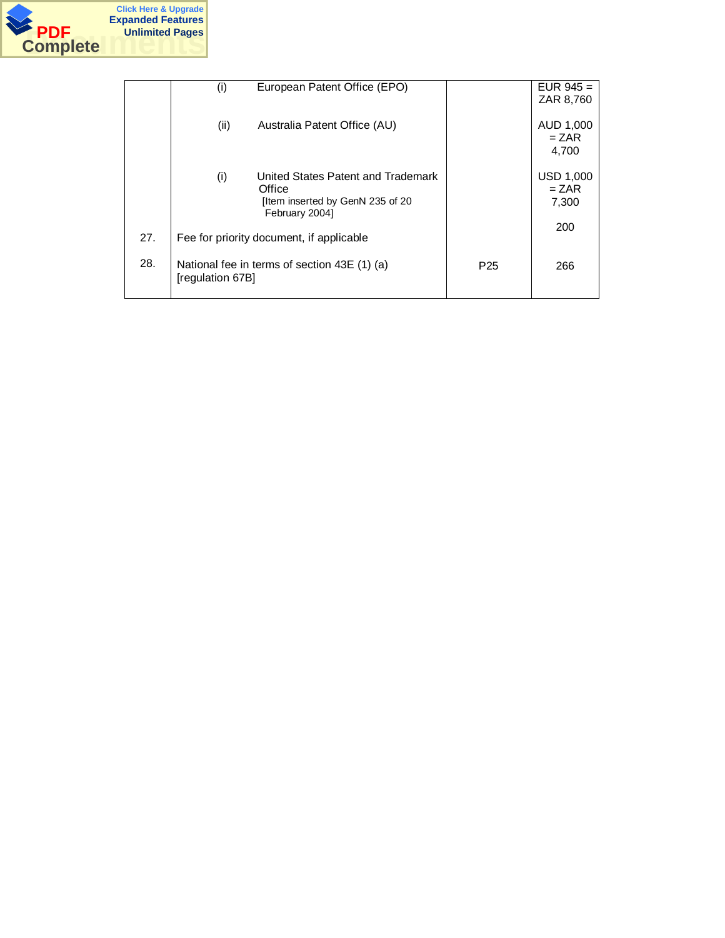

|     | European Patent Office (EPO)<br>(i)          |                 | EUR $945 =$      |
|-----|----------------------------------------------|-----------------|------------------|
|     |                                              |                 | ZAR 8,760        |
|     |                                              |                 |                  |
|     |                                              |                 |                  |
|     | (ii)<br>Australia Patent Office (AU)         |                 | AUD 1,000        |
|     |                                              |                 |                  |
|     |                                              |                 | $= ZAR$          |
|     |                                              |                 | 4.700            |
|     |                                              |                 |                  |
|     |                                              |                 |                  |
|     | (i)<br>United States Patent and Trademark    |                 | <b>USD 1,000</b> |
|     | Office                                       |                 | $= ZAR$          |
|     |                                              |                 |                  |
|     | [Item inserted by GenN 235 of 20             |                 | 7,300            |
|     | February 2004]                               |                 |                  |
|     |                                              |                 | 200              |
| 27. | Fee for priority document, if applicable     |                 |                  |
|     |                                              |                 |                  |
|     |                                              |                 |                  |
| 28. | National fee in terms of section 43E (1) (a) | P <sub>25</sub> | 266              |
|     |                                              |                 |                  |
|     | [regulation 67B]                             |                 |                  |
|     |                                              |                 |                  |
|     |                                              |                 |                  |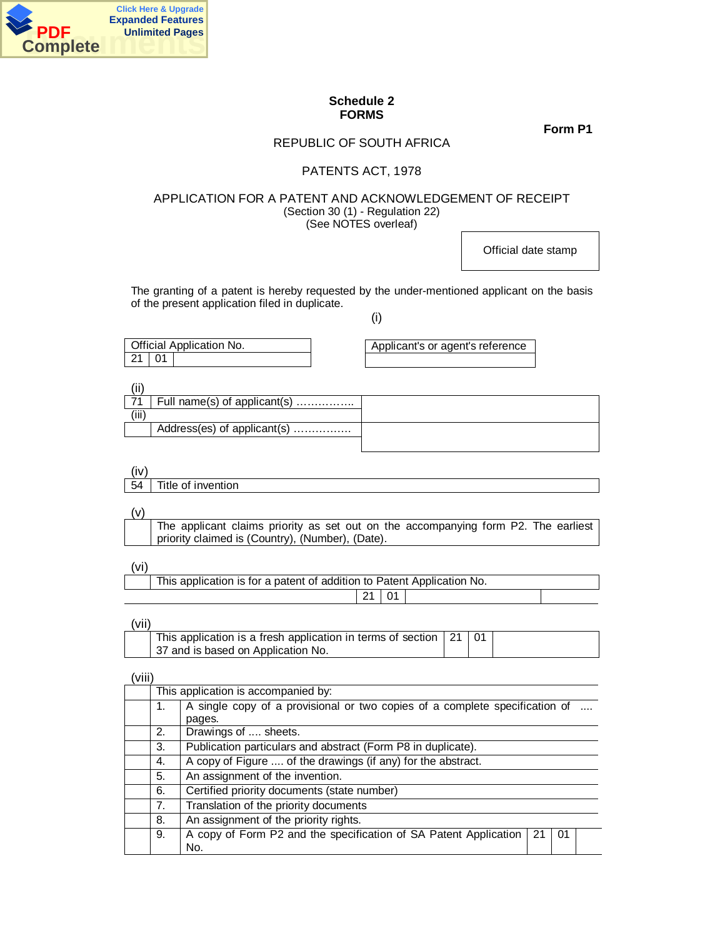

## **Schedule 2 FORMS**

**Form P1**

# REPUBLIC OF SOUTH AFRICA

## PATENTS ACT, 1978

## APPLICATION FOR A PATENT AND ACKNOWLEDGEMENT OF RECEIPT (Section 30 (1) - Regulation 22) (See NOTES overleaf)

Official date stamp

The granting of a patent is hereby requested by the under-mentioned applicant on the basis of the present application filed in duplicate.

(i)

| Official Application No. | Applicant's or agent's reference |
|--------------------------|----------------------------------|
| -01                      |                                  |

|      | Full name(s) of applicant(s) |  |
|------|------------------------------|--|
| ,,,, |                              |  |
|      | Address(es) of applicant(s)  |  |
|      |                              |  |

(iv)

54 Title of invention

(v)

 The applicant claims priority as set out on the accompanying form P2. The earliest priority claimed is (Country), (Number), (Date).

(vi)

| This application is for a patent of addition to Patent Application No. |  |  |
|------------------------------------------------------------------------|--|--|
| $21 \quad 01$                                                          |  |  |

(vii)

| , , , , , |                                                                                   |  |  |
|-----------|-----------------------------------------------------------------------------------|--|--|
|           | This application is a fresh application in terms of section $\vert$ 21 $\vert$ 01 |  |  |
|           | 37 and is based on Application No.                                                |  |  |

(viii)

| This application is accompanied by:                                                         |                                                                                      |  |  |  |
|---------------------------------------------------------------------------------------------|--------------------------------------------------------------------------------------|--|--|--|
| A single copy of a provisional or two copies of a complete specification of<br>1.<br>pages. |                                                                                      |  |  |  |
| 2.                                                                                          | Drawings of  sheets.                                                                 |  |  |  |
| Publication particulars and abstract (Form P8 in duplicate).<br>3.                          |                                                                                      |  |  |  |
| 4.                                                                                          | A copy of Figure  of the drawings (if any) for the abstract.                         |  |  |  |
| 5.                                                                                          | An assignment of the invention.                                                      |  |  |  |
| 6.                                                                                          | Certified priority documents (state number)                                          |  |  |  |
| 7.<br>Translation of the priority documents                                                 |                                                                                      |  |  |  |
| An assignment of the priority rights.<br>8.                                                 |                                                                                      |  |  |  |
| 9.                                                                                          | A copy of Form P2 and the specification of SA Patent Application<br>21<br>-01<br>No. |  |  |  |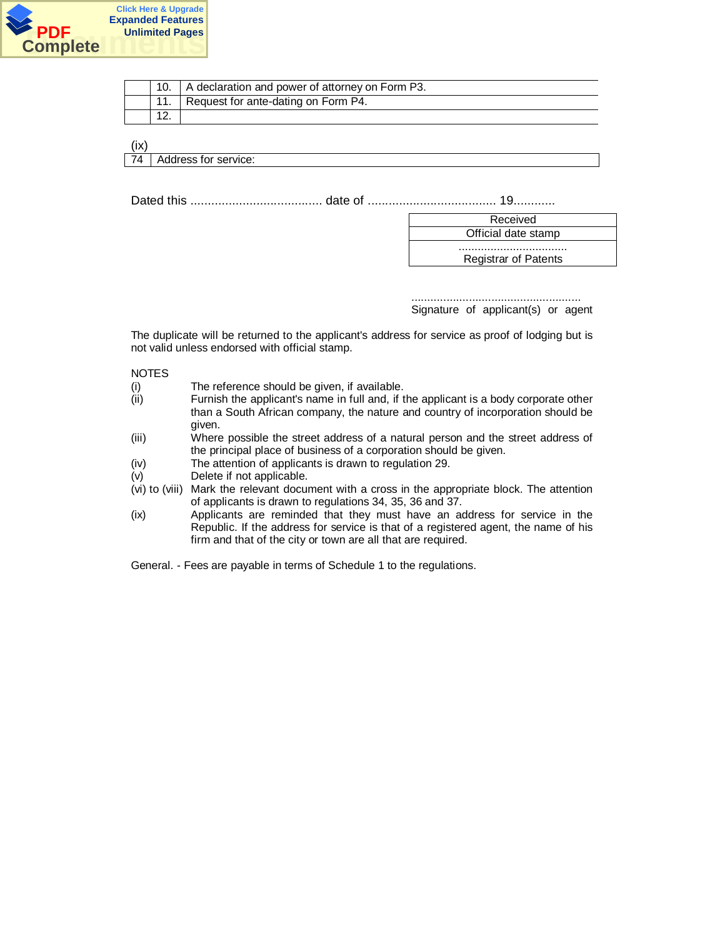

|           | A declaration and power of attorney on Form P3. |
|-----------|-------------------------------------------------|
|           | Request for ante-dating on Form P4.             |
| <u>L.</u> |                                                 |

(ix) 74 | Address for service:

Dated this ...................................... date of ..................................... 19............

| Received                    |
|-----------------------------|
| Official date stamp         |
|                             |
| <b>Registrar of Patents</b> |

..................................................... Signature of applicant(s) or agent

The duplicate will be returned to the applicant's address for service as proof of lodging but is not valid unless endorsed with official stamp.

NOTES

- (i) The reference should be given, if available.
- (ii) Furnish the applicant's name in full and, if the applicant is a body corporate other than a South African company, the nature and country of incorporation should be given.
- (iii) Where possible the street address of a natural person and the street address of the principal place of business of a corporation should be given.
- (iv) The attention of applicants is drawn to regulation 29.
- (v) Delete if not applicable.
- (vi) to (viii) Mark the relevant document with a cross in the appropriate block. The attention of applicants is drawn to regulations 34, 35, 36 and 37.
- (ix) Applicants are reminded that they must have an address for service in the Republic. If the address for service is that of a registered agent, the name of his firm and that of the city or town are all that are required.

General. - Fees are payable in terms of Schedule 1 to the regulations.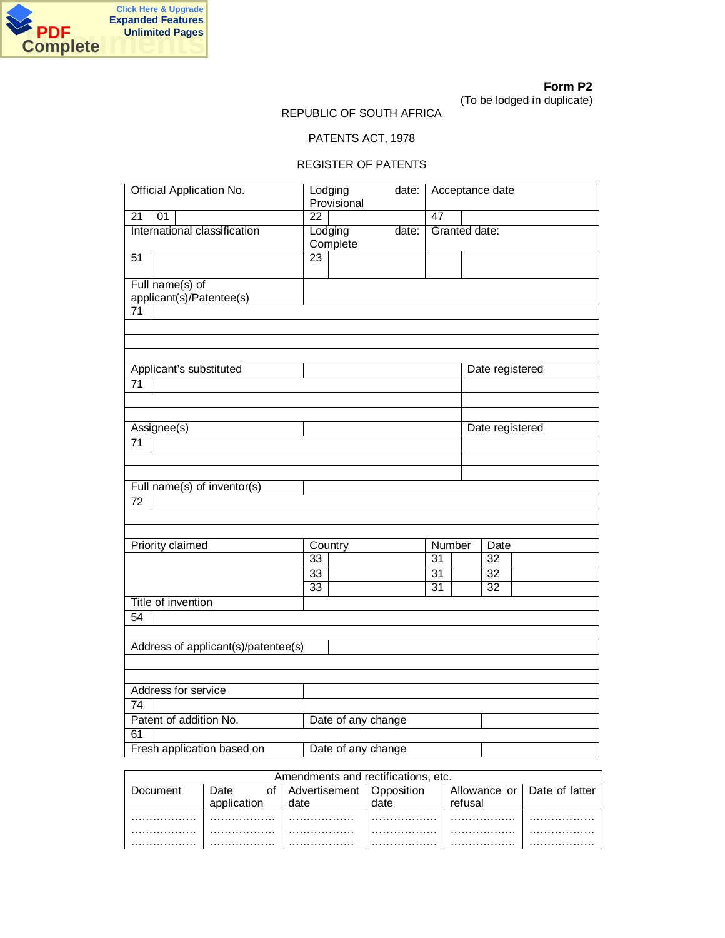

## REPUBLIC OF SOUTH AFRICA

# PATENTS ACT, 1978

## REGISTER OF PATENTS

| <b>Official Application No.</b>                |                 | Lodging<br>Provisional | date: | Acceptance date |                 |                 |
|------------------------------------------------|-----------------|------------------------|-------|-----------------|-----------------|-----------------|
| 01<br>21                                       | $\overline{22}$ |                        |       | 47              |                 |                 |
| International classification                   |                 | Lodging<br>Complete    | date: | Granted date:   |                 |                 |
| $\overline{51}$                                | $\overline{23}$ |                        |       |                 |                 |                 |
| Full name(s) of<br>applicant(s)/Patentee(s)    |                 |                        |       |                 |                 |                 |
| $\overline{71}$                                |                 |                        |       |                 |                 |                 |
|                                                |                 |                        |       |                 |                 |                 |
|                                                |                 |                        |       |                 |                 |                 |
| Applicant's substituted                        |                 |                        |       |                 |                 | Date registered |
| $\overline{71}$                                |                 |                        |       |                 |                 |                 |
|                                                |                 |                        |       |                 |                 |                 |
| Assignee(s)                                    |                 |                        |       |                 |                 | Date registered |
| $\overline{71}$                                |                 |                        |       |                 |                 |                 |
|                                                |                 |                        |       |                 |                 |                 |
|                                                |                 |                        |       |                 |                 |                 |
| Full name(s) of inventor(s)<br>$\overline{72}$ |                 |                        |       |                 |                 |                 |
|                                                |                 |                        |       |                 |                 |                 |
|                                                |                 |                        |       |                 |                 |                 |
| <b>Priority claimed</b>                        |                 | Country                |       | Number          | Date            |                 |
|                                                | 33              |                        |       | $\overline{31}$ | $\overline{32}$ |                 |
|                                                | 33              |                        |       | $\overline{31}$ | $\overline{32}$ |                 |
|                                                | $\overline{33}$ |                        |       | $\overline{31}$ | $\overline{32}$ |                 |
| Title of invention                             |                 |                        |       |                 |                 |                 |
| 54                                             |                 |                        |       |                 |                 |                 |
|                                                |                 |                        |       |                 |                 |                 |
| Address of applicant(s)/patentee(s)            |                 |                        |       |                 |                 |                 |
|                                                |                 |                        |       |                 |                 |                 |
| Address for service                            |                 |                        |       |                 |                 |                 |
| $\overline{74}$                                |                 |                        |       |                 |                 |                 |
| Patent of addition No.                         |                 | Date of any change     |       |                 |                 |                 |
| 61                                             |                 |                        |       |                 |                 |                 |
| Fresh application based on                     |                 | Date of any change     |       |                 |                 |                 |

|           |             | Amendments and rectifications, etc. |            |                               |   |
|-----------|-------------|-------------------------------------|------------|-------------------------------|---|
| 'Jocument | Date.       | Advertisement                       | Opposition | Allowance or   Date of latter |   |
|           | application | late                                | date       | refusal                       |   |
|           | .           | .                                   |            |                               | . |
|           | .           |                                     | .          | .                             |   |
|           | .           | .                                   |            |                               | . |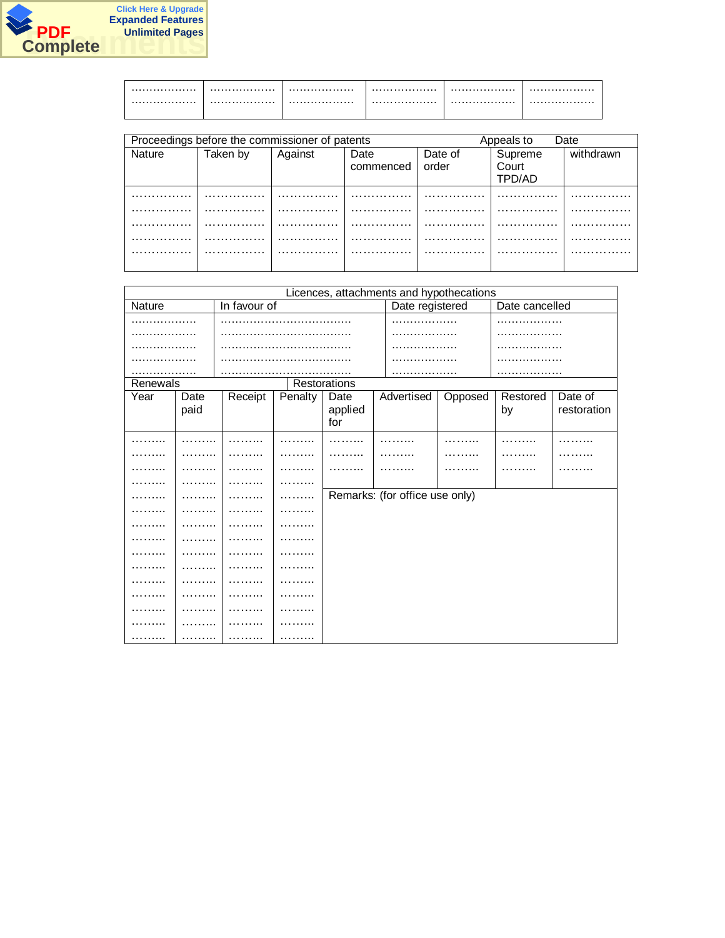

| <br> | <br> | <br> |
|------|------|------|
| <br> | <br> | <br> |

|               |          | Proceedings before the commissioner of patents |                   |                  | Date<br>Appeals to         |           |  |
|---------------|----------|------------------------------------------------|-------------------|------------------|----------------------------|-----------|--|
| <b>Nature</b> | Taken by | Against                                        | Date<br>commenced | Date of<br>order | Supreme<br>Court<br>TPD/AD | withdrawn |  |
| .             | .        | .                                              | .                 | .                | .                          | .         |  |
| .             | .        | .                                              | .                 |                  | .                          | .         |  |
| .             | .        | .                                              | .                 | .                | .                          | .         |  |
| .             |          | .                                              | .                 | .                |                            | .         |  |
| .             | .        | .                                              | .                 | .                | .                          | .         |  |

|          |      |              |         |              | Licences, attachments and hypothecations |         |                |             |
|----------|------|--------------|---------|--------------|------------------------------------------|---------|----------------|-------------|
| Nature   |      | In favour of |         |              | Date registered                          |         | Date cancelled |             |
| .        |      |              |         |              | .                                        |         | .              |             |
| .        |      |              |         |              | .                                        |         | .              |             |
|          |      |              |         |              |                                          |         |                |             |
|          |      |              |         |              |                                          |         |                |             |
| .        |      |              |         |              | .                                        |         | .              |             |
| Renewals |      |              |         | Restorations |                                          |         |                |             |
| Year     | Date | Receipt      | Penalty | Date         | Advertised                               | Opposed | Restored       | Date of     |
|          | paid |              |         | applied      |                                          |         | by             | restoration |
|          |      |              |         | for          |                                          |         |                |             |
|          |      |              |         |              |                                          |         |                | .           |
|          |      |              |         |              |                                          |         |                |             |
|          |      |              |         |              |                                          |         |                |             |
|          |      |              |         |              |                                          |         |                |             |
|          |      |              |         |              | Remarks: (for office use only)           |         |                |             |
| .        |      | .            |         |              |                                          |         |                |             |
|          |      |              | .       |              |                                          |         |                |             |
|          |      |              | .       |              |                                          |         |                |             |
|          |      |              |         |              |                                          |         |                |             |
| .        |      |              |         |              |                                          |         |                |             |
|          | .    |              | .       |              |                                          |         |                |             |
|          |      |              | .       |              |                                          |         |                |             |
|          |      |              | .       |              |                                          |         |                |             |
|          |      |              | .       |              |                                          |         |                |             |
| .        | .    | .            | .       |              |                                          |         |                |             |
|          | .    | .            | .       |              |                                          |         |                |             |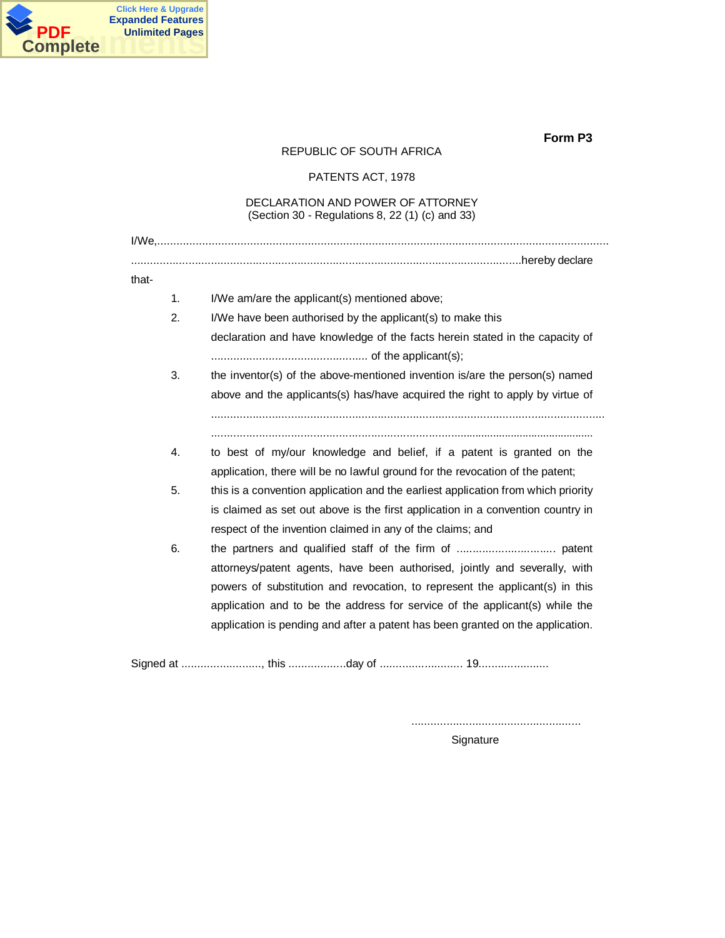

## REPUBLIC OF SOUTH AFRICA

PATENTS ACT, 1978

## DECLARATION AND POWER OF ATTORNEY (Section 30 - Regulations 8, 22 (1) (c) and 33)

| that-          |                                                                                   |
|----------------|-----------------------------------------------------------------------------------|
| $\mathbf{1}$ . | I/We am/are the applicant(s) mentioned above;                                     |
| 2.             | I/We have been authorised by the applicant(s) to make this                        |
|                | declaration and have knowledge of the facts herein stated in the capacity of      |
|                |                                                                                   |
| 3.             | the inventor(s) of the above-mentioned invention is/are the person(s) named       |
|                | above and the applicants(s) has/have acquired the right to apply by virtue of     |
|                |                                                                                   |
|                |                                                                                   |
| 4.             | to best of my/our knowledge and belief, if a patent is granted on the             |
|                | application, there will be no lawful ground for the revocation of the patent;     |
| 5.             | this is a convention application and the earliest application from which priority |
|                | is claimed as set out above is the first application in a convention country in   |
|                | respect of the invention claimed in any of the claims; and                        |
| 6.             |                                                                                   |
|                | attorneys/patent agents, have been authorised, jointly and severally, with        |
|                | powers of substitution and revocation, to represent the applicant(s) in this      |
|                | application and to be the address for service of the applicant(s) while the       |
|                | application is pending and after a patent has been granted on the application.    |
|                |                                                                                   |

Signed at ........................., this ..................day of .......................... 19......................

.....................................................

Signature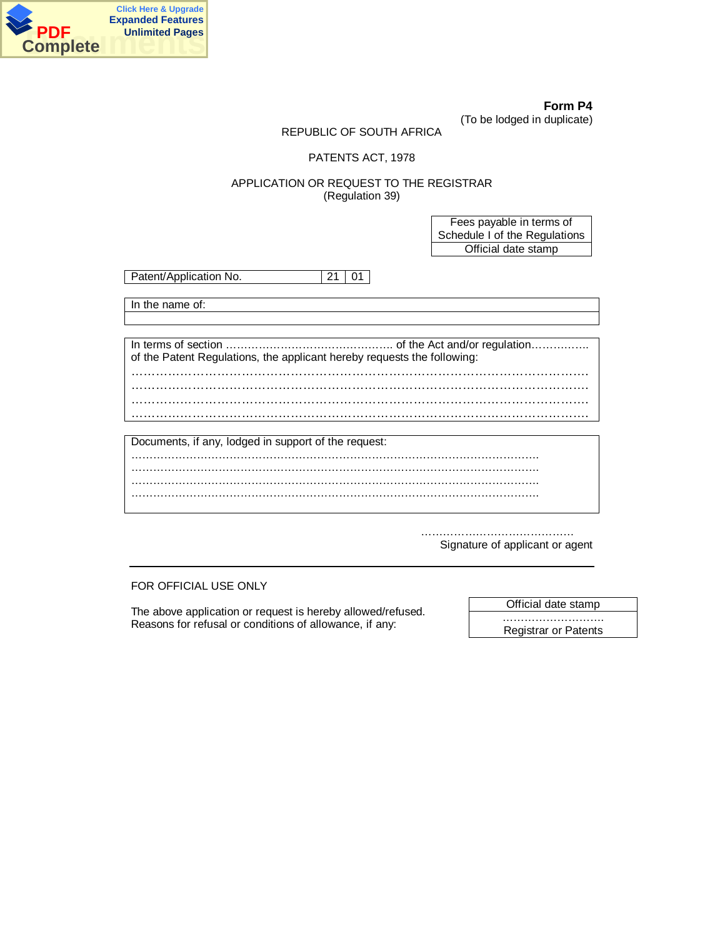

**Form P4** (To be lodged in duplicate)

## REPUBLIC OF SOUTH AFRICA

## PATENTS ACT, 1978

## APPLICATION OR REQUEST TO THE REGISTRAR (Regulation 39)

Fees payable in terms of Schedule I of the Regulations Official date stamp

Patent/Application No. 21 01

In the name of:

In terms of section ………………………………………. of the Act and/or regulation……………. of the Patent Regulations, the applicant hereby requests the following: …………………………………………………………………………………………………. …………………………………………………………………………………………………. …………………………………………………………………………………………………. ………………………………………………………………………………………………….

| Documents, if any, lodged in support of the request: |  |
|------------------------------------------------------|--|
|                                                      |  |
|                                                      |  |
|                                                      |  |
|                                                      |  |

…………………………………………… Signature of applicant or agent

FOR OFFICIAL USE ONLY

The above application or request is hereby allowed/refused. Reasons for refusal or conditions of allowance, if any:

Official date stamp

………………………. Registrar or Patents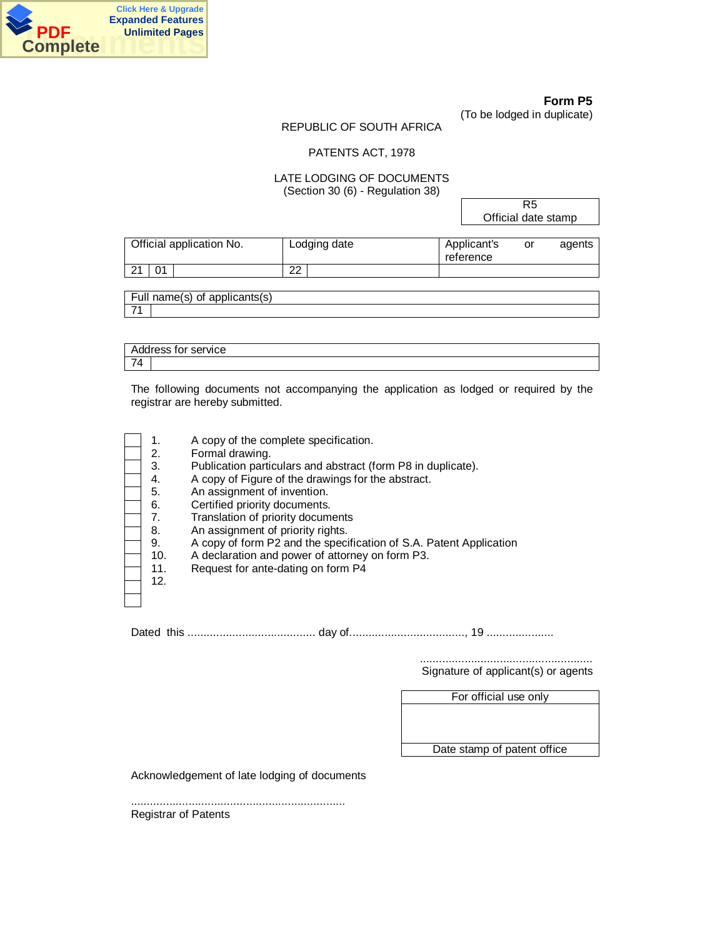

(To be lodged in duplicate)

## REPUBLIC OF SOUTH AFRICA

#### PATENTS ACT, 1978

## LATE LODGING OF DOCUMENTS (Section 30 (6) - Regulation 38)

R5 Official date stamp

| Official application No. | Lodging date | Applicant's<br>reference | or | agents |
|--------------------------|--------------|--------------------------|----|--------|
| 01                       | ົ<br>ے       |                          |    |        |
|                          |              |                          |    |        |

Full name(s) of applicants(s) 71

Address for service 74

The following documents not accompanying the application as lodged or required by the registrar are hereby submitted.

| 1.  | A copy of the complete specification.                              |
|-----|--------------------------------------------------------------------|
| 2.  | Formal drawing.                                                    |
| 3.  | Publication particulars and abstract (form P8 in duplicate).       |
| 4.  | A copy of Figure of the drawings for the abstract.                 |
| 5.  | An assignment of invention.                                        |
| 6.  | Certified priority documents.                                      |
| 7.  | Translation of priority documents                                  |
| 8.  | An assignment of priority rights.                                  |
| 9.  | A copy of form P2 and the specification of S.A. Patent Application |
| 10. | A declaration and power of attorney on form P3.                    |
| 11. | Request for ante-dating on form P4                                 |
| 12. |                                                                    |
|     |                                                                    |
|     |                                                                    |

Dated this ........................................ day of...................................., 19 .....................

...................................................... Signature of applicant(s) or agents

For official use only

Date stamp of patent office

Acknowledgement of late lodging of documents

................................................................... Registrar of Patents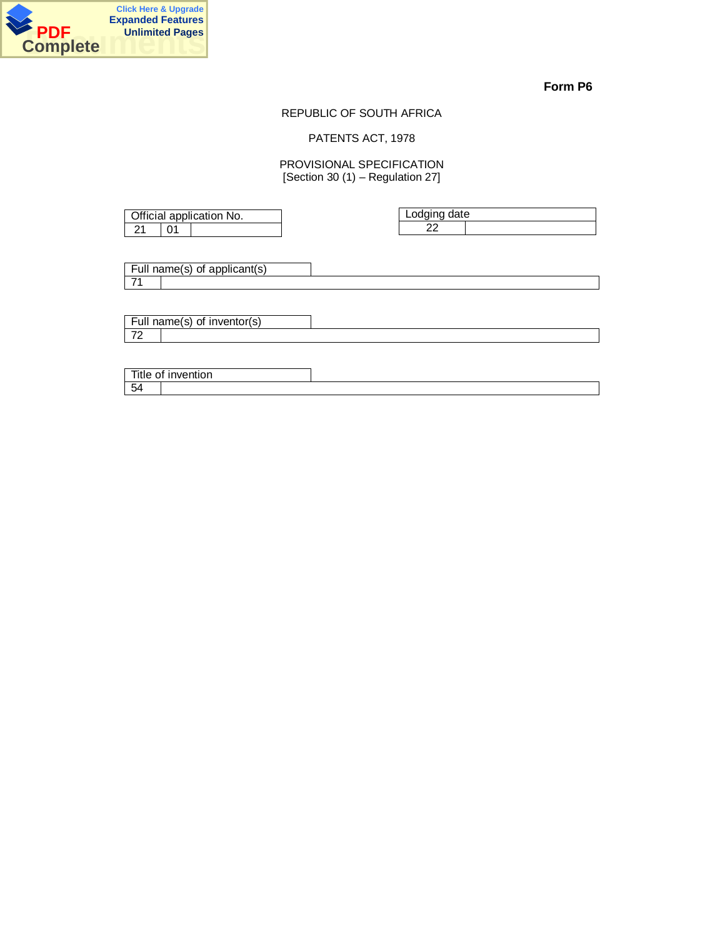

## REPUBLIC OF SOUTH AFRICA

## PATENTS ACT, 1978

## PROVISIONAL SPECIFICATION  $[Section 30 (1) - Regulation 27]$

|  | Official application No. | Lodging date |  |
|--|--------------------------|--------------|--|
|  |                          | nr           |  |
|  |                          |              |  |

Full name(s) of applicant(s) 71

|                     | Full name(s)<br>∵inventor(s)<br>ot. |  |
|---------------------|-------------------------------------|--|
| $\overline{z}$<br>- |                                     |  |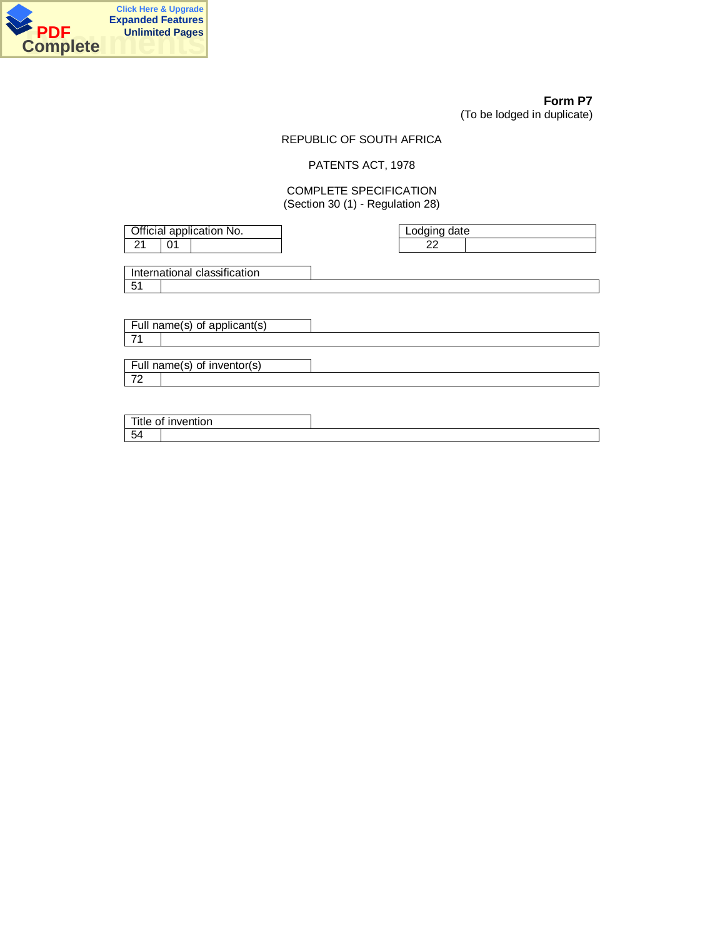

72

# **Form P7**

(To be lodged in duplicate)

## REPUBLIC OF SOUTH AFRICA

# PATENTS ACT, 1978

## COMPLETE SPECIFICATION (Section 30 (1) - Regulation 28)

| Official application No. |    |                              |  | Lodging date |  |
|--------------------------|----|------------------------------|--|--------------|--|
| 21                       | 01 |                              |  | 22           |  |
|                          |    |                              |  |              |  |
|                          |    | International classification |  |              |  |
| 51                       |    |                              |  |              |  |
|                          |    |                              |  |              |  |
|                          |    |                              |  |              |  |
|                          |    | Full name(s) of applicant(s) |  |              |  |
| 71                       |    |                              |  |              |  |
|                          |    |                              |  |              |  |
|                          |    | Full name(s) of inventor(s)  |  |              |  |

Title of invention 54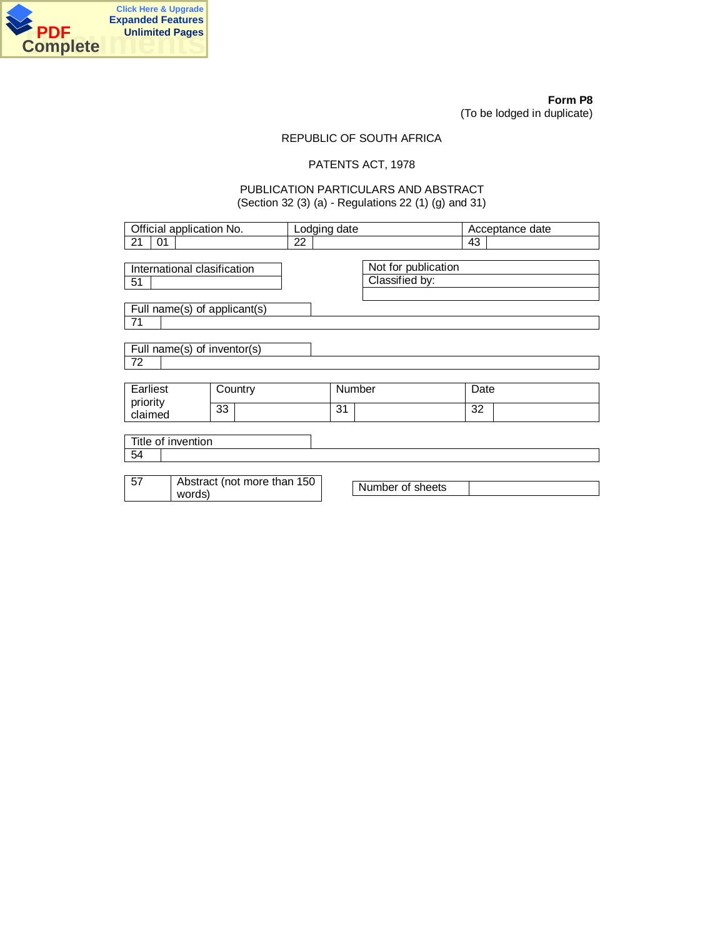

**Form P8** (To be lodged in duplicate)

## REPUBLIC OF SOUTH AFRICA

## PATENTS ACT, 1978

## PUBLICATION PARTICULARS AND ABSTRACT (Section 32 (3) (a) - Regulations 22 (1) (g) and 31)

| Official application No.     |                             |    | Lodging date                |    |  |        | Acceptance date     |      |  |
|------------------------------|-----------------------------|----|-----------------------------|----|--|--------|---------------------|------|--|
| 21<br>01                     |                             |    |                             | 22 |  |        |                     | 43   |  |
|                              |                             |    |                             |    |  |        |                     |      |  |
|                              | International clasification |    |                             |    |  |        | Not for publication |      |  |
| 51                           |                             |    |                             |    |  |        | Classified by:      |      |  |
|                              |                             |    |                             |    |  |        |                     |      |  |
| Full name(s) of applicant(s) |                             |    |                             |    |  |        |                     |      |  |
| 71                           |                             |    |                             |    |  |        |                     |      |  |
|                              |                             |    |                             |    |  |        |                     |      |  |
| Full name(s) of inventor(s)  |                             |    |                             |    |  |        |                     |      |  |
| 72                           |                             |    |                             |    |  |        |                     |      |  |
|                              |                             |    |                             |    |  |        |                     |      |  |
| Earliest                     |                             |    | Country                     |    |  | Number |                     | Date |  |
| priority                     |                             |    |                             |    |  |        |                     |      |  |
| claimed                      |                             | 33 |                             |    |  | 31     |                     | 32   |  |
|                              |                             |    |                             |    |  |        |                     |      |  |
|                              | Title of invention          |    |                             |    |  |        |                     |      |  |
| 54                           |                             |    |                             |    |  |        |                     |      |  |
|                              |                             |    |                             |    |  |        |                     |      |  |
| 57                           |                             |    | Abstract (not more than 150 |    |  |        | Number of sheets    |      |  |
| words)                       |                             |    |                             |    |  |        |                     |      |  |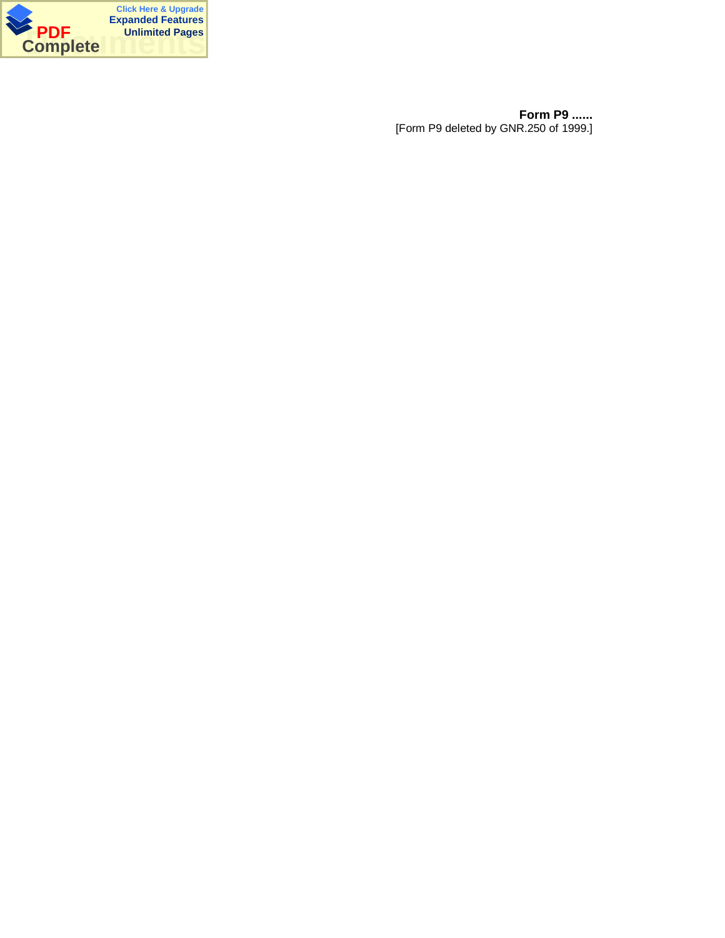

**Form P9 ......** [Form P9 deleted by GNR.250 of 1999.]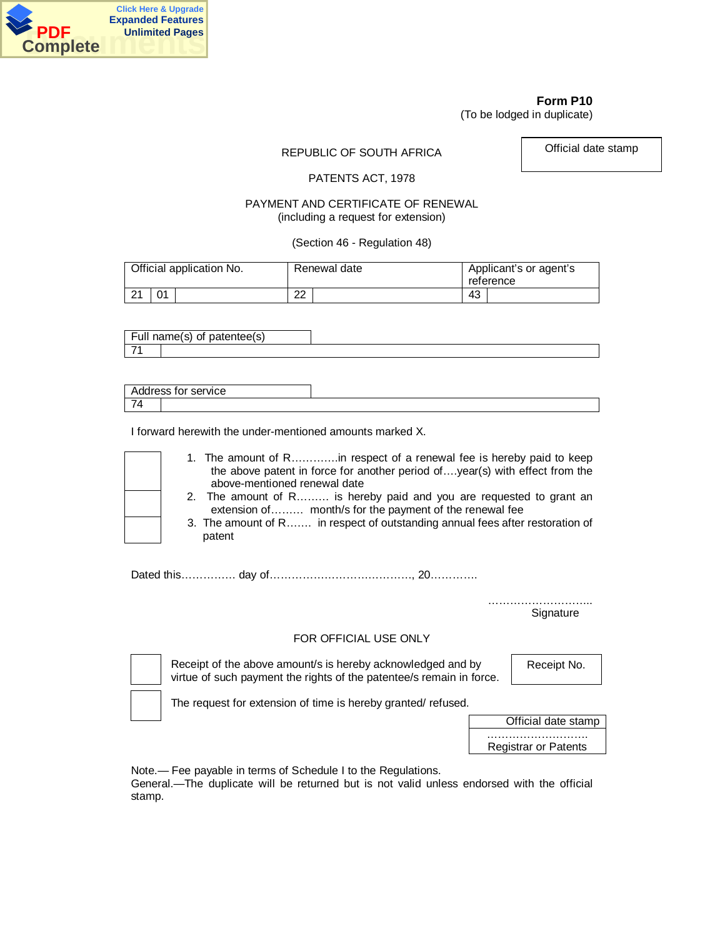

(To be lodged in duplicate)

REPUBLIC OF SOUTH AFRICA

Official date stamp

## PATENTS ACT, 1978

## PAYMENT AND CERTIFICATE OF RENEWAL (including a request for extension)

(Section 46 - Regulation 48)

| Official application No. |    | Renewal date |    | Applicant's or agent's<br>reference |
|--------------------------|----|--------------|----|-------------------------------------|
| $\Omega$                 | Λ1 | ົດ<br>∠∠     | 43 |                                     |

| -<br>ь,                  | oatentee(s)<br>$- - - -$<br>∩t<br>name(s) |  |
|--------------------------|-------------------------------------------|--|
| $\overline{\phantom{a}}$ |                                           |  |

|                          | Address for service |  |
|--------------------------|---------------------|--|
| $\overline{\phantom{0}}$ |                     |  |

I forward herewith the under-mentioned amounts marked X.

|  | 1. The amount of Rin respect of a renewal fee is hereby paid to keep<br>the above patent in force for another period of, year(s) with effect from the<br>above-mentioned renewal date |
|--|---------------------------------------------------------------------------------------------------------------------------------------------------------------------------------------|
|  | 2. The amount of R is hereby paid and you are requested to grant an<br>extension of month/s for the payment of the renewal fee                                                        |
|  | 3. The amount of R in respect of outstanding annual fees after restoration of<br>patent                                                                                               |

Dated this…………… day of…………………………………, 20………….

…………………………… **Signature** 

## FOR OFFICIAL USE ONLY

Receipt of the above amount/s is hereby acknowledged and by virtue of such payment the rights of the patentee/s remain in force. Receipt No.

The request for extension of time is hereby granted/ refused.



Note.— Fee payable in terms of Schedule I to the Regulations.

General.—The duplicate will be returned but is not valid unless endorsed with the official stamp.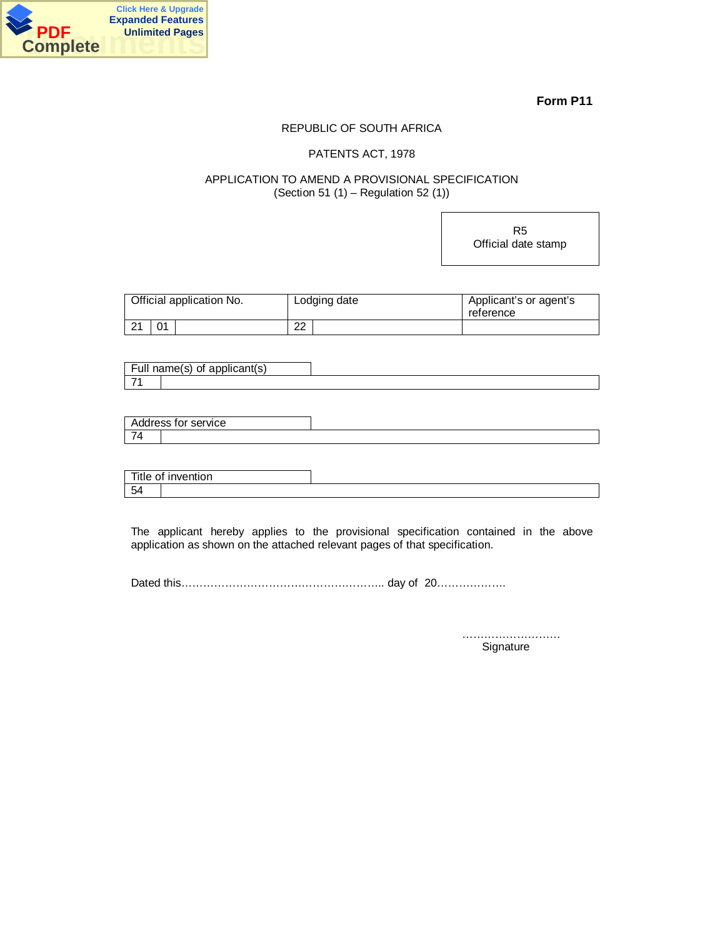

## REPUBLIC OF SOUTH AFRICA

## PATENTS ACT, 1978

## APPLICATION TO AMEND A PROVISIONAL SPECIFICATION (Section 51 (1) – Regulation 52 (1))

R5 Official date stamp

| Official application No. |    | Lodging date | Applicant's or agent's<br>reference |
|--------------------------|----|--------------|-------------------------------------|
| $\Omega$<br>∠ ।          | Λ1 | 22           |                                     |

|               | Full name(s)<br>applicant(s)<br>$\alpha$ |  |
|---------------|------------------------------------------|--|
| $\rightarrow$ |                                          |  |

|                    | Address for service l |  |
|--------------------|-----------------------|--|
| $\rightarrow$<br>_ |                       |  |

| Title of           | ∵invention |  |
|--------------------|------------|--|
| $\sqrt{2}$<br>- 54 |            |  |

The applicant hereby applies to the provisional specification contained in the above application as shown on the attached relevant pages of that specification.

Dated this……………………………………………….. day of 20……………….

…………………………… **Signature**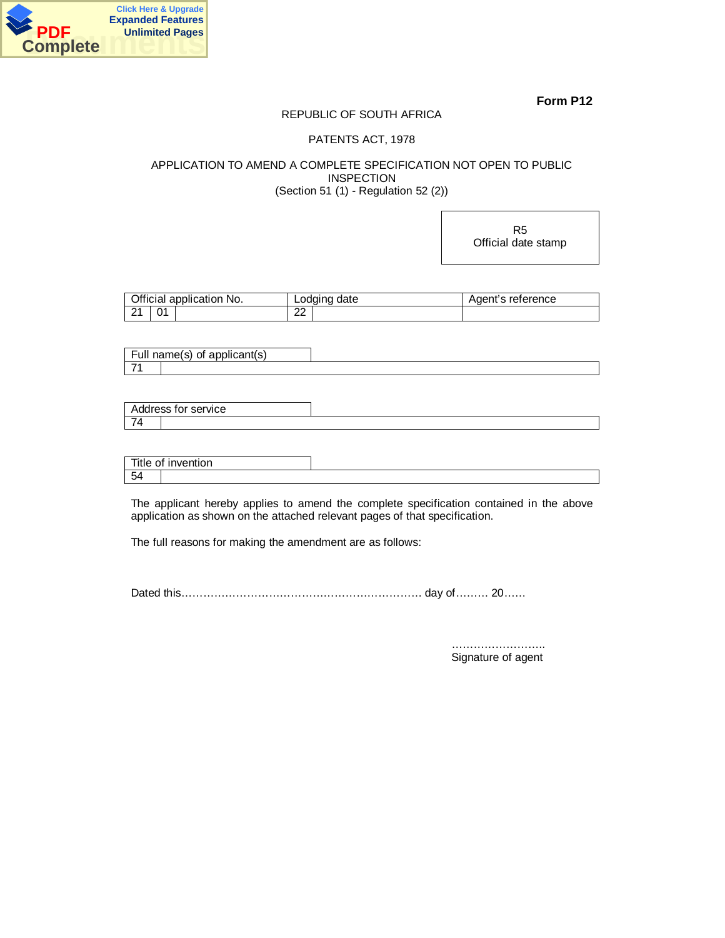

## REPUBLIC OF SOUTH AFRICA

## PATENTS ACT, 1978

## APPLICATION TO AMEND A COMPLETE SPECIFICATION NOT OPEN TO PUBLIC INSPECTION (Section 51 (1) - Regulation 52 (2))

R5 Official date stamp

| Official application No. | Lodging date | Agent's reference |
|--------------------------|--------------|-------------------|
| ີ                        | າາ<br>▃▵     |                   |

Full name(s) of applicant(s) 71

Address for service 74

| Title of | .<br><b>IDVE</b><br>⊤invention i |  |
|----------|----------------------------------|--|
| 54       |                                  |  |

The applicant hereby applies to amend the complete specification contained in the above application as shown on the attached relevant pages of that specification.

The full reasons for making the amendment are as follows:

Dated this……………………………………………………………… day of……… 20……

…………………….. Signature of agent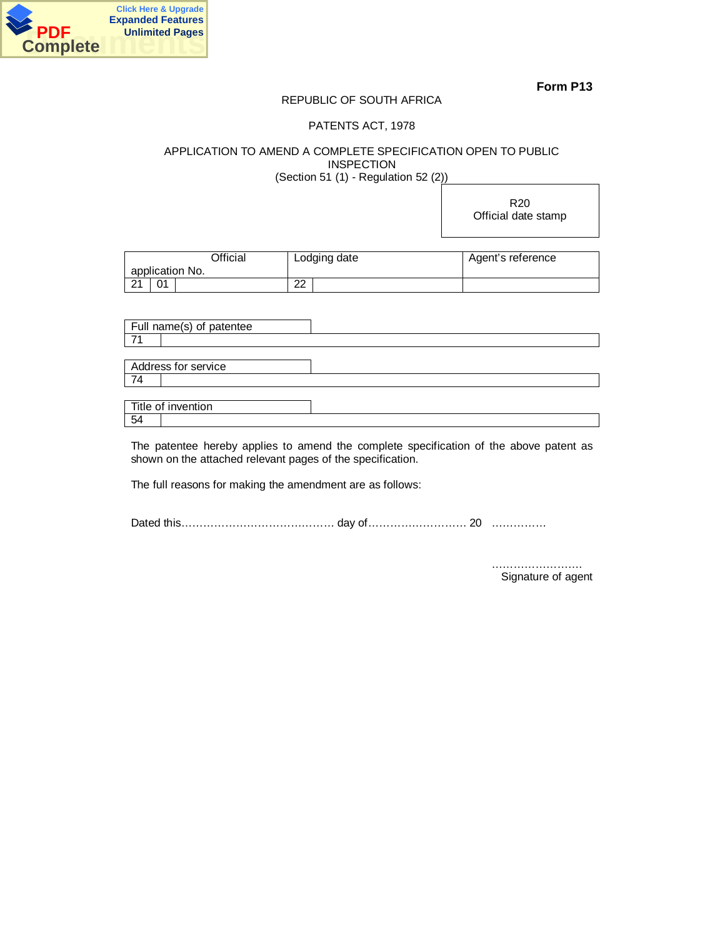

## REPUBLIC OF SOUTH AFRICA

## PATENTS ACT, 1978

APPLICATION TO AMEND A COMPLETE SPECIFICATION OPEN TO PUBLIC INSPECTION (Section 51 (1) - Regulation 52 (2))

> R20 Official date stamp

| Official        |    | Lodging date | Agent's reference |
|-----------------|----|--------------|-------------------|
| application No. |    |              |                   |
| $\Omega$        | 01 | ററ<br>ے      |                   |

| Full name(s) of patentee |  |
|--------------------------|--|
|                          |  |
|                          |  |
| Address for service      |  |
| l 74                     |  |
|                          |  |
| Title of invention       |  |

54

The patentee hereby applies to amend the complete specification of the above patent as shown on the attached relevant pages of the specification.

The full reasons for making the amendment are as follows:

Dated this…………………………………… day of……………………… 20 ……………

 ……………………. Signature of agent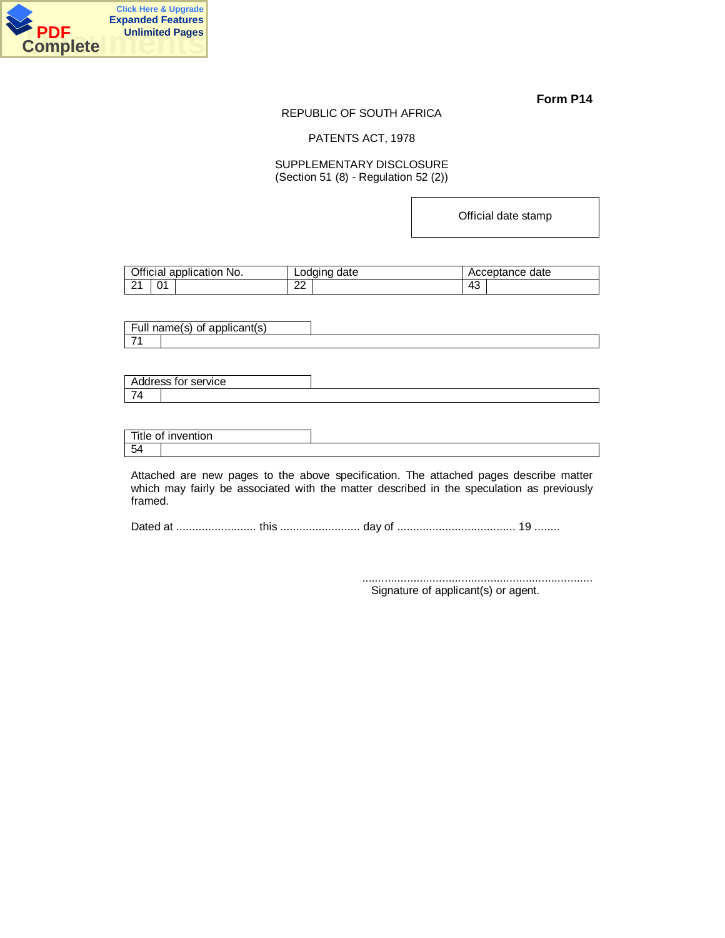

#### REPUBLIC OF SOUTH AFRICA

PATENTS ACT, 1978

## SUPPLEMENTARY DISCLOSURE (Section 51 (8) - Regulation 52 (2))

Official date stamp

|          | Official application No. | Lodging date | Acceptance date |
|----------|--------------------------|--------------|-----------------|
| $\Omega$ | 01                       | nn           | $A^{\sigma}$    |
|          |                          | ∠∠           | ∼⊤              |

Full name(s) of applicant(s) 71

| $\mathbf{A}$                     | service<br>ddress for 1 |  |
|----------------------------------|-------------------------|--|
| $\rightarrow$<br>$\epsilon$<br>- |                         |  |

|              | Title of invention |  |
|--------------|--------------------|--|
| $\sim$<br>54 |                    |  |

Attached are new pages to the above specification. The attached pages describe matter which may fairly be associated with the matter described in the speculation as previously framed.

Dated at ......................... this ......................... day of ..................................... 19 ........

........................................................................ Signature of applicant(s) or agent.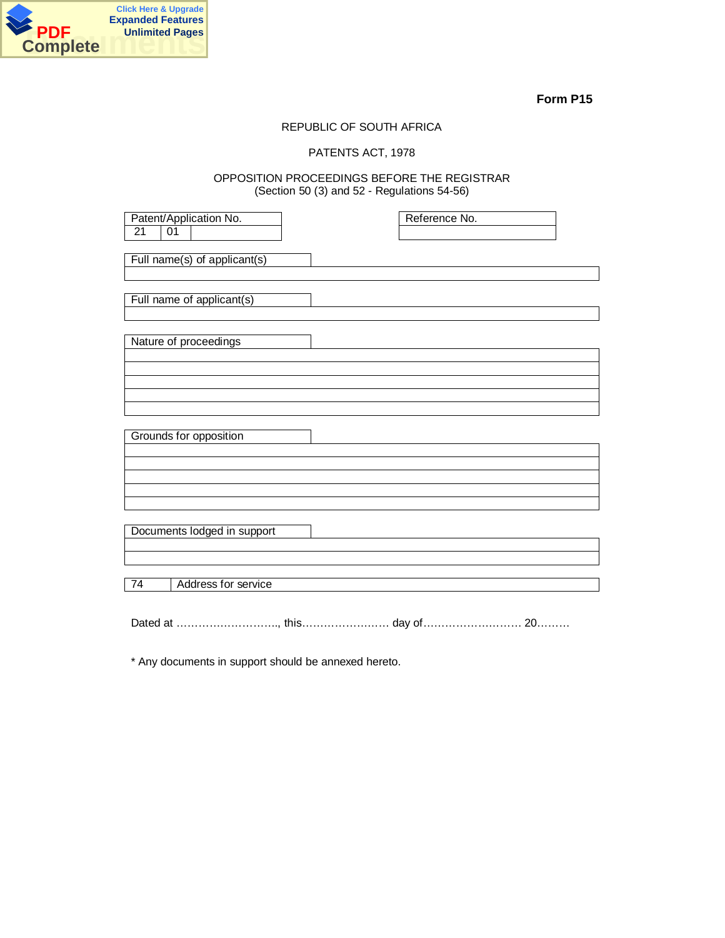

## REPUBLIC OF SOUTH AFRICA

## PATENTS ACT, 1978

## OPPOSITION PROCEEDINGS BEFORE THE REGISTRAR (Section 50 (3) and 52 - Regulations 54-56)

| Patent/Application No.<br>21<br>01 | Reference No. |  |
|------------------------------------|---------------|--|
| Full name(s) of applicant(s)       |               |  |
| Full name of applicant(s)          |               |  |
| Nature of proceedings              |               |  |
|                                    |               |  |
| Grounds for opposition             |               |  |
|                                    |               |  |
|                                    |               |  |
| Documents lodged in support        |               |  |
| Address for service<br>74          |               |  |
|                                    |               |  |

Dated at ………………………., this…………………… day of……………………… 20………

\* Any documents in support should be annexed hereto.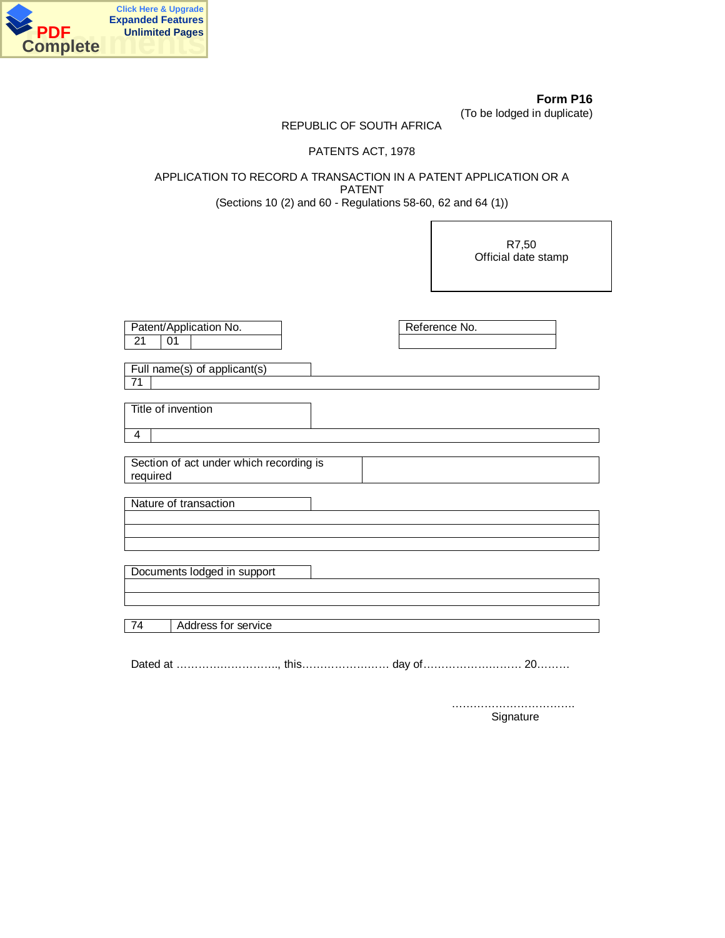

**Form P16** (To be lodged in duplicate)

## REPUBLIC OF SOUTH AFRICA

## PATENTS ACT, 1978

APPLICATION TO RECORD A TRANSACTION IN A PATENT APPLICATION OR A PATENT (Sections 10 (2) and 60 - Regulations 58-60, 62 and 64 (1))

> R7,50 Official date stamp

| Reference No.<br>Patent/Application No. |
|-----------------------------------------|
| 21<br>01                                |
|                                         |
| Full name(s) of applicant(s)            |
| 71                                      |
|                                         |
| Title of invention                      |
|                                         |
| $\overline{4}$                          |
|                                         |
| Section of act under which recording is |
| required                                |
|                                         |
| Nature of transaction                   |
|                                         |
|                                         |
|                                         |
|                                         |
| Documents lodged in support             |
|                                         |
|                                         |
| Address for service<br>74               |
|                                         |
|                                         |

Dated at ………………………., this…………………… day of……………………… 20………

……………………………. Signature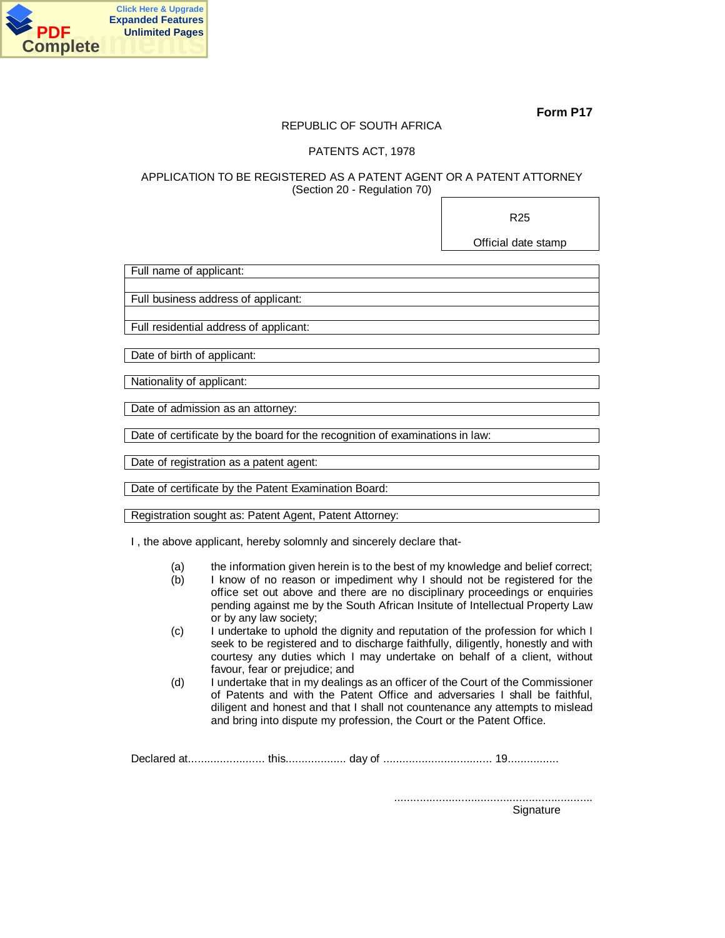

## REPUBLIC OF SOUTH AFRICA

## PATENTS ACT, 1978

## APPLICATION TO BE REGISTERED AS A PATENT AGENT OR A PATENT ATTORNEY (Section 20 - Regulation 70)

R25

Official date stamp

Full name of applicant:

Full business address of applicant:

Full residential address of applicant:

Date of birth of applicant:

Nationality of applicant:

Date of admission as an attorney:

Date of certificate by the board for the recognition of examinations in law:

Date of registration as a patent agent:

Date of certificate by the Patent Examination Board:

Registration sought as: Patent Agent, Patent Attorney:

I , the above applicant, hereby solomnly and sincerely declare that-

- (a) the information given herein is to the best of my knowledge and belief correct;<br>(b) I know of no reason or impediment why I should not be registered for the
- I know of no reason or impediment why I should not be registered for the office set out above and there are no disciplinary proceedings or enquiries pending against me by the South African Insitute of Intellectual Property Law or by any law society;
- (c) I undertake to uphold the dignity and reputation of the profession for which I seek to be registered and to discharge faithfully, diligently, honestly and with courtesy any duties which I may undertake on behalf of a client, without favour, fear or prejudice; and
- (d) I undertake that in my dealings as an officer of the Court of the Commissioner of Patents and with the Patent Office and adversaries I shall be faithful, diligent and honest and that I shall not countenance any attempts to mislead and bring into dispute my profession, the Court or the Patent Office.

Declared at........................ this................... day of .................................. 19................

.............................................................. **Signature**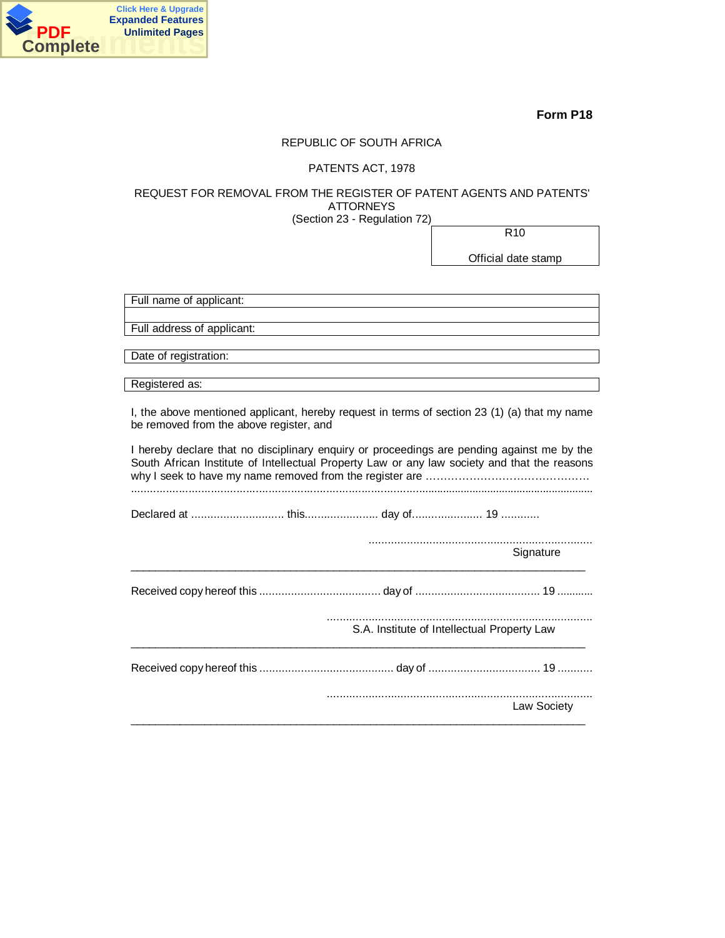

## REPUBLIC OF SOUTH AFRICA

## PATENTS ACT, 1978

## REQUEST FOR REMOVAL FROM THE REGISTER OF PATENT AGENTS AND PATENTS' ATTORNEYS

(Section 23 - Regulation 72)

R10

Official date stamp

| Full name of applicant:    |  |
|----------------------------|--|
|                            |  |
| Full address of applicant: |  |

Date of registration:

Registered as:

I, the above mentioned applicant, hereby request in terms of section 23 (1) (a) that my name be removed from the above register, and

| I hereby declare that no disciplinary enguiry or proceedings are pending against me by the<br>South African Institute of Intellectual Property Law or any law society and that the reasons |  |  |  |  |
|--------------------------------------------------------------------------------------------------------------------------------------------------------------------------------------------|--|--|--|--|
|                                                                                                                                                                                            |  |  |  |  |
|                                                                                                                                                                                            |  |  |  |  |
| Signature                                                                                                                                                                                  |  |  |  |  |
|                                                                                                                                                                                            |  |  |  |  |
| S.A. Institute of Intellectual Property Law                                                                                                                                                |  |  |  |  |
|                                                                                                                                                                                            |  |  |  |  |
| Law Society                                                                                                                                                                                |  |  |  |  |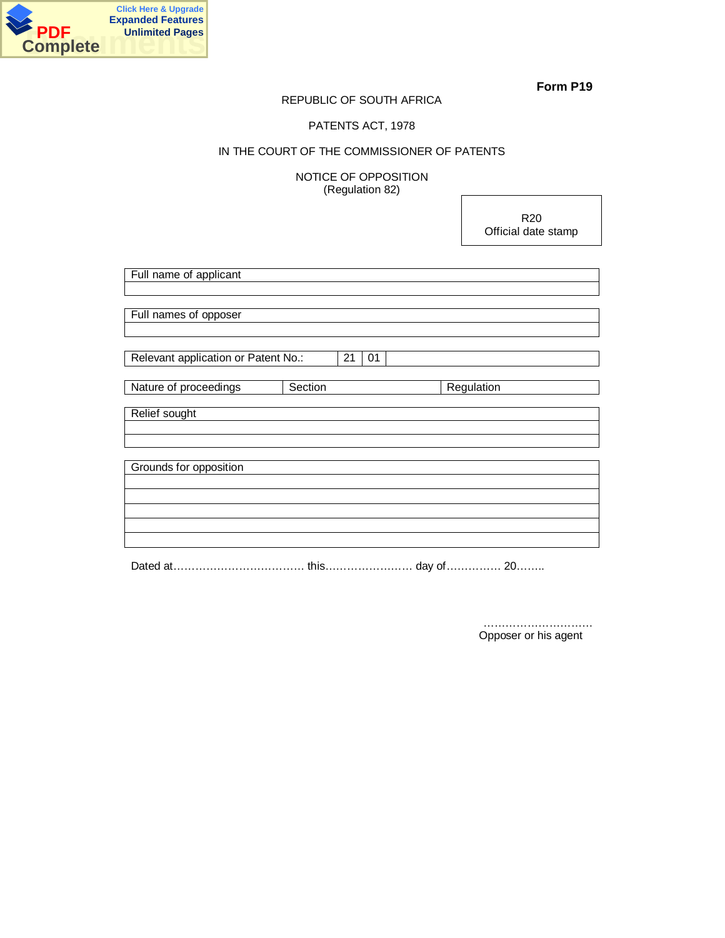

## REPUBLIC OF SOUTH AFRICA

## PATENTS ACT, 1978

## IN THE COURT OF THE COMMISSIONER OF PATENTS

NOTICE OF OPPOSITION (Regulation 82)

> R20 Official date stamp

| Full name of applicant              |    |    |            |  |  |
|-------------------------------------|----|----|------------|--|--|
|                                     |    |    |            |  |  |
|                                     |    |    |            |  |  |
| Full names of opposer               |    |    |            |  |  |
|                                     |    |    |            |  |  |
| Relevant application or Patent No.: | 21 | 01 |            |  |  |
|                                     |    |    |            |  |  |
| Section<br>Nature of proceedings    |    |    | Regulation |  |  |
|                                     |    |    |            |  |  |
| Relief sought                       |    |    |            |  |  |
|                                     |    |    |            |  |  |
|                                     |    |    |            |  |  |
| Grounds for opposition              |    |    |            |  |  |
|                                     |    |    |            |  |  |
|                                     |    |    |            |  |  |
|                                     |    |    |            |  |  |
|                                     |    |    |            |  |  |
|                                     |    |    |            |  |  |
|                                     |    |    |            |  |  |

Dated at……………………………… this…………………… day of…………… 20……..

 ………………………… Opposer or his agent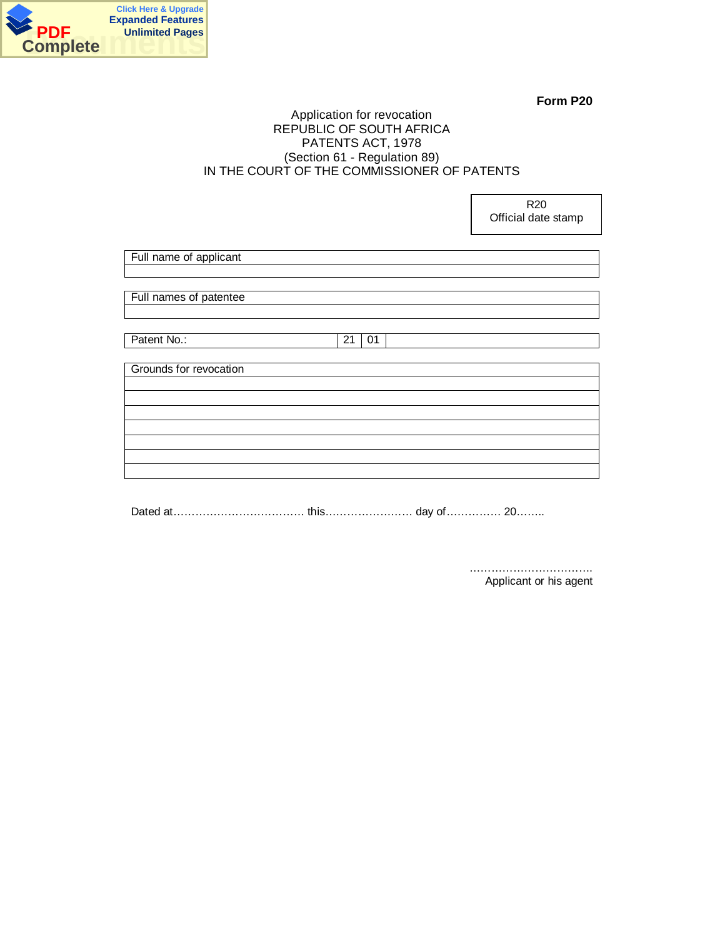

R20

## Application for revocation REPUBLIC OF SOUTH AFRICA PATENTS ACT, 1978 (Section 61 - Regulation 89) IN THE COURT OF THE COMMISSIONER OF PATENTS

|                        |    |    |  | Official date stamp |
|------------------------|----|----|--|---------------------|
|                        |    |    |  |                     |
| Full name of applicant |    |    |  |                     |
|                        |    |    |  |                     |
| Full names of patentee |    |    |  |                     |
|                        |    |    |  |                     |
|                        |    |    |  |                     |
| Patent No.:            | 21 | 01 |  |                     |
| Grounds for revocation |    |    |  |                     |
|                        |    |    |  |                     |
|                        |    |    |  |                     |
|                        |    |    |  |                     |
|                        |    |    |  |                     |
|                        |    |    |  |                     |
|                        |    |    |  |                     |
|                        |    |    |  |                     |

Dated at……………………………… this…………………… day of…………… 20……..

 ……………………………. Applicant or his agent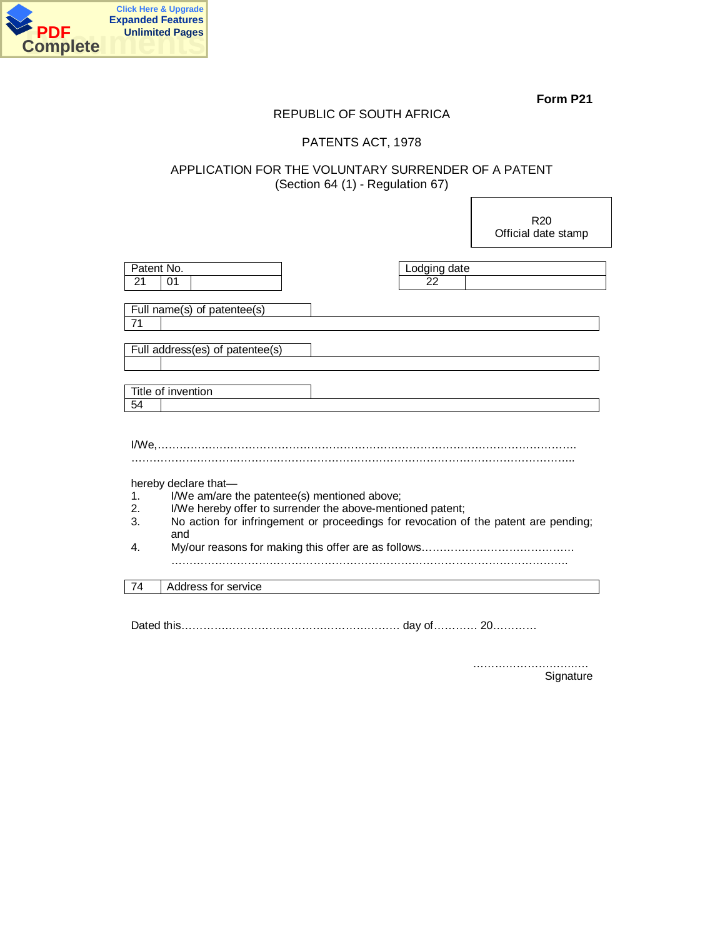

## REPUBLIC OF SOUTH AFRICA

## PATENTS ACT, 1978

## APPLICATION FOR THE VOLUNTARY SURRENDER OF A PATENT (Section 64 (1) - Regulation 67)

|            |                                                                                     |              | R <sub>20</sub><br>Official date stamp |
|------------|-------------------------------------------------------------------------------------|--------------|----------------------------------------|
|            |                                                                                     |              |                                        |
| Patent No. |                                                                                     | Lodging date |                                        |
| 21         | 01                                                                                  | 22           |                                        |
|            |                                                                                     |              |                                        |
|            | Full name(s) of patentee(s)                                                         |              |                                        |
| 71         |                                                                                     |              |                                        |
|            |                                                                                     |              |                                        |
|            | Full address(es) of patentee(s)                                                     |              |                                        |
|            |                                                                                     |              |                                        |
|            |                                                                                     |              |                                        |
|            | Title of invention                                                                  |              |                                        |
| 54         |                                                                                     |              |                                        |
|            |                                                                                     |              |                                        |
|            |                                                                                     |              |                                        |
|            |                                                                                     |              |                                        |
|            |                                                                                     |              |                                        |
|            | hereby declare that-                                                                |              |                                        |
| 1.         | I/We am/are the patentee(s) mentioned above;                                        |              |                                        |
| 2.         | I/We hereby offer to surrender the above-mentioned patent;                          |              |                                        |
| 3.         | No action for infringement or proceedings for revocation of the patent are pending; |              |                                        |
|            | and                                                                                 |              |                                        |
| 4.         |                                                                                     |              |                                        |
|            |                                                                                     |              |                                        |
| 74         | Address for service                                                                 |              |                                        |
|            |                                                                                     |              |                                        |

Dated this…………………………………………………… day of………… 20…………

………………………..… Signature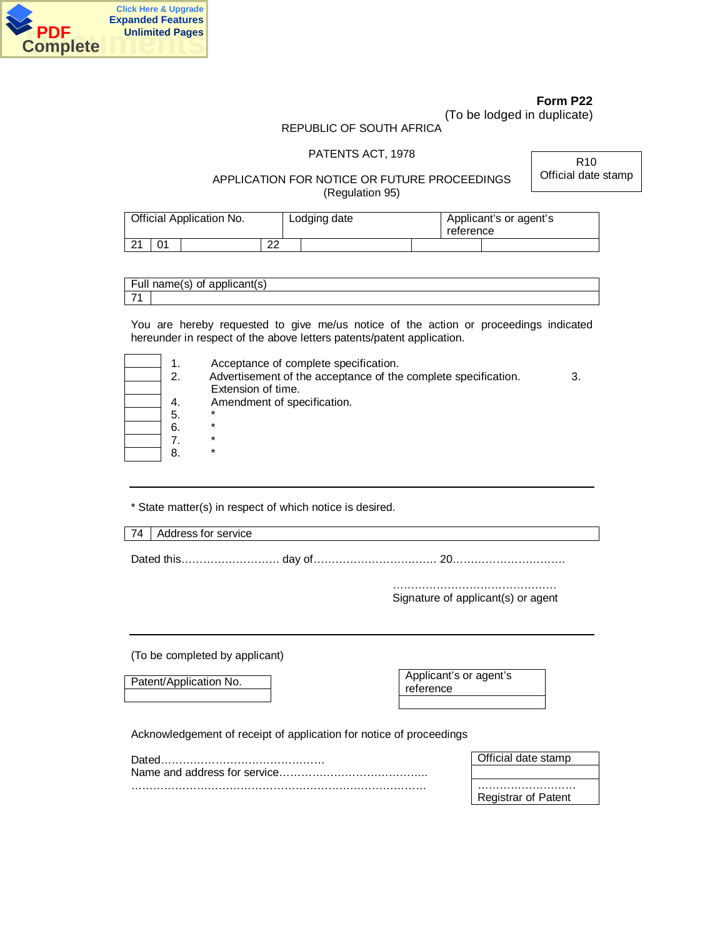

(To be lodged in duplicate)

## REPUBLIC OF SOUTH AFRICA

## PATENTS ACT, 1978

R10 Official date stamp

## APPLICATION FOR NOTICE OR FUTURE PROCEEDINGS (Regulation 95)

| Official Application No. |    |  | Lodging date | reference | Applicant's or agent's |  |
|--------------------------|----|--|--------------|-----------|------------------------|--|
| $\Omega$<br>▁▁▁▏         | 01 |  | ົດຕ<br>▵     |           |                        |  |

| $\overline{\phantom{0}}$<br>Full | name(s) of<br>anniic<br>111 S |
|----------------------------------|-------------------------------|
| $\overline{\phantom{a}}$         |                               |

You are hereby requested to give me/us notice of the action or proceedings indicated hereunder in respect of the above letters patents/patent application.

| 1<br>$\overline{2}$ . |
|-----------------------|
| 4.<br>5.              |
| 6.<br>7.<br>8.        |

Acceptance of complete specification.

Advertisement of the acceptance of the complete specification. 3. Extension of time.

Amendment of specification.

- 5. \* 6. \*
- 7. \* 8. \*

\* State matter(s) in respect of which notice is desired.

74 | Address for service

Dated this……………………… day of……………………….…… 20………………………….

……………………………………… Signature of applicant(s) or agent

(To be completed by applicant)

Patent/Application No.

Applicant's or agent's reference

Acknowledgement of receipt of application for notice of proceedings

| Dateo | Mficial date stamp ک |
|-------|----------------------|
|       |                      |
|       |                      |
|       | Registrar of Patent  |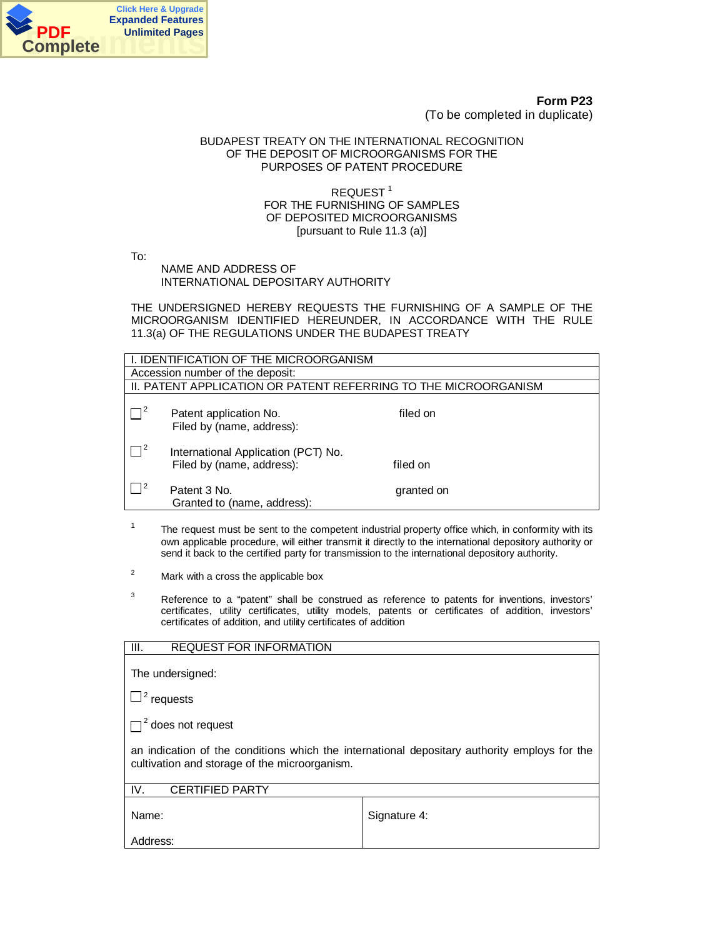

**Form P23** (To be completed in duplicate)

## BUDAPEST TREATY ON THE INTERNATIONAL RECOGNITION OF THE DEPOSIT OF MICROORGANISMS FOR THE PURPOSES OF PATENT PROCEDURE

## REQUEST<sup>1</sup> FOR THE FURNISHING OF SAMPLES OF DEPOSITED MICROORGANISMS [pursuant to Rule 11.3 (a)]

To:

NAME AND ADDRESS OF INTERNATIONAL DEPOSITARY AUTHORITY

THE UNDERSIGNED HEREBY REQUESTS THE FURNISHING OF A SAMPLE OF THE MICROORGANISM IDENTIFIED HEREUNDER, IN ACCORDANCE WITH THE RULE 11.3(a) OF THE REGULATIONS UNDER THE BUDAPEST TREATY

| I. IDENTIFICATION OF THE MICROORGANISM |                                                                  |            |  |  |  |
|----------------------------------------|------------------------------------------------------------------|------------|--|--|--|
|                                        | Accession number of the deposit:                                 |            |  |  |  |
|                                        | II. PATENT APPLICATION OR PATENT REFERRING TO THE MICROORGANISM  |            |  |  |  |
| $\Box^2$                               | filed on<br>Patent application No.<br>Filed by (name, address):  |            |  |  |  |
| $\Box^2$                               | International Application (PCT) No.<br>Filed by (name, address): | filed on   |  |  |  |
| $\vert$   2                            | Patent 3 No.<br>Granted to (name, address):                      | granted on |  |  |  |

- 1 The request must be sent to the competent industrial property office which, in conformity with its own applicable procedure, will either transmit it directly to the international depository authority or send it back to the certified party for transmission to the international depository authority.
- 2 Mark with a cross the applicable box
- 3 Reference to a "patent" shall be construed as reference to patents for inventions, investors' certificates, utility certificates, utility models, patents or certificates of addition, investors' certificates of addition, and utility certificates of addition

| III.<br><b>REQUEST FOR INFORMATION</b>                                                                                                        |              |  |  |  |
|-----------------------------------------------------------------------------------------------------------------------------------------------|--------------|--|--|--|
| The undersigned:                                                                                                                              |              |  |  |  |
| $\Box^2$ requests                                                                                                                             |              |  |  |  |
| $\Box^2$ does not request                                                                                                                     |              |  |  |  |
| an indication of the conditions which the international depositary authority employs for the<br>cultivation and storage of the microorganism. |              |  |  |  |
| IV.<br><b>CERTIFIED PARTY</b>                                                                                                                 |              |  |  |  |
| Name:                                                                                                                                         | Signature 4: |  |  |  |
| Address:                                                                                                                                      |              |  |  |  |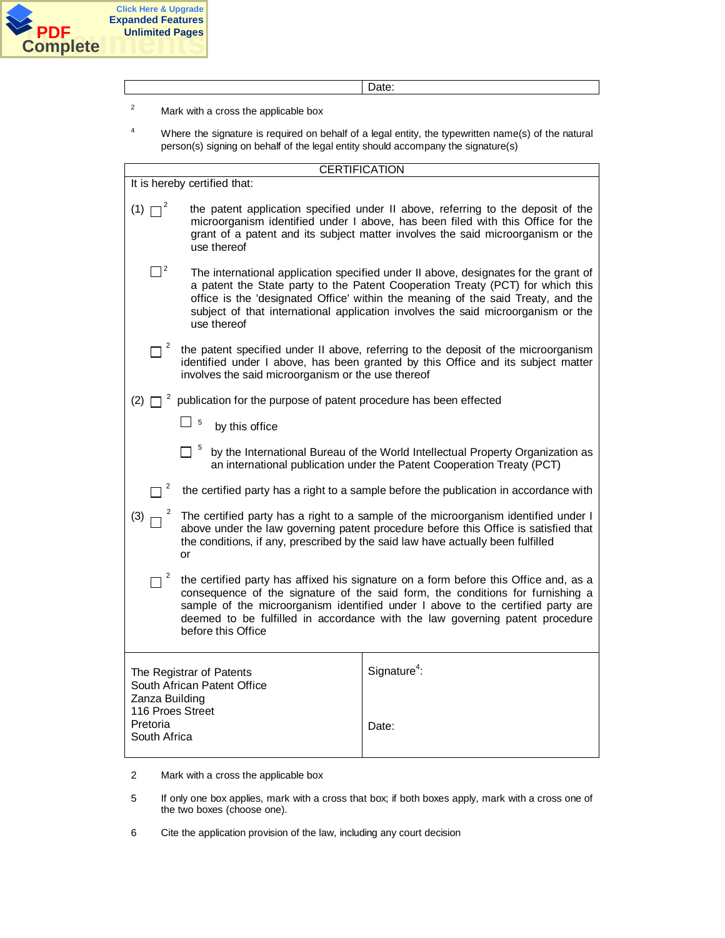

Date:

- 2 Mark with a cross the applicable box
- 4 Where the signature is required on behalf of a legal entity, the typewritten name(s) of the natural person(s) signing on behalf of the legal entity should accompany the signature(s)

| <b>CERTIFICATION</b>                                                                                                                                                                                                                                                                                                                                                              |                                                                                                                                                                                                                                                                                                                                               |  |  |  |  |
|-----------------------------------------------------------------------------------------------------------------------------------------------------------------------------------------------------------------------------------------------------------------------------------------------------------------------------------------------------------------------------------|-----------------------------------------------------------------------------------------------------------------------------------------------------------------------------------------------------------------------------------------------------------------------------------------------------------------------------------------------|--|--|--|--|
| It is hereby certified that:                                                                                                                                                                                                                                                                                                                                                      |                                                                                                                                                                                                                                                                                                                                               |  |  |  |  |
| $(1)$ $\Box^2$<br>use thereof                                                                                                                                                                                                                                                                                                                                                     | the patent application specified under II above, referring to the deposit of the<br>microorganism identified under I above, has been filed with this Office for the<br>grant of a patent and its subject matter involves the said microorganism or the                                                                                        |  |  |  |  |
| $\Box^2$<br>use thereof                                                                                                                                                                                                                                                                                                                                                           | The international application specified under II above, designates for the grant of<br>a patent the State party to the Patent Cooperation Treaty (PCT) for which this<br>office is the 'designated Office' within the meaning of the said Treaty, and the<br>subject of that international application involves the said microorganism or the |  |  |  |  |
| $\Box$ <sup>2</sup>                                                                                                                                                                                                                                                                                                                                                               | the patent specified under II above, referring to the deposit of the microorganism<br>identified under I above, has been granted by this Office and its subject matter<br>involves the said microorganism or the use thereof                                                                                                                  |  |  |  |  |
| (2) $\Box$ <sup>2</sup> publication for the purpose of patent procedure has been effected                                                                                                                                                                                                                                                                                         |                                                                                                                                                                                                                                                                                                                                               |  |  |  |  |
| 5<br>by this office                                                                                                                                                                                                                                                                                                                                                               |                                                                                                                                                                                                                                                                                                                                               |  |  |  |  |
| by the International Bureau of the World Intellectual Property Organization as<br>an international publication under the Patent Cooperation Treaty (PCT)                                                                                                                                                                                                                          |                                                                                                                                                                                                                                                                                                                                               |  |  |  |  |
| $\mathbf{2}$                                                                                                                                                                                                                                                                                                                                                                      | the certified party has a right to a sample before the publication in accordance with                                                                                                                                                                                                                                                         |  |  |  |  |
| (3)<br>or                                                                                                                                                                                                                                                                                                                                                                         | The certified party has a right to a sample of the microorganism identified under I<br>above under the law governing patent procedure before this Office is satisfied that<br>the conditions, if any, prescribed by the said law have actually been fulfilled                                                                                 |  |  |  |  |
| $\overline{2}$<br>the certified party has affixed his signature on a form before this Office and, as a<br>consequence of the signature of the said form, the conditions for furnishing a<br>sample of the microorganism identified under I above to the certified party are<br>deemed to be fulfilled in accordance with the law governing patent procedure<br>before this Office |                                                                                                                                                                                                                                                                                                                                               |  |  |  |  |
| The Registrar of Patents<br>South African Patent Office<br>Zanza Building                                                                                                                                                                                                                                                                                                         | Signature <sup>4</sup> :                                                                                                                                                                                                                                                                                                                      |  |  |  |  |
| 116 Proes Street<br>Pretoria<br>South Africa                                                                                                                                                                                                                                                                                                                                      | Date:                                                                                                                                                                                                                                                                                                                                         |  |  |  |  |

- 2 Mark with a cross the applicable box
- 5 If only one box applies, mark with a cross that box; if both boxes apply, mark with a cross one of the two boxes (choose one).
- 6 Cite the application provision of the law, including any court decision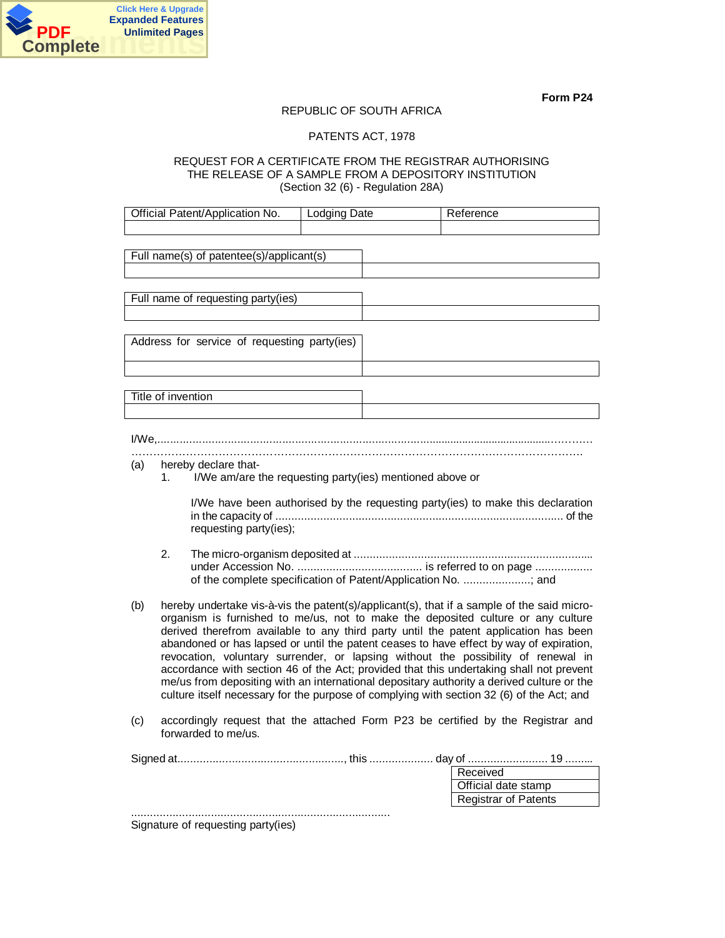

## REPUBLIC OF SOUTH AFRICA

## PATENTS ACT, 1978

## REQUEST FOR A CERTIFICATE FROM THE REGISTRAR AUTHORISING THE RELEASE OF A SAMPLE FROM A DEPOSITORY INSTITUTION (Section 32 (6) - Regulation 28A)

|     |                    | Official Patent/Application No.                                                  | Lodging Date | Reference                                                                                                                                                                                                                                                                                                                                                                                                                                                                                                                                                                                                                                                                                                                                   |
|-----|--------------------|----------------------------------------------------------------------------------|--------------|---------------------------------------------------------------------------------------------------------------------------------------------------------------------------------------------------------------------------------------------------------------------------------------------------------------------------------------------------------------------------------------------------------------------------------------------------------------------------------------------------------------------------------------------------------------------------------------------------------------------------------------------------------------------------------------------------------------------------------------------|
|     |                    |                                                                                  |              |                                                                                                                                                                                                                                                                                                                                                                                                                                                                                                                                                                                                                                                                                                                                             |
|     |                    | Full name(s) of patentee(s)/applicant(s)                                         |              |                                                                                                                                                                                                                                                                                                                                                                                                                                                                                                                                                                                                                                                                                                                                             |
|     |                    | Full name of requesting party(ies)                                               |              |                                                                                                                                                                                                                                                                                                                                                                                                                                                                                                                                                                                                                                                                                                                                             |
|     |                    |                                                                                  |              |                                                                                                                                                                                                                                                                                                                                                                                                                                                                                                                                                                                                                                                                                                                                             |
|     |                    | Address for service of requesting party(ies)                                     |              |                                                                                                                                                                                                                                                                                                                                                                                                                                                                                                                                                                                                                                                                                                                                             |
|     |                    |                                                                                  |              |                                                                                                                                                                                                                                                                                                                                                                                                                                                                                                                                                                                                                                                                                                                                             |
|     | Title of invention |                                                                                  |              |                                                                                                                                                                                                                                                                                                                                                                                                                                                                                                                                                                                                                                                                                                                                             |
|     |                    |                                                                                  |              |                                                                                                                                                                                                                                                                                                                                                                                                                                                                                                                                                                                                                                                                                                                                             |
|     |                    |                                                                                  |              |                                                                                                                                                                                                                                                                                                                                                                                                                                                                                                                                                                                                                                                                                                                                             |
| (a) | 1.                 | hereby declare that-<br>I/We am/are the requesting party(ies) mentioned above or |              |                                                                                                                                                                                                                                                                                                                                                                                                                                                                                                                                                                                                                                                                                                                                             |
|     |                    | requesting party(ies);                                                           |              | I/We have been authorised by the requesting party(ies) to make this declaration                                                                                                                                                                                                                                                                                                                                                                                                                                                                                                                                                                                                                                                             |
|     | 2.                 |                                                                                  |              | of the complete specification of Patent/Application No. ; and                                                                                                                                                                                                                                                                                                                                                                                                                                                                                                                                                                                                                                                                               |
| (b) |                    |                                                                                  |              | hereby undertake vis-à-vis the patent(s)/applicant(s), that if a sample of the said micro-<br>organism is furnished to me/us, not to make the deposited culture or any culture<br>derived therefrom available to any third party until the patent application has been<br>abandoned or has lapsed or until the patent ceases to have effect by way of expiration,<br>revocation, voluntary surrender, or lapsing without the possibility of renewal in<br>accordance with section 46 of the Act; provided that this undertaking shall not prevent<br>me/us from depositing with an international depositary authority a derived culture or the<br>culture itself necessary for the purpose of complying with section 32 (6) of the Act; and |
| (c) |                    | forwarded to me/us.                                                              |              | accordingly request that the attached Form P23 be certified by the Registrar and                                                                                                                                                                                                                                                                                                                                                                                                                                                                                                                                                                                                                                                            |
|     |                    | Signature of requesting party(ies)                                               |              | Received<br>Official date stamp<br><b>Registrar of Patents</b>                                                                                                                                                                                                                                                                                                                                                                                                                                                                                                                                                                                                                                                                              |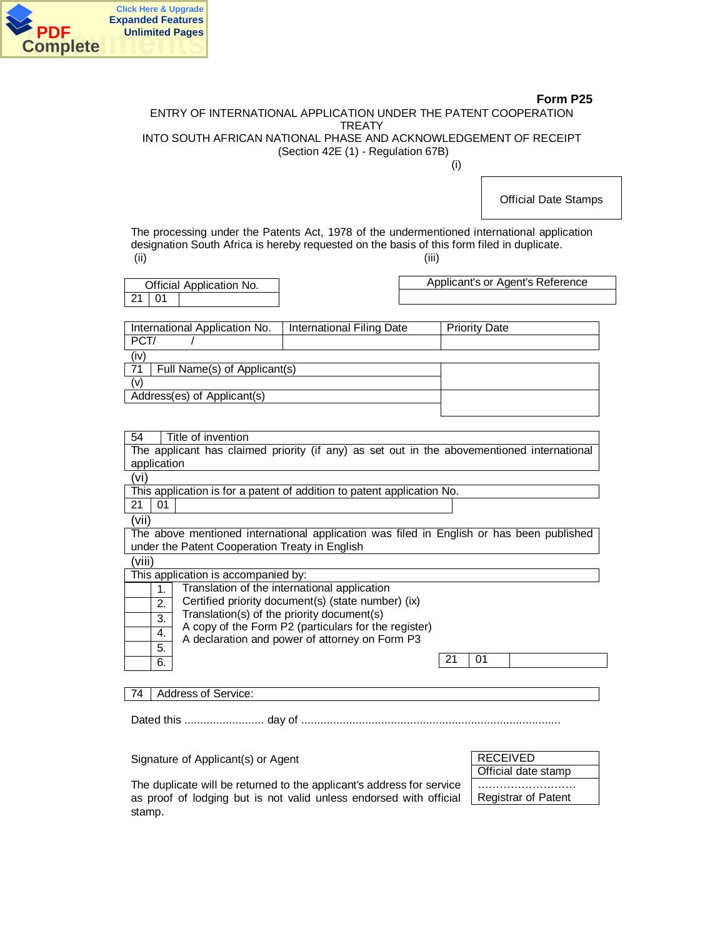

## ENTRY OF INTERNATIONAL APPLICATION UNDER THE PATENT COOPERATION **TREATY** INTO SOUTH AFRICAN NATIONAL PHASE AND ACKNOWLEDGEMENT OF RECEIPT (Section 42E (1) - Regulation 67B)

(i)

Official Date Stamps

The processing under the Patents Act, 1978 of the undermentioned international application designation South Africa is hereby requested on the basis of this form filed in duplicate. (ii) (iii)

| Official Application No. |  |  |  |  |
|--------------------------|--|--|--|--|
| 21   01                  |  |  |  |  |

Applicant's or Agent's Reference

| International Application No.      | International Filing Date | <b>Priority Date</b> |  |  |  |  |
|------------------------------------|---------------------------|----------------------|--|--|--|--|
| PCT/                               |                           |                      |  |  |  |  |
| (iv                                |                           |                      |  |  |  |  |
| 71<br>Full Namo(c) of Annlicant(c) |                           |                      |  |  |  |  |

| $\ I\ $ in the extracted study of Applications |  |
|------------------------------------------------|--|
|                                                |  |
| Address(es) of Applicant(s)                    |  |
|                                                |  |

| Title of invention |  |
|--------------------|--|
|--------------------|--|

The applicant has claimed priority (if any) as set out in the abovementioned international application

(vi)

This application is for a patent of addition to patent application No.

 $21 \mid 01$ 

(vii)

The above mentioned international application was filed in English or has been published under the Patent Cooperation Treaty in English

(viii)

This application is accompanied by:

| Translation of the international application<br>Certified priority document(s) (state number) (ix)<br>2.<br>Translation(s) of the priority document(s) |  |
|--------------------------------------------------------------------------------------------------------------------------------------------------------|--|
|                                                                                                                                                        |  |
|                                                                                                                                                        |  |
| 3.<br>A copy of the Form P2 (particulars for the register)                                                                                             |  |
| 4.<br>A declaration and power of attorney on Form P3                                                                                                   |  |
| 5.                                                                                                                                                     |  |
| 6.                                                                                                                                                     |  |

74 | Address of Service:

Dated this ......................... day of .................................................................................

Signature of Applicant(s) or Agent

| <b>RECEIVED</b>            |  |
|----------------------------|--|
| Official date stamp        |  |
|                            |  |
| <b>Registrar of Patent</b> |  |

The duplicate will be returned to the applicant's address for service as proof of lodging but is not valid unless endorsed with official stamp.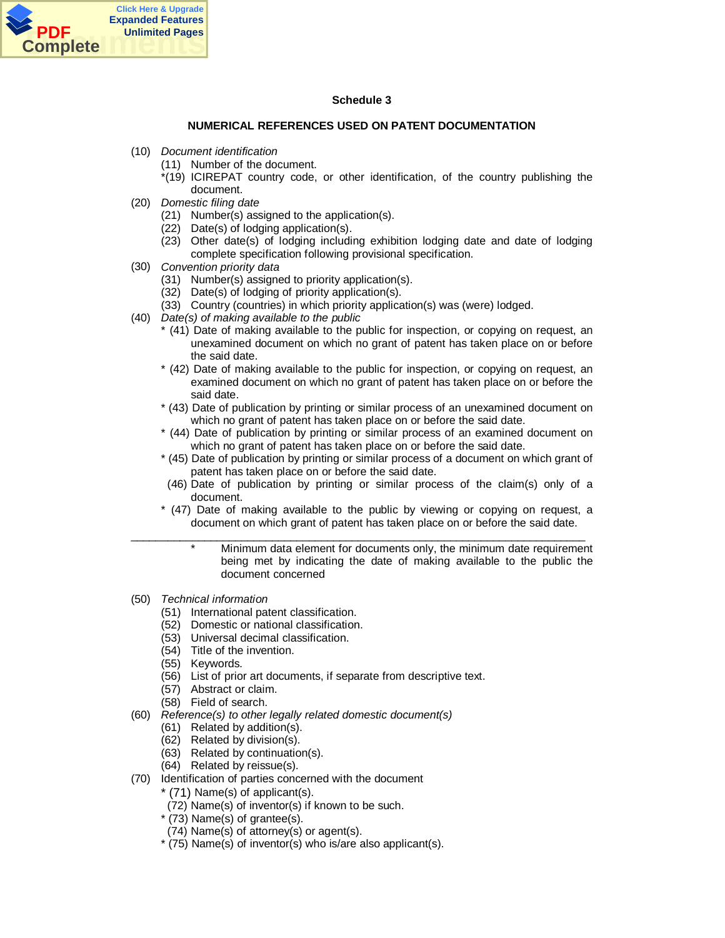

## **Schedule 3**

## **NUMERICAL REFERENCES USED ON PATENT DOCUMENTATION**

- (10) *Document identification*
	- (11) Number of the document.
	- \*(19) ICIREPAT country code, or other identification, of the country publishing the document.
- (20) *Domestic filing date*
	- (21) Number(s) assigned to the application(s).
	- (22) Date(s) of lodging application(s).
	- (23) Other date(s) of lodging including exhibition lodging date and date of lodging complete specification following provisional specification.
- (30) *Convention priority data*
	- (31) Number(s) assigned to priority application(s).
	- (32) Date(s) of lodging of priority application(s).
	- (33) Country (countries) in which priority application(s) was (were) lodged.
- (40) *Date(s) of making available to the public*
	- \* (41) Date of making available to the public for inspection, or copying on request, an unexamined document on which no grant of patent has taken place on or before the said date.
	- \* (42) Date of making available to the public for inspection, or copying on request, an examined document on which no grant of patent has taken place on or before the said date.
	- \* (43) Date of publication by printing or similar process of an unexamined document on which no grant of patent has taken place on or before the said date.
	- \* (44) Date of publication by printing or similar process of an examined document on which no grant of patent has taken place on or before the said date.
	- \* (45) Date of publication by printing or similar process of a document on which grant of patent has taken place on or before the said date.
	- (46) Date of publication by printing or similar process of the claim(s) only of a document.
	- \* (47) Date of making available to the public by viewing or copying on request, a document on which grant of patent has taken place on or before the said date.
- $\overline{\phantom{a}}$  , and the set of the set of the set of the set of the set of the set of the set of the set of the set of the set of the set of the set of the set of the set of the set of the set of the set of the set of the s \* Minimum data element for documents only, the minimum date requirement being met by indicating the date of making available to the public the document concerned
- (50) *Technical information*
	- (51) International patent classification.
	- (52) Domestic or national classification.
	- (53) Universal decimal classification.
	- (54) Title of the invention.
	- (55) Keywords.
	- (56) List of prior art documents, if separate from descriptive text.
	- (57) Abstract or claim.
	- (58) Field of search.
- (60) *Reference(s) to other legally related domestic document(s)*
	- (61) Related by addition(s).
	- (62) Related by division(s).
	- (63) Related by continuation(s).
	- (64) Related by reissue(s).
- (70) Identification of parties concerned with the document
	- \* (71) Name(s) of applicant(s).
		- (72) Name(s) of inventor(s) if known to be such.
		- $*(73)$  Name(s) of grantee(s).
		- (74) Name(s) of attorney(s) or agent(s).
		- \* (75) Name(s) of inventor(s) who is/are also applicant(s).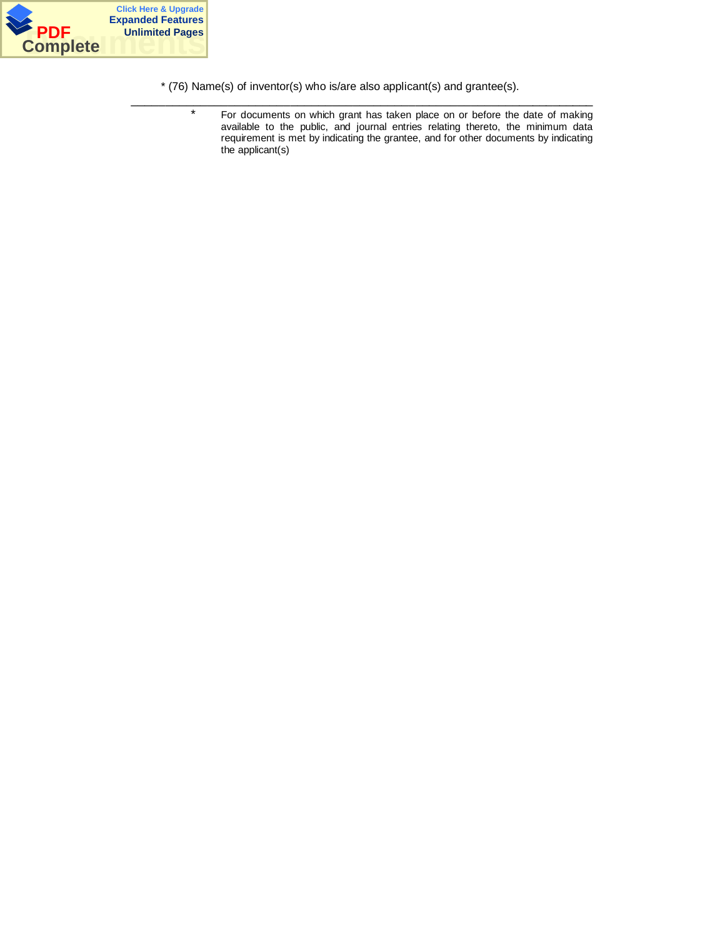

\* (76) Name(s) of inventor(s) who is/are also applicant(s) and grantee(s).

 $\overline{\phantom{a}}$  ,  $\overline{\phantom{a}}$  ,  $\overline{\phantom{a}}$  ,  $\overline{\phantom{a}}$  ,  $\overline{\phantom{a}}$  ,  $\overline{\phantom{a}}$  ,  $\overline{\phantom{a}}$  ,  $\overline{\phantom{a}}$  ,  $\overline{\phantom{a}}$  ,  $\overline{\phantom{a}}$  ,  $\overline{\phantom{a}}$  ,  $\overline{\phantom{a}}$  ,  $\overline{\phantom{a}}$  ,  $\overline{\phantom{a}}$  ,  $\overline{\phantom{a}}$  ,  $\overline{\phantom{a}}$ 

\* For documents on which grant has taken place on or before the date of making available to the public, and journal entries relating thereto, the minimum data requirement is met by indicating the grantee, and for other documents by indicating the applicant(s)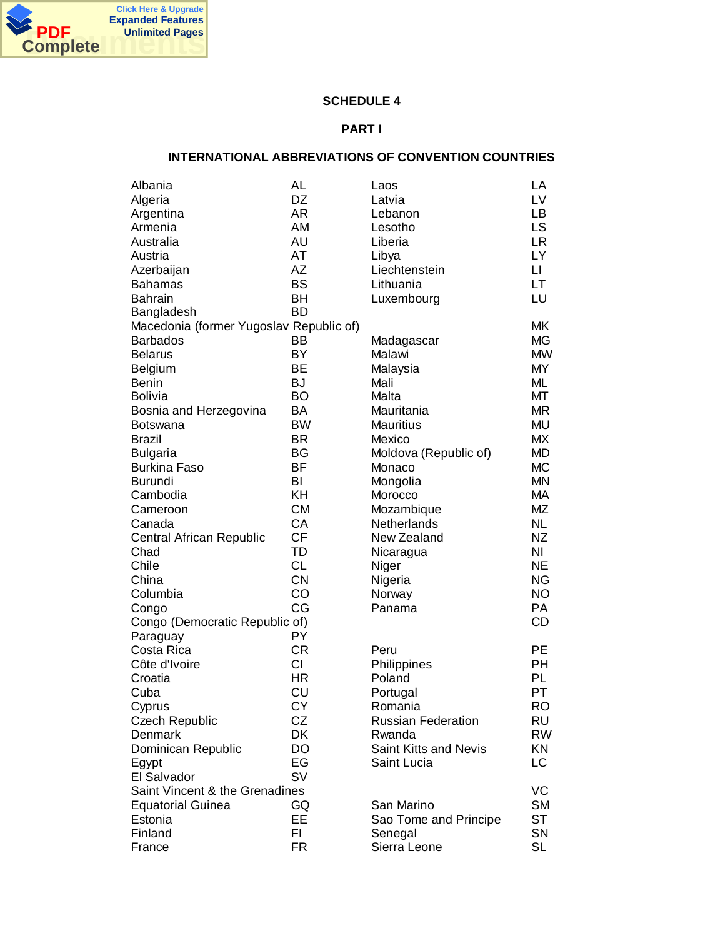

# **SCHEDULE 4**

## **PART I**

# **INTERNATIONAL ABBREVIATIONS OF CONVENTION COUNTRIES**

| Albania                                 | AL        | Laos                      | LA                     |
|-----------------------------------------|-----------|---------------------------|------------------------|
| Algeria                                 | DZ        | Latvia                    | LV                     |
| Argentina                               | <b>AR</b> | Lebanon                   | LB                     |
| Armenia                                 | AM        | Lesotho                   | <b>LS</b>              |
| Australia                               | AU        | Liberia                   | <b>LR</b>              |
| Austria                                 | AT        | Libya                     | LY                     |
| Azerbaijan                              | AZ        | Liechtenstein             | $\mathsf{L}\mathsf{L}$ |
| <b>Bahamas</b>                          | <b>BS</b> | Lithuania                 | LT                     |
| <b>Bahrain</b>                          | <b>BH</b> | Luxembourg                | LU                     |
| Bangladesh                              | <b>BD</b> |                           |                        |
| Macedonia (former Yugoslav Republic of) |           |                           | МK                     |
| <b>Barbados</b>                         | ВB        | Madagascar                | MG                     |
| <b>Belarus</b>                          | BY        | Malawi                    | <b>MW</b>              |
| <b>Belgium</b>                          | ВE        | Malaysia                  | <b>MY</b>              |
| <b>Benin</b>                            | <b>BJ</b> | Mali                      | ML                     |
| Bolivia                                 | BO        | Malta                     | МT                     |
| Bosnia and Herzegovina                  | BA        | Mauritania                | <b>MR</b>              |
| <b>Botswana</b>                         | <b>BW</b> | <b>Mauritius</b>          | <b>MU</b>              |
| Brazil                                  | <b>BR</b> | Mexico                    | МX                     |
| <b>Bulgaria</b>                         | BG        | Moldova (Republic of)     | <b>MD</b>              |
| <b>Burkina Faso</b>                     | <b>BF</b> | Monaco                    | <b>MC</b>              |
| Burundi                                 | BI        | Mongolia                  | <b>MN</b>              |
| Cambodia                                | KH        | Morocco                   | МA                     |
| Cameroon                                | <b>CM</b> | Mozambique                | MZ                     |
| Canada                                  | CA        | Netherlands               | <b>NL</b>              |
| Central African Republic                | <b>CF</b> | New Zealand               | ΝZ                     |
| Chad                                    | TD        | Nicaragua                 | NI                     |
| Chile                                   | <b>CL</b> | Niger                     | <b>NE</b>              |
| China                                   | <b>CN</b> | Nigeria                   | <b>NG</b>              |
| Columbia                                | CO        | Norway                    | <b>NO</b>              |
| Congo                                   | CG        | Panama                    | PA                     |
| Congo (Democratic Republic of)          |           |                           | <b>CD</b>              |
| Paraguay                                | PY        |                           |                        |
| Costa Rica                              | <b>CR</b> | Peru                      | PE                     |
| Côte d'Ivoire                           | CI        | Philippines               | <b>PH</b>              |
| Croatia                                 | <b>HR</b> | Poland                    | PL                     |
| Cuba                                    | CU        | Portugal                  | PT                     |
| Cyprus                                  | <b>CY</b> | Romania                   | <b>RO</b>              |
| <b>Czech Republic</b>                   | CZ        | <b>Russian Federation</b> | RU                     |
| Denmark                                 | DK        | Rwanda                    | RW                     |
| Dominican Republic                      | DO        | Saint Kitts and Nevis     | KN                     |
| Egypt                                   | EG        | Saint Lucia               | LC                     |
| El Salvador                             | <b>SV</b> |                           |                        |
| Saint Vincent & the Grenadines          |           |                           | VC                     |
| <b>Equatorial Guinea</b>                | GQ        | San Marino                | <b>SM</b>              |
| Estonia                                 | EE        | Sao Tome and Principe     | <b>ST</b>              |
| Finland                                 | FI.       | Senegal                   | SN                     |
| France                                  | FR        | Sierra Leone              | <b>SL</b>              |
|                                         |           |                           |                        |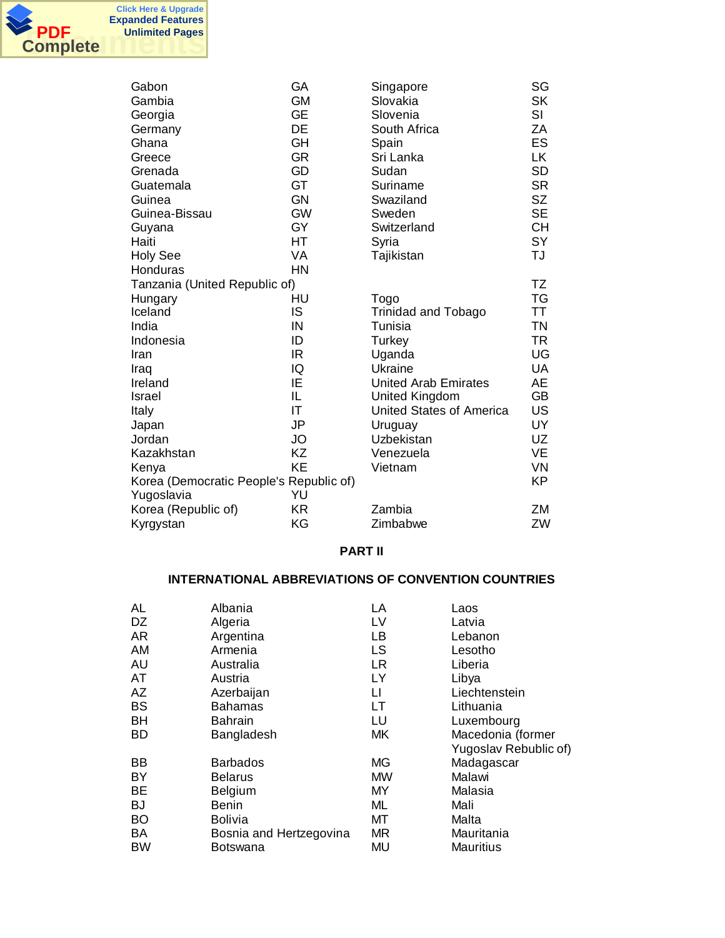

| Gabon                                   | GА        | Singapore                       | SG        |
|-----------------------------------------|-----------|---------------------------------|-----------|
| Gambia                                  | <b>GM</b> | Slovakia                        | <b>SK</b> |
| Georgia                                 | <b>GE</b> | Slovenia                        | SI        |
| Germany                                 | DE        | South Africa                    | ZA        |
| Ghana                                   | GH        | Spain                           | <b>ES</b> |
| Greece                                  | <b>GR</b> | Sri Lanka                       | LK        |
| Grenada                                 | GD        | Sudan                           | <b>SD</b> |
| Guatemala                               | GT        | Suriname                        | <b>SR</b> |
| Guinea                                  | <b>GN</b> | Swaziland                       | <b>SZ</b> |
| Guinea-Bissau                           | <b>GW</b> | Sweden                          | <b>SE</b> |
| Guyana                                  | GY        | Switzerland                     | <b>CH</b> |
| Haiti                                   | <b>HT</b> | Syria                           | <b>SY</b> |
| <b>Holy See</b>                         | VA        | Tajikistan                      | TJ        |
| Honduras                                | <b>HN</b> |                                 |           |
| Tanzania (United Republic of)           |           |                                 | TZ        |
| Hungary                                 | HU        | Togo                            | TG        |
| Iceland                                 | IS        | <b>Trinidad and Tobago</b>      | <b>TT</b> |
| India                                   | IN        | Tunisia                         | <b>TN</b> |
| Indonesia                               | ID        | Turkey                          | <b>TR</b> |
| Iran                                    | IR        | Uganda                          | UG        |
| Iraq                                    | IQ        | Ukraine                         | <b>UA</b> |
| Ireland                                 | IE        | <b>United Arab Emirates</b>     | AE        |
| Israel                                  | IL        | <b>United Kingdom</b>           | <b>GB</b> |
| Italy                                   | ΙT        | <b>United States of America</b> | US        |
| Japan                                   | <b>JP</b> | Uruguay                         | UY        |
| Jordan                                  | <b>JO</b> | <b>Uzbekistan</b>               | UZ        |
| Kazakhstan                              | ΚZ        | Venezuela                       | VE        |
| Kenya                                   | <b>KE</b> | Vietnam                         | <b>VN</b> |
| Korea (Democratic People's Republic of) |           |                                 | KP        |
| Yugoslavia                              | YU        |                                 |           |
| Korea (Republic of)                     | <b>KR</b> | Zambia                          | ΖM        |
| Kyrgystan                               | KG        | Zimbabwe                        | ZW        |
|                                         |           |                                 |           |

## **PART II**

# **INTERNATIONAL ABBREVIATIONS OF CONVENTION COUNTRIES**

| AL        | Albania                 | LA  | Laos                  |
|-----------|-------------------------|-----|-----------------------|
| DZ        | Algeria                 | LV  | Latvia                |
| AR.       | Argentina               | LВ  | Lebanon               |
| AM        | Armenia                 | LS  | Lesotho               |
| AU        | Australia               | LR. | Liberia               |
| AT        | Austria                 | LY  | Libya                 |
| AZ        | Azerbaijan              | LI  | Liechtenstein         |
| <b>BS</b> | <b>Bahamas</b>          | LT  | Lithuania             |
| <b>BH</b> | <b>Bahrain</b>          | LU  | Luxembourg            |
| BD        | Bangladesh              | МK  | Macedonia (former     |
|           |                         |     | Yugoslav Rebublic of) |
| BB        | <b>Barbados</b>         | MG  | Madagascar            |
| BY        | <b>Belarus</b>          | MW  | Malawi                |
| BE        | <b>Belgium</b>          | ΜY  | Malasia               |
| BJ        | Benin                   | ML  | Mali                  |
| BO        | <b>Bolivia</b>          | МT  | Malta                 |
| BA        | Bosnia and Hertzegovina | MR. | Mauritania            |
| BW        | Botswana                | MU  | <b>Mauritius</b>      |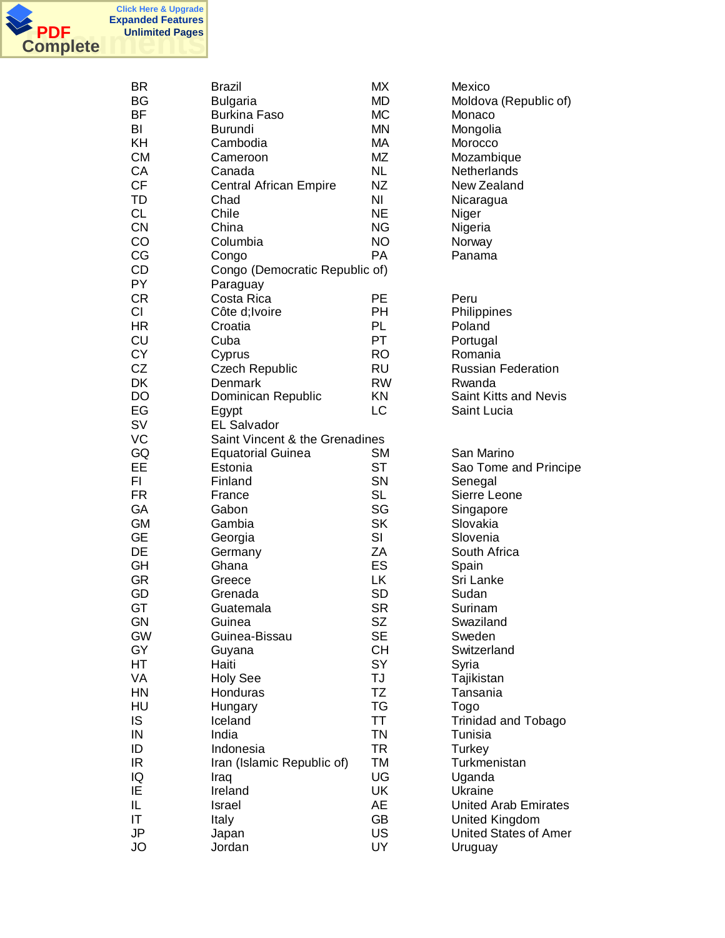

| BR<br>BG<br>BF<br>BI<br>KH<br><b>CM</b><br>CA<br><b>CF</b><br>TD<br><b>CL</b><br><b>CN</b><br>CO<br>CG<br>CD | <b>Brazil</b><br><b>Bulgaria</b><br><b>Burkina Faso</b><br><b>Burundi</b><br>Cambodia<br>Cameroon<br>Canada<br><b>Central African Empire</b><br>Chad<br>Chile<br>China<br>Columbia<br>Congo<br>Congo (Democratic Republic of) | <b>MX</b><br><b>MD</b><br><b>MC</b><br><b>MN</b><br>МA<br>MZ<br><b>NL</b><br>ΝZ<br>NI<br><b>NE</b><br><b>NG</b><br><b>NO</b><br><b>PA</b> | Mexico<br>Moldova (Republic of)<br>Monaco<br>Mongolia<br>Morocco<br>Mozambique<br>Netherlands<br>New Zealand<br>Nicaragua<br>Niger<br>Nigeria<br>Norway<br>Panama |
|--------------------------------------------------------------------------------------------------------------|-------------------------------------------------------------------------------------------------------------------------------------------------------------------------------------------------------------------------------|-------------------------------------------------------------------------------------------------------------------------------------------|-------------------------------------------------------------------------------------------------------------------------------------------------------------------|
| PY                                                                                                           | Paraguay                                                                                                                                                                                                                      |                                                                                                                                           |                                                                                                                                                                   |
| <b>CR</b><br>CI                                                                                              | Costa Rica<br>Côte d; Ivoire                                                                                                                                                                                                  | PЕ<br>PH                                                                                                                                  | Peru<br>Philippines                                                                                                                                               |
| <b>HR</b>                                                                                                    | Croatia                                                                                                                                                                                                                       | PL                                                                                                                                        | Poland                                                                                                                                                            |
| CU                                                                                                           | Cuba                                                                                                                                                                                                                          | PT                                                                                                                                        | Portugal                                                                                                                                                          |
| <b>CY</b>                                                                                                    | Cyprus                                                                                                                                                                                                                        | <b>RO</b>                                                                                                                                 | Romania                                                                                                                                                           |
| CZ                                                                                                           | <b>Czech Republic</b>                                                                                                                                                                                                         | RU                                                                                                                                        | <b>Russian Federation</b>                                                                                                                                         |
| DK                                                                                                           | Denmark                                                                                                                                                                                                                       | <b>RW</b>                                                                                                                                 | Rwanda                                                                                                                                                            |
| DO                                                                                                           | Dominican Republic                                                                                                                                                                                                            | KN                                                                                                                                        | Saint Kitts and Nevis                                                                                                                                             |
| EG                                                                                                           | Egypt                                                                                                                                                                                                                         | LC                                                                                                                                        | Saint Lucia                                                                                                                                                       |
| SV                                                                                                           | <b>EL Salvador</b>                                                                                                                                                                                                            |                                                                                                                                           |                                                                                                                                                                   |
| VC                                                                                                           | Saint Vincent & the Grenadines                                                                                                                                                                                                | <b>SM</b>                                                                                                                                 | San Marino                                                                                                                                                        |
| GQ<br>EE                                                                                                     | <b>Equatorial Guinea</b><br>Estonia                                                                                                                                                                                           | ST                                                                                                                                        |                                                                                                                                                                   |
| FI                                                                                                           | Finland                                                                                                                                                                                                                       | SN                                                                                                                                        | Sao Tome and Principe<br>Senegal                                                                                                                                  |
| <b>FR</b>                                                                                                    | France                                                                                                                                                                                                                        | <b>SL</b>                                                                                                                                 | Sierre Leone                                                                                                                                                      |
| GA                                                                                                           | Gabon                                                                                                                                                                                                                         | SG                                                                                                                                        | Singapore                                                                                                                                                         |
| <b>GM</b>                                                                                                    | Gambia                                                                                                                                                                                                                        | <b>SK</b>                                                                                                                                 | Slovakia                                                                                                                                                          |
| <b>GE</b>                                                                                                    | Georgia                                                                                                                                                                                                                       | SI                                                                                                                                        | Slovenia                                                                                                                                                          |
| DE                                                                                                           | Germany                                                                                                                                                                                                                       | ZA                                                                                                                                        | South Africa                                                                                                                                                      |
| GH                                                                                                           | Ghana                                                                                                                                                                                                                         | ES                                                                                                                                        | Spain                                                                                                                                                             |
| <b>GR</b>                                                                                                    | Greece                                                                                                                                                                                                                        | LK                                                                                                                                        | Sri Lanke                                                                                                                                                         |
| GD                                                                                                           | Grenada                                                                                                                                                                                                                       | <b>SD</b>                                                                                                                                 | Sudan                                                                                                                                                             |
| GT                                                                                                           | Guatemala                                                                                                                                                                                                                     | <b>SR</b>                                                                                                                                 | Surinam                                                                                                                                                           |
| <b>GN</b>                                                                                                    | Guinea                                                                                                                                                                                                                        | SZ                                                                                                                                        | Swaziland                                                                                                                                                         |
| <b>GW</b>                                                                                                    | Guinea-Bissau                                                                                                                                                                                                                 | <b>SE</b>                                                                                                                                 | Sweden                                                                                                                                                            |
| GY                                                                                                           | Guyana                                                                                                                                                                                                                        | <b>CH</b>                                                                                                                                 | Switzerland                                                                                                                                                       |
| НT                                                                                                           | Haiti                                                                                                                                                                                                                         | <b>SY</b>                                                                                                                                 | Syria                                                                                                                                                             |
| VA                                                                                                           | <b>Holy See</b>                                                                                                                                                                                                               | TJ                                                                                                                                        | Tajikistan                                                                                                                                                        |
| HN                                                                                                           | Honduras                                                                                                                                                                                                                      | TZ                                                                                                                                        | Tansania                                                                                                                                                          |
| HU                                                                                                           | Hungary                                                                                                                                                                                                                       | TG                                                                                                                                        | Togo                                                                                                                                                              |
| <b>IS</b>                                                                                                    | Iceland                                                                                                                                                                                                                       | TT.                                                                                                                                       | <b>Trinidad and Tobago</b>                                                                                                                                        |
| IN                                                                                                           | India                                                                                                                                                                                                                         | TN                                                                                                                                        | Tunisia                                                                                                                                                           |
| ID                                                                                                           | Indonesia                                                                                                                                                                                                                     | TR                                                                                                                                        | Turkey                                                                                                                                                            |
| IR                                                                                                           | Iran (Islamic Republic of)                                                                                                                                                                                                    | TM                                                                                                                                        | Turkmenistan                                                                                                                                                      |
| IQ                                                                                                           | Iraq                                                                                                                                                                                                                          | UG                                                                                                                                        | Uganda                                                                                                                                                            |
| IE                                                                                                           | Ireland                                                                                                                                                                                                                       | UK                                                                                                                                        | Ukraine                                                                                                                                                           |
| IL                                                                                                           | Israel                                                                                                                                                                                                                        | AE                                                                                                                                        | <b>United Arab Emirates</b>                                                                                                                                       |
| IT                                                                                                           | Italy                                                                                                                                                                                                                         | <b>GB</b>                                                                                                                                 | United Kingdom                                                                                                                                                    |
| JP                                                                                                           | Japan                                                                                                                                                                                                                         | US                                                                                                                                        | <b>United States of Amer</b>                                                                                                                                      |
| <b>JO</b>                                                                                                    | Jordan                                                                                                                                                                                                                        | UY                                                                                                                                        | Uruguay                                                                                                                                                           |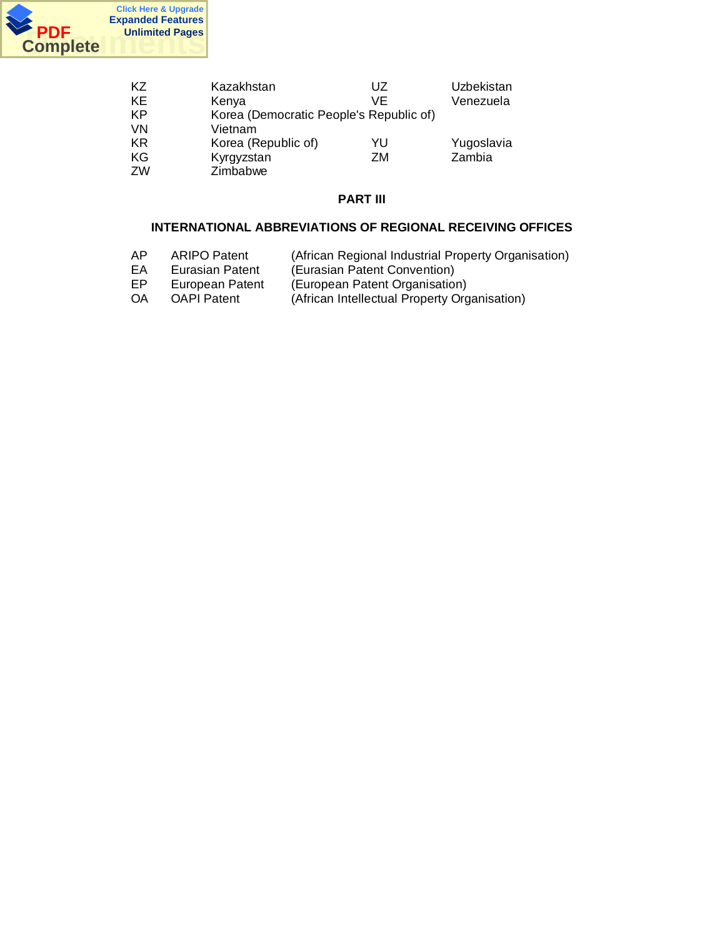

| KZ        | Kazakhstan                              | UZ | Uzbekistan |
|-----------|-----------------------------------------|----|------------|
| KE        | Kenya                                   | VF | Venezuela  |
| KP        | Korea (Democratic People's Republic of) |    |            |
| <b>VN</b> | Vietnam                                 |    |            |
| KR.       | Korea (Republic of)                     | YU | Yugoslavia |
| ΚG        | Kyrgyzstan                              | ZM | Zambia     |
| ZW        | Zimbabwe                                |    |            |

# **PART III**

## **INTERNATIONAL ABBREVIATIONS OF REGIONAL RECEIVING OFFICES**

- AP ARIPO Patent (African Regional Industrial Property Organisation)
- EA Eurasian Patent (Eurasian Patent Convention)
- EP European Patent (European Patent Organisation)
- OA OAPI Patent (African Intellectual Property Organisation)